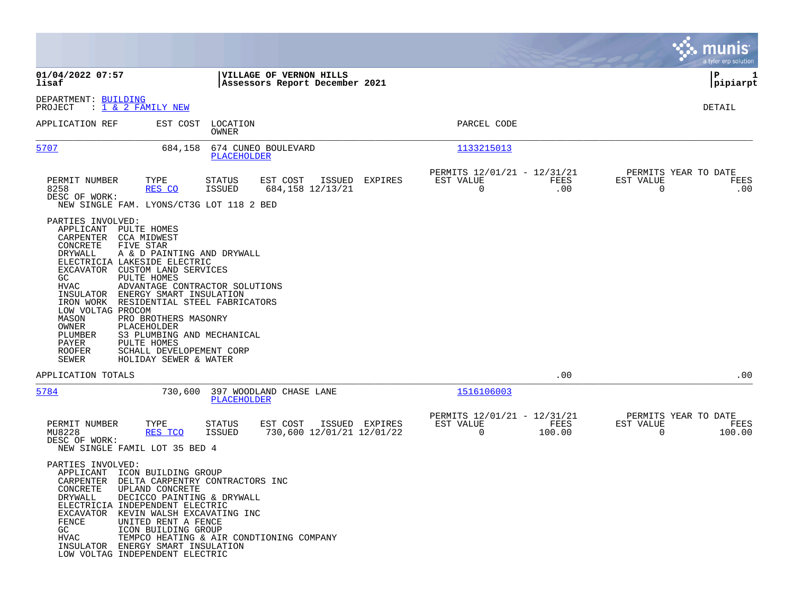|                                                                                                                                                                                                                                                                                                                                                                                                                                                                                                                                                                              |                                                                                    |                                                                         | munis<br>a tyler erp solution                                      |
|------------------------------------------------------------------------------------------------------------------------------------------------------------------------------------------------------------------------------------------------------------------------------------------------------------------------------------------------------------------------------------------------------------------------------------------------------------------------------------------------------------------------------------------------------------------------------|------------------------------------------------------------------------------------|-------------------------------------------------------------------------|--------------------------------------------------------------------|
| 01/04/2022 07:57<br>lisaf                                                                                                                                                                                                                                                                                                                                                                                                                                                                                                                                                    | VILLAGE OF VERNON HILLS<br>Assessors Report December 2021                          |                                                                         | 1<br>IΡ<br> pipiarpt                                               |
| DEPARTMENT: BUILDING<br>: $\overline{1}$ & 2 FAMILY NEW<br>PROJECT                                                                                                                                                                                                                                                                                                                                                                                                                                                                                                           |                                                                                    |                                                                         | DETAIL                                                             |
| APPLICATION REF<br>EST COST                                                                                                                                                                                                                                                                                                                                                                                                                                                                                                                                                  | LOCATION<br>OWNER                                                                  | PARCEL CODE                                                             |                                                                    |
| 5707<br>684,158                                                                                                                                                                                                                                                                                                                                                                                                                                                                                                                                                              | 674 CUNEO BOULEVARD<br>PLACEHOLDER                                                 | 1133215013                                                              |                                                                    |
| PERMIT NUMBER<br>TYPE<br>8258<br>RES CO<br>DESC OF WORK:<br>NEW SINGLE FAM. LYONS/CT3G LOT 118 2 BED                                                                                                                                                                                                                                                                                                                                                                                                                                                                         | <b>STATUS</b><br>EST COST<br>ISSUED<br>ISSUED<br>684,158 12/13/21                  | PERMITS 12/01/21 - 12/31/21<br>EXPIRES<br>EST VALUE<br>FEES<br>0<br>.00 | PERMITS YEAR TO DATE<br>EST VALUE<br>FEES<br>$\mathbf 0$<br>.00    |
| PARTIES INVOLVED:<br>APPLICANT<br>PULTE HOMES<br>CARPENTER<br>CCA MIDWEST<br>CONCRETE<br>FIVE STAR<br>DRYWALL<br>A & D PAINTING AND DRYWALL<br>ELECTRICIA LAKESIDE ELECTRIC<br>EXCAVATOR<br><b>CUSTOM LAND SERVICES</b><br>PULTE HOMES<br>GC<br>HVAC<br>INSULATOR ENERGY SMART INSULATION<br>IRON WORK<br>RESIDENTIAL STEEL FABRICATORS<br>LOW VOLTAG PROCOM<br>MASON<br>PRO BROTHERS MASONRY<br>OWNER<br>PLACEHOLDER<br>S3 PLUMBING AND MECHANICAL<br>PLUMBER<br>PULTE HOMES<br>PAYER<br><b>ROOFER</b><br>SCHALL DEVELOPEMENT CORP<br><b>SEWER</b><br>HOLIDAY SEWER & WATER | ADVANTAGE CONTRACTOR SOLUTIONS                                                     |                                                                         |                                                                    |
| APPLICATION TOTALS                                                                                                                                                                                                                                                                                                                                                                                                                                                                                                                                                           |                                                                                    | .00                                                                     | .00                                                                |
| 5784<br>730,600                                                                                                                                                                                                                                                                                                                                                                                                                                                                                                                                                              | 397 WOODLAND CHASE LANE<br>PLACEHOLDER                                             | 1516106003                                                              |                                                                    |
| PERMIT NUMBER<br>TYPE<br>MU8228<br>RES TCO<br>DESC OF WORK:<br>NEW SINGLE FAMIL LOT 35 BED 4                                                                                                                                                                                                                                                                                                                                                                                                                                                                                 | EST COST<br>ISSUED EXPIRES<br>STATUS<br><b>ISSUED</b><br>730,600 12/01/21 12/01/22 | PERMITS 12/01/21 - 12/31/21<br>EST VALUE<br>FEES<br>0<br>100.00         | PERMITS YEAR TO DATE<br>EST VALUE<br>FEES<br>$\mathbf 0$<br>100.00 |
| PARTIES INVOLVED:<br>APPLICANT ICON BUILDING GROUP<br>CARPENTER DELTA CARPENTRY CONTRACTORS INC<br>CONCRETE<br>UPLAND CONCRETE<br>DRYWALL<br>DECICCO PAINTING & DRYWALL<br>ELECTRICIA INDEPENDENT ELECTRIC<br><b>EXCAVATOR</b><br>KEVIN WALSH EXCAVATING INC<br>FENCE<br>UNITED RENT A FENCE<br>GC<br>ICON BUILDING GROUP<br><b>HVAC</b><br>INSULATOR ENERGY SMART INSULATION<br>LOW VOLTAG INDEPENDENT ELECTRIC                                                                                                                                                             | TEMPCO HEATING & AIR CONDTIONING COMPANY                                           |                                                                         |                                                                    |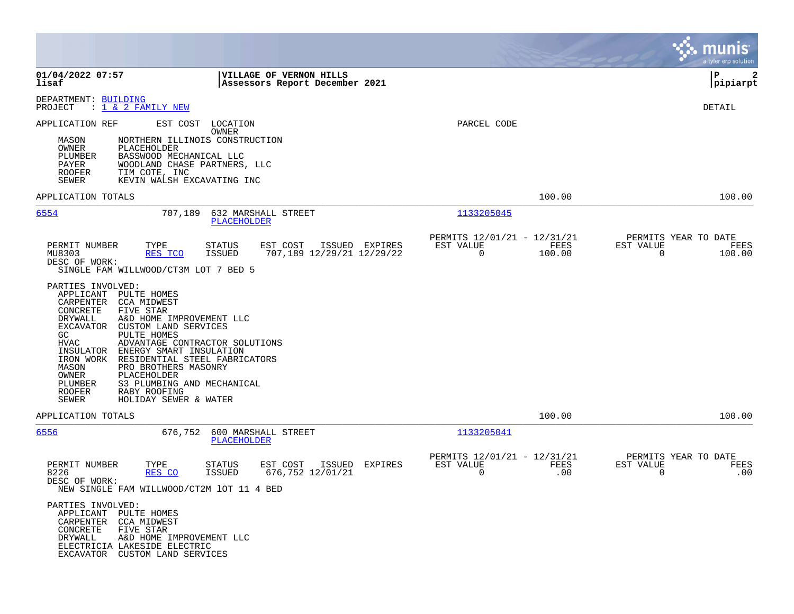|                                                                                                                                                                                                                                                                                                                                                                                                                                                                                                          |                                                                        | munis<br>a tyler erp solution                                   |
|----------------------------------------------------------------------------------------------------------------------------------------------------------------------------------------------------------------------------------------------------------------------------------------------------------------------------------------------------------------------------------------------------------------------------------------------------------------------------------------------------------|------------------------------------------------------------------------|-----------------------------------------------------------------|
| 01/04/2022 07:57<br>VILLAGE OF VERNON HILLS<br>Assessors Report December 2021<br>lisaf                                                                                                                                                                                                                                                                                                                                                                                                                   |                                                                        | P<br>2<br> pipiarpt                                             |
| DEPARTMENT: BUILDING<br>: 1 & 2 FAMILY NEW<br>PROJECT                                                                                                                                                                                                                                                                                                                                                                                                                                                    |                                                                        | DETAIL                                                          |
| APPLICATION REF<br>EST COST<br>LOCATION<br>OWNER<br>NORTHERN ILLINOIS CONSTRUCTION<br>MASON<br>OWNER<br>PLACEHOLDER<br>PLUMBER<br>BASSWOOD MECHANICAL LLC<br>WOODLAND CHASE PARTNERS, LLC<br>PAYER<br><b>ROOFER</b><br>TIM COTE, INC<br>KEVIN WALSH EXCAVATING INC<br>SEWER                                                                                                                                                                                                                              | PARCEL CODE                                                            |                                                                 |
| APPLICATION TOTALS                                                                                                                                                                                                                                                                                                                                                                                                                                                                                       | 100.00                                                                 | 100.00                                                          |
| 6554<br>632 MARSHALL STREET<br>707,189<br>PLACEHOLDER                                                                                                                                                                                                                                                                                                                                                                                                                                                    | 1133205045                                                             |                                                                 |
| PERMIT NUMBER<br>TYPE<br>EST COST<br>ISSUED EXPIRES<br>STATUS<br>MU8303<br><b>ISSUED</b><br>707,189 12/29/21 12/29/22<br>RES TCO<br>DESC OF WORK:<br>SINGLE FAM WILLWOOD/CT3M LOT 7 BED 5                                                                                                                                                                                                                                                                                                                | PERMITS 12/01/21 - 12/31/21<br>EST VALUE<br>FEES<br>$\Omega$<br>100.00 | PERMITS YEAR TO DATE<br>EST VALUE<br>FEES<br>$\Omega$<br>100.00 |
| PARTIES INVOLVED:<br>APPLICANT<br>PULTE HOMES<br>CARPENTER<br>CCA MIDWEST<br>CONCRETE<br>FIVE STAR<br>DRYWALL<br>A&D HOME IMPROVEMENT LLC<br>EXCAVATOR<br>CUSTOM LAND SERVICES<br>PULTE HOMES<br>GC<br>HVAC<br>ADVANTAGE CONTRACTOR SOLUTIONS<br>ENERGY SMART INSULATION<br>INSULATOR<br>IRON WORK<br>RESIDENTIAL STEEL FABRICATORS<br>PRO BROTHERS MASONRY<br>MASON<br>OWNER<br>PLACEHOLDER<br>S3 PLUMBING AND MECHANICAL<br>PLUMBER<br><b>ROOFER</b><br>RABY ROOFING<br>SEWER<br>HOLIDAY SEWER & WATER |                                                                        |                                                                 |
| APPLICATION TOTALS                                                                                                                                                                                                                                                                                                                                                                                                                                                                                       | 100.00                                                                 | 100.00                                                          |
| 600 MARSHALL STREET<br>6556<br>676,752<br><b>PLACEHOLDER</b>                                                                                                                                                                                                                                                                                                                                                                                                                                             | 1133205041                                                             |                                                                 |
| TYPE<br>EST COST<br>ISSUED<br>PERMIT NUMBER<br><b>STATUS</b><br>EXPIRES<br>676, 752 12/01/21<br>8226<br>RES CO<br>ISSUED<br>DESC OF WORK:<br>NEW SINGLE FAM WILLWOOD/CT2M 1OT 11 4 BED                                                                                                                                                                                                                                                                                                                   | PERMITS 12/01/21 - 12/31/21<br>EST VALUE<br>FEES<br>$\mathbf 0$<br>.00 | PERMITS YEAR TO DATE<br>EST VALUE<br>FEES<br>0<br>.00           |
| PARTIES INVOLVED:<br>APPLICANT<br>PULTE HOMES<br>CARPENTER<br>CCA MIDWEST<br>CONCRETE<br>FIVE STAR<br>DRYWALL<br>A&D HOME IMPROVEMENT LLC<br>ELECTRICIA LAKESIDE ELECTRIC<br>EXCAVATOR CUSTOM LAND SERVICES                                                                                                                                                                                                                                                                                              |                                                                        |                                                                 |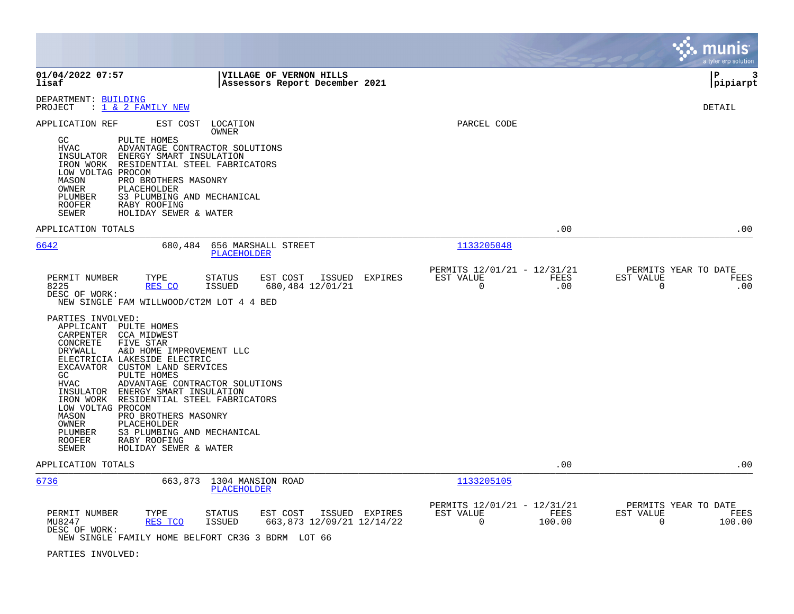|                                                                                                                                                                                                                                                                                                                                                                                                                                                                                                                                                          |                                                                        | munis<br>a tyler erp solution                                   |
|----------------------------------------------------------------------------------------------------------------------------------------------------------------------------------------------------------------------------------------------------------------------------------------------------------------------------------------------------------------------------------------------------------------------------------------------------------------------------------------------------------------------------------------------------------|------------------------------------------------------------------------|-----------------------------------------------------------------|
| 01/04/2022 07:57<br>VILLAGE OF VERNON HILLS<br>lisaf<br>Assessors Report December 2021                                                                                                                                                                                                                                                                                                                                                                                                                                                                   |                                                                        | P<br>3<br>pipiarpt                                              |
| DEPARTMENT: BUILDING<br>: 1 & 2 FAMILY NEW<br>PROJECT                                                                                                                                                                                                                                                                                                                                                                                                                                                                                                    |                                                                        | <b>DETAIL</b>                                                   |
| EST COST<br>APPLICATION REF<br>LOCATION<br>OWNER<br>PULTE HOMES<br>GC.<br>ADVANTAGE CONTRACTOR SOLUTIONS<br><b>HVAC</b><br>INSULATOR<br>ENERGY SMART INSULATION<br>IRON WORK<br>RESIDENTIAL STEEL FABRICATORS<br>LOW VOLTAG PROCOM<br>MASON<br>PRO BROTHERS MASONRY<br><b>OWNER</b><br>PLACEHOLDER<br>S3 PLUMBING AND MECHANICAL<br>PLUMBER<br><b>ROOFER</b><br>RABY ROOFING<br>SEWER<br>HOLIDAY SEWER & WATER                                                                                                                                           | PARCEL CODE                                                            |                                                                 |
| APPLICATION TOTALS                                                                                                                                                                                                                                                                                                                                                                                                                                                                                                                                       | .00                                                                    | .00                                                             |
| 6642<br>680,484<br>656 MARSHALL STREET<br><b>PLACEHOLDER</b>                                                                                                                                                                                                                                                                                                                                                                                                                                                                                             | 1133205048                                                             |                                                                 |
| EST COST<br>PERMIT NUMBER<br>TYPE<br>STATUS<br>ISSUED EXPIRES<br>8225<br>RES CO<br><b>ISSUED</b><br>680,484 12/01/21<br>DESC OF WORK:<br>NEW SINGLE FAM WILLWOOD/CT2M LOT 4 4 BED                                                                                                                                                                                                                                                                                                                                                                        | PERMITS 12/01/21 - 12/31/21<br>EST VALUE<br>FEES<br>$\mathbf 0$<br>.00 | PERMITS YEAR TO DATE<br>EST VALUE<br>FEES<br>$\Omega$<br>.00    |
| PARTIES INVOLVED:<br>APPLICANT PULTE HOMES<br>CARPENTER CCA MIDWEST<br>CONCRETE<br>FIVE STAR<br>DRYWALL<br>A&D HOME IMPROVEMENT LLC<br>ELECTRICIA LAKESIDE ELECTRIC<br>EXCAVATOR<br>CUSTOM LAND SERVICES<br>GC<br>PULTE HOMES<br><b>HVAC</b><br>ADVANTAGE CONTRACTOR SOLUTIONS<br>INSULATOR ENERGY SMART INSULATION<br>IRON WORK RESIDENTIAL STEEL FABRICATORS<br>LOW VOLTAG PROCOM<br>MASON<br>PRO BROTHERS MASONRY<br>OWNER<br>PLACEHOLDER<br>S3 PLUMBING AND MECHANICAL<br>PLUMBER<br><b>ROOFER</b><br>RABY ROOFING<br>SEWER<br>HOLIDAY SEWER & WATER |                                                                        |                                                                 |
| APPLICATION TOTALS                                                                                                                                                                                                                                                                                                                                                                                                                                                                                                                                       | .00                                                                    | .00                                                             |
| 6736<br>663,873 1304 MANSION ROAD<br><b>PLACEHOLDER</b>                                                                                                                                                                                                                                                                                                                                                                                                                                                                                                  | 1133205105                                                             |                                                                 |
| PERMIT NUMBER<br>TYPE<br>EST COST<br>ISSUED EXPIRES<br><b>STATUS</b><br>MU8247<br>663,873 12/09/21 12/14/22<br>RES TCO<br>ISSUED<br>DESC OF WORK:<br>NEW SINGLE FAMILY HOME BELFORT CR3G 3 BDRM LOT 66                                                                                                                                                                                                                                                                                                                                                   | PERMITS 12/01/21 - 12/31/21<br>EST VALUE<br>FEES<br>$\Omega$<br>100.00 | PERMITS YEAR TO DATE<br>EST VALUE<br>FEES<br>100.00<br>$\Omega$ |

PARTIES INVOLVED: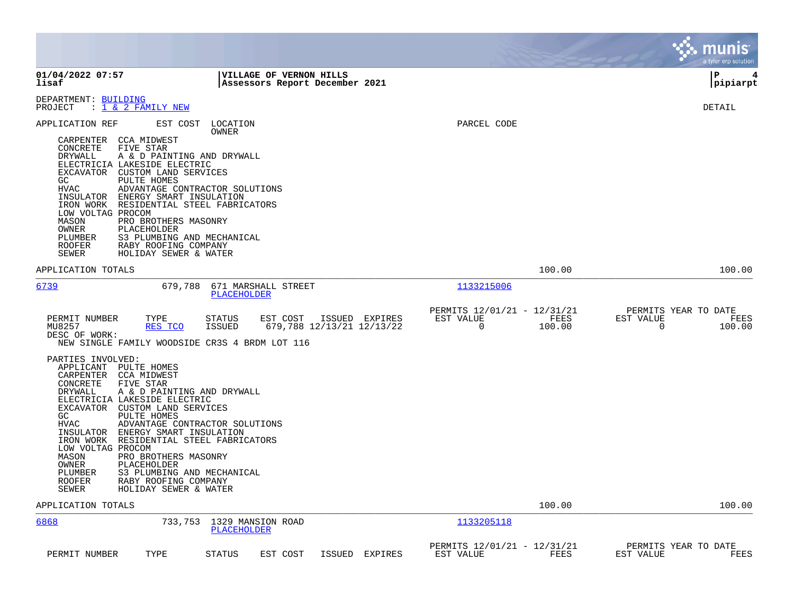|                                                                                                                                                                                |                                                                                                                                                                                                                                                                                                                                                             |                                                 |                                                                      |                |                                                             |                |                       | munis<br>a tyler erp solution          |
|--------------------------------------------------------------------------------------------------------------------------------------------------------------------------------|-------------------------------------------------------------------------------------------------------------------------------------------------------------------------------------------------------------------------------------------------------------------------------------------------------------------------------------------------------------|-------------------------------------------------|----------------------------------------------------------------------|----------------|-------------------------------------------------------------|----------------|-----------------------|----------------------------------------|
| 01/04/2022 07:57<br>lisaf                                                                                                                                                      |                                                                                                                                                                                                                                                                                                                                                             |                                                 | VILLAGE OF VERNON HILLS<br>Assessors Report December 2021            |                |                                                             |                |                       | l P<br>4<br> pipiarpt                  |
| DEPARTMENT: BUILDING<br>PROJECT                                                                                                                                                | : <u>1 &amp; 2 FAMILY NEW</u>                                                                                                                                                                                                                                                                                                                               |                                                 |                                                                      |                |                                                             |                |                       | DETAIL                                 |
| APPLICATION REF<br>CARPENTER<br>CONCRETE<br>DRYWALL<br>GC<br><b>HVAC</b><br>INSULATOR<br>IRON WORK<br>LOW VOLTAG PROCOM<br>MASON<br>OWNER<br>PLUMBER<br><b>ROOFER</b><br>SEWER | CCA MIDWEST<br>FIVE STAR<br>A & D PAINTING AND DRYWALL<br>ELECTRICIA LAKESIDE ELECTRIC<br>EXCAVATOR CUSTOM LAND SERVICES<br>PULTE HOMES<br>ADVANTAGE CONTRACTOR SOLUTIONS<br>ENERGY SMART INSULATION<br>RESIDENTIAL STEEL FABRICATORS<br>PRO BROTHERS MASONRY<br>PLACEHOLDER<br>S3 PLUMBING AND MECHANICAL<br>RABY ROOFING COMPANY<br>HOLIDAY SEWER & WATER | EST COST LOCATION<br>OWNER                      |                                                                      |                | PARCEL CODE                                                 |                |                       |                                        |
| APPLICATION TOTALS                                                                                                                                                             |                                                                                                                                                                                                                                                                                                                                                             |                                                 |                                                                      |                |                                                             | 100.00         |                       | 100.00                                 |
| 6739<br>PERMIT NUMBER<br>MU8257<br>DESC OF WORK:<br>PARTIES INVOLVED:                                                                                                          | TYPE<br>RES TCO<br>NEW SINGLE FAMILY WOODSIDE CR3S 4 BRDM LOT 116                                                                                                                                                                                                                                                                                           | PLACEHOLDER<br>STATUS<br>ISSUED                 | 679,788 671 MARSHALL STREET<br>EST COST<br>679,788 12/13/21 12/13/22 | ISSUED EXPIRES | 1133215006<br>PERMITS 12/01/21 - 12/31/21<br>EST VALUE<br>0 | FEES<br>100.00 | EST VALUE<br>$\Omega$ | PERMITS YEAR TO DATE<br>FEES<br>100.00 |
| APPLICANT PULTE HOMES<br>CARPENTER CCA MIDWEST<br>CONCRETE<br>DRYWALL<br>GC<br>HVAC<br>IRON WORK<br>LOW VOLTAG PROCOM<br>MASON<br>OWNER<br>PLUMBER<br>ROOFER<br>SEWER          | FIVE STAR<br>A & D PAINTING AND DRYWALL<br>ELECTRICIA LAKESIDE ELECTRIC<br>EXCAVATOR CUSTOM LAND SERVICES<br>PULTE HOMES<br>ADVANTAGE CONTRACTOR SOLUTIONS<br>INSULATOR ENERGY SMART INSULATION<br>RESIDENTIAL STEEL FABRICATORS<br>PRO BROTHERS MASONRY<br>PLACEHOLDER<br>S3 PLUMBING AND MECHANICAL<br>RABY ROOFING COMPANY<br>HOLIDAY SEWER & WATER      |                                                 |                                                                      |                |                                                             |                |                       |                                        |
| APPLICATION TOTALS                                                                                                                                                             |                                                                                                                                                                                                                                                                                                                                                             |                                                 |                                                                      |                |                                                             | 100.00         |                       | 100.00                                 |
| 6868                                                                                                                                                                           |                                                                                                                                                                                                                                                                                                                                                             | 733,753 1329 MANSION ROAD<br><b>PLACEHOLDER</b> |                                                                      |                | 1133205118                                                  |                |                       |                                        |
| PERMIT NUMBER                                                                                                                                                                  | TYPE                                                                                                                                                                                                                                                                                                                                                        | <b>STATUS</b>                                   | EST COST                                                             | ISSUED EXPIRES | PERMITS 12/01/21 - 12/31/21<br>EST VALUE                    | FEES           | EST VALUE             | PERMITS YEAR TO DATE<br>FEES           |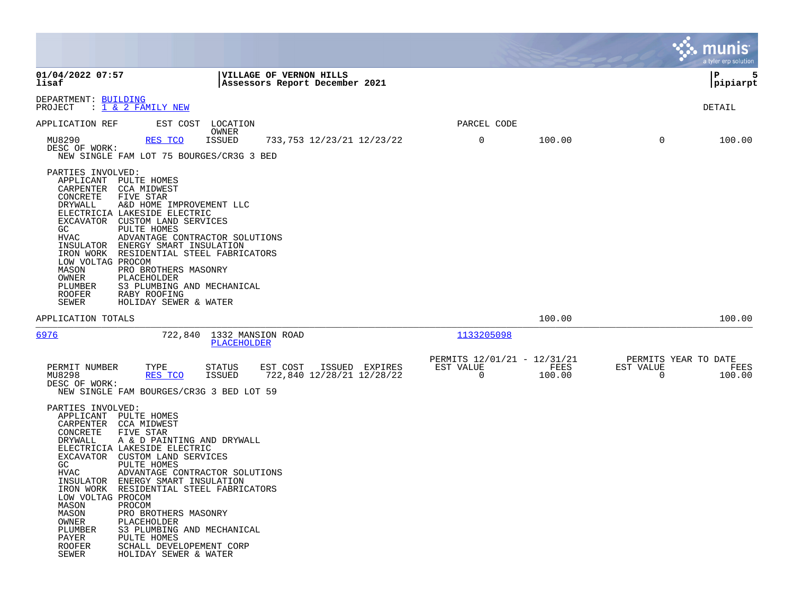|                                                                                                                                                                                                            |                                                                                                                                                                                                                                                                                                                                                                                                         |                                  |                                                                   |                |           |             |                                               |                                                  | munis<br>a tyler erp solution |
|------------------------------------------------------------------------------------------------------------------------------------------------------------------------------------------------------------|---------------------------------------------------------------------------------------------------------------------------------------------------------------------------------------------------------------------------------------------------------------------------------------------------------------------------------------------------------------------------------------------------------|----------------------------------|-------------------------------------------------------------------|----------------|-----------|-------------|-----------------------------------------------|--------------------------------------------------|-------------------------------|
| 01/04/2022 07:57<br>lisaf                                                                                                                                                                                  |                                                                                                                                                                                                                                                                                                                                                                                                         |                                  | <b> VILLAGE OF VERNON HILLS</b><br>Assessors Report December 2021 |                |           |             |                                               |                                                  | IΡ<br>5<br> pipiarpt          |
| DEPARTMENT: BUILDING<br>PROJECT                                                                                                                                                                            | : <u>1 &amp; 2 FAMILY NEW</u>                                                                                                                                                                                                                                                                                                                                                                           |                                  |                                                                   |                |           |             |                                               |                                                  | DETAIL                        |
| APPLICATION REF                                                                                                                                                                                            | EST COST                                                                                                                                                                                                                                                                                                                                                                                                | LOCATION<br>OWNER                |                                                                   |                |           | PARCEL CODE |                                               |                                                  |                               |
| MU8290<br>DESC OF WORK:                                                                                                                                                                                    | RES TCO<br>NEW SINGLE FAM LOT 75 BOURGES/CR3G 3 BED                                                                                                                                                                                                                                                                                                                                                     | ISSUED                           | 733, 753 12/23/21 12/23/22                                        |                |           | 0           | 100.00                                        | 0                                                | 100.00                        |
| PARTIES INVOLVED:<br>APPLICANT<br>CARPENTER<br>CONCRETE<br>DRYWALL<br>EXCAVATOR<br>GC<br><b>HVAC</b><br>INSULATOR<br>IRON WORK<br>LOW VOLTAG PROCOM<br>MASON<br>OWNER<br>PLUMBER<br><b>ROOFER</b><br>SEWER | PULTE HOMES<br><b>CCA MIDWEST</b><br>FIVE STAR<br>A&D HOME IMPROVEMENT LLC<br>ELECTRICIA LAKESIDE ELECTRIC<br>CUSTOM LAND SERVICES<br>PULTE HOMES<br>ADVANTAGE CONTRACTOR SOLUTIONS<br>ENERGY SMART INSULATION<br>RESIDENTIAL STEEL FABRICATORS<br>PRO BROTHERS MASONRY<br>PLACEHOLDER<br>S3 PLUMBING AND MECHANICAL<br>RABY ROOFING<br>HOLIDAY SEWER & WATER                                           |                                  |                                                                   |                |           |             |                                               |                                                  |                               |
| APPLICATION TOTALS                                                                                                                                                                                         |                                                                                                                                                                                                                                                                                                                                                                                                         |                                  |                                                                   |                |           |             | 100.00                                        |                                                  | 100.00                        |
| 6976                                                                                                                                                                                                       | 722,840                                                                                                                                                                                                                                                                                                                                                                                                 | 1332 MANSION ROAD<br>PLACEHOLDER |                                                                   |                |           | 1133205098  |                                               |                                                  |                               |
| PERMIT NUMBER<br>MU8298<br>DESC OF WORK:                                                                                                                                                                   | TYPE<br>RES TCO<br>NEW SINGLE FAM BOURGES/CR3G 3 BED LOT 59                                                                                                                                                                                                                                                                                                                                             | STATUS<br><b>ISSUED</b>          | EST COST<br>722,840 12/28/21 12/28/22                             | ISSUED EXPIRES | EST VALUE | $\mathbf 0$ | PERMITS 12/01/21 - 12/31/21<br>FEES<br>100.00 | PERMITS YEAR TO DATE<br>EST VALUE<br>$\mathbf 0$ | FEES<br>100.00                |
| PARTIES INVOLVED:<br>APPLICANT<br>CARPENTER<br>CONCRETE<br>DRYWALL<br>EXCAVATOR<br>GC<br><b>HVAC</b><br>INSULATOR<br>LOW VOLTAG PROCOM<br>MASON<br>MASON<br>OWNER<br>PLUMBER<br>PAYER<br>ROOFER<br>SEWER   | PULTE HOMES<br>CCA MIDWEST<br>FIVE STAR<br>A & D PAINTING AND DRYWALL<br>ELECTRICIA LAKESIDE ELECTRIC<br>CUSTOM LAND SERVICES<br>PULTE HOMES<br>ADVANTAGE CONTRACTOR SOLUTIONS<br>ENERGY SMART INSULATION<br>IRON WORK RESIDENTIAL STEEL FABRICATORS<br>PROCOM<br>PRO BROTHERS MASONRY<br>PLACEHOLDER<br>S3 PLUMBING AND MECHANICAL<br>PULTE HOMES<br>SCHALL DEVELOPEMENT CORP<br>HOLIDAY SEWER & WATER |                                  |                                                                   |                |           |             |                                               |                                                  |                               |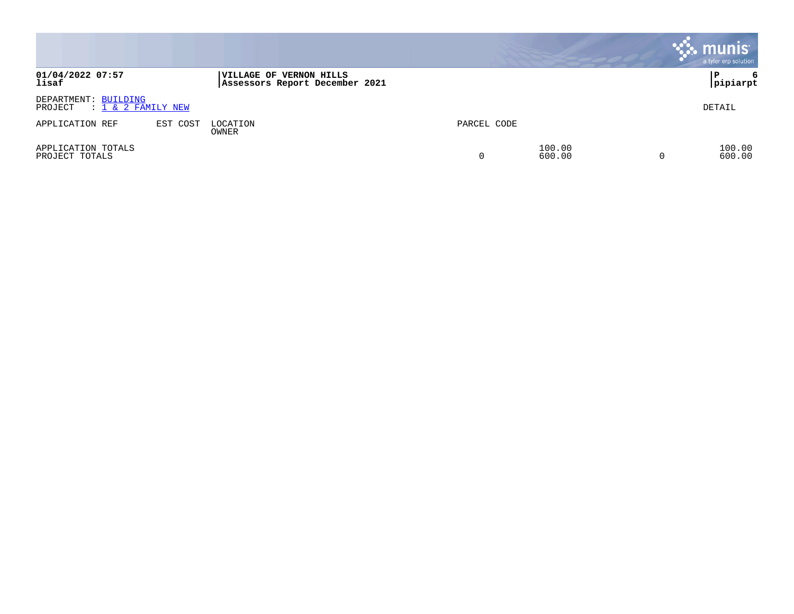|                                                          |          |                                                                  |             |                  | <b>munis</b><br>a tyler erp solution |
|----------------------------------------------------------|----------|------------------------------------------------------------------|-------------|------------------|--------------------------------------|
| 01/04/2022 07:57<br>lisaf                                |          | <b>VILLAGE OF VERNON HILLS</b><br>Assessors Report December 2021 |             |                  | 6<br>P<br> pipiarpt                  |
| DEPARTMENT: BUILDING<br>$: 1 \& 2$ FAMILY NEW<br>PROJECT |          |                                                                  |             |                  | DETAIL                               |
| APPLICATION REF                                          | EST COST | LOCATION<br>OWNER                                                | PARCEL CODE |                  |                                      |
| APPLICATION TOTALS<br>PROJECT TOTALS                     |          |                                                                  | $\Omega$    | 100.00<br>600.00 | 100.00<br>600.00                     |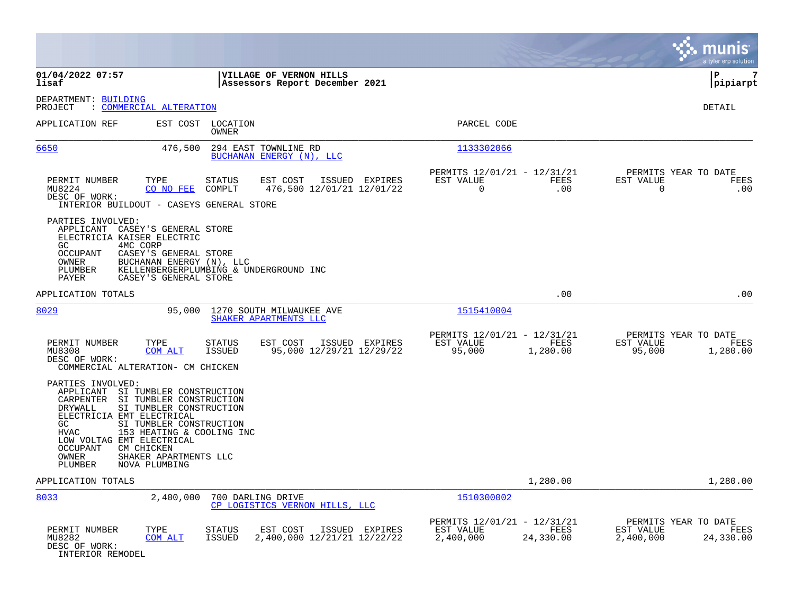|                                                                                                                                                                                                                                                                                                                                                                   |                                                                                      |                                                                            | munis<br>a tyler erp solution                                       |
|-------------------------------------------------------------------------------------------------------------------------------------------------------------------------------------------------------------------------------------------------------------------------------------------------------------------------------------------------------------------|--------------------------------------------------------------------------------------|----------------------------------------------------------------------------|---------------------------------------------------------------------|
| 01/04/2022 07:57<br>lisaf                                                                                                                                                                                                                                                                                                                                         | VILLAGE OF VERNON HILLS<br>Assessors Report December 2021                            |                                                                            | l P<br>7<br> pipiarpt                                               |
| DEPARTMENT: BUILDING<br><u>COMMERCIAL ALTERATION</u><br>PROJECT                                                                                                                                                                                                                                                                                                   |                                                                                      |                                                                            | DETAIL                                                              |
| APPLICATION REF                                                                                                                                                                                                                                                                                                                                                   | EST COST LOCATION<br>OWNER                                                           | PARCEL CODE                                                                |                                                                     |
| 6650<br>476,500                                                                                                                                                                                                                                                                                                                                                   | 294 EAST TOWNLINE RD<br>BUCHANAN ENERGY (N), LLC                                     | 1133302066                                                                 |                                                                     |
| PERMIT NUMBER<br>TYPE<br>MU8224<br>CO NO FEE<br>DESC OF WORK:<br>INTERIOR BUILDOUT - CASEYS GENERAL STORE                                                                                                                                                                                                                                                         | EST COST<br><b>STATUS</b><br>ISSUED EXPIRES<br>476,500 12/01/21 12/01/22<br>COMPLT   | PERMITS 12/01/21 - 12/31/21<br>EST VALUE<br>FEES<br>0<br>.00               | PERMITS YEAR TO DATE<br>EST VALUE<br>FEES<br>.00<br>$\Omega$        |
| PARTIES INVOLVED:<br>APPLICANT CASEY'S GENERAL STORE<br>ELECTRICIA KAISER ELECTRIC<br>4MC CORP<br>GC.<br>CASEY'S GENERAL STORE<br><b>OCCUPANT</b><br>OWNER<br>BUCHANAN ENERGY (N), LLC<br>PLUMBER<br>CASEY'S GENERAL STORE<br>PAYER                                                                                                                               | KELLENBERGERPLUMBING & UNDERGROUND INC                                               |                                                                            |                                                                     |
| APPLICATION TOTALS                                                                                                                                                                                                                                                                                                                                                |                                                                                      | .00                                                                        | .00                                                                 |
| 8029<br>95,000                                                                                                                                                                                                                                                                                                                                                    | 1270 SOUTH MILWAUKEE AVE<br>SHAKER APARTMENTS LLC                                    | 1515410004                                                                 |                                                                     |
| PERMIT NUMBER<br>TYPE<br>MU8308<br>COM ALT<br>DESC OF WORK:<br>COMMERCIAL ALTERATION- CM CHICKEN                                                                                                                                                                                                                                                                  | EST COST<br>ISSUED EXPIRES<br>STATUS<br><b>ISSUED</b><br>95,000 12/29/21 12/29/22    | PERMITS 12/01/21 - 12/31/21<br>EST VALUE<br>FEES<br>95,000<br>1,280.00     | PERMITS YEAR TO DATE<br>EST VALUE<br>FEES<br>95,000<br>1,280.00     |
| PARTIES INVOLVED:<br>APPLICANT SI TUMBLER CONSTRUCTION<br>CARPENTER SI TUMBLER CONSTRUCTION<br>SI TUMBLER CONSTRUCTION<br>DRYWALL<br>ELECTRICIA EMT ELECTRICAL<br>GC.<br>SI TUMBLER CONSTRUCTION<br><b>HVAC</b><br>153 HEATING & COOLING INC<br>LOW VOLTAG EMT ELECTRICAL<br>CM CHICKEN<br>OCCUPANT<br>OWNER<br>SHAKER APARTMENTS LLC<br>PLUMBER<br>NOVA PLUMBING |                                                                                      |                                                                            |                                                                     |
| APPLICATION TOTALS                                                                                                                                                                                                                                                                                                                                                |                                                                                      | 1,280.00                                                                   | 1,280.00                                                            |
| 8033<br>2,400,000                                                                                                                                                                                                                                                                                                                                                 | 700 DARLING DRIVE<br>CP LOGISTICS VERNON HILLS, LLC                                  | 1510300002                                                                 |                                                                     |
| PERMIT NUMBER<br>TYPE<br>MU8282<br>COM ALT<br>DESC OF WORK:<br>INTERIOR REMODEL                                                                                                                                                                                                                                                                                   | <b>STATUS</b><br>EST COST<br>ISSUED EXPIRES<br>2,400,000 12/21/21 12/22/22<br>ISSUED | PERMITS 12/01/21 - 12/31/21<br>EST VALUE<br>FEES<br>2,400,000<br>24,330.00 | PERMITS YEAR TO DATE<br>EST VALUE<br>FEES<br>2,400,000<br>24,330.00 |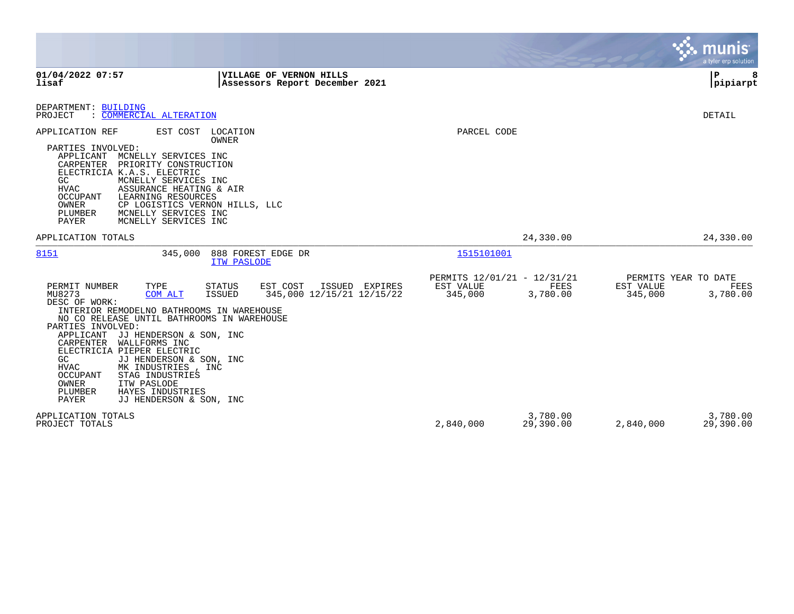|                                                                                                                                                                                                                                                                                                                                                                                                                                                                                        |                                                                                    |                                                     |                       | a tyler erp solution                                             |
|----------------------------------------------------------------------------------------------------------------------------------------------------------------------------------------------------------------------------------------------------------------------------------------------------------------------------------------------------------------------------------------------------------------------------------------------------------------------------------------|------------------------------------------------------------------------------------|-----------------------------------------------------|-----------------------|------------------------------------------------------------------|
| 01/04/2022 07:57<br>lisaf                                                                                                                                                                                                                                                                                                                                                                                                                                                              | VILLAGE OF VERNON HILLS<br>Assessors Report December 2021                          |                                                     |                       | P<br>8<br> pipiarpt                                              |
| DEPARTMENT: BUILDING<br>PROJECT<br>: COMMERCIAL ALTERATION                                                                                                                                                                                                                                                                                                                                                                                                                             |                                                                                    |                                                     |                       | DETAIL                                                           |
| APPLICATION REF<br>EST COST<br>PARTIES INVOLVED:<br>APPLICANT<br>MCNELLY SERVICES INC<br>CARPENTER<br>PRIORITY CONSTRUCTION<br>ELECTRICIA K.A.S. ELECTRIC<br>GC<br>MCNELLY SERVICES INC<br>HVAC<br>ASSURANCE HEATING & AIR<br>OCCUPANT<br>LEARNING RESOURCES<br>OWNER<br>CP LOGISTICS VERNON HILLS, LLC<br>PLUMBER<br>MCNELLY SERVICES INC<br>PAYER<br>MCNELLY SERVICES INC                                                                                                            | LOCATION<br>OWNER                                                                  | PARCEL CODE                                         |                       |                                                                  |
| APPLICATION TOTALS                                                                                                                                                                                                                                                                                                                                                                                                                                                                     |                                                                                    |                                                     | 24,330.00             | 24,330.00                                                        |
| 8151<br>345,000                                                                                                                                                                                                                                                                                                                                                                                                                                                                        | 888 FOREST EDGE DR<br><b>ITW PASLODE</b>                                           | 1515101001                                          |                       |                                                                  |
| PERMIT NUMBER<br>TYPE<br>MU8273<br><b>COM ALT</b><br>DESC OF WORK:<br>INTERIOR REMODELNO BATHROOMS IN WAREHOUSE<br>NO CO RELEASE UNTIL BATHROOMS IN WAREHOUSE<br>PARTIES INVOLVED:<br>APPLICANT<br>JJ HENDERSON & SON, INC<br>CARPENTER<br>WALLFORMS INC<br>ELECTRICIA PIEPER ELECTRIC<br>GC<br>JJ HENDERSON & SON, INC<br><b>HVAC</b><br>MK INDUSTRIES, INC<br>OCCUPANT<br>STAG INDUSTRIES<br>OWNER<br>ITW PASLODE<br>PLUMBER<br>HAYES INDUSTRIES<br>PAYER<br>JJ HENDERSON & SON, INC | <b>STATUS</b><br>EST COST<br>ISSUED EXPIRES<br>345,000 12/15/21 12/15/22<br>ISSUED | PERMITS 12/01/21 - 12/31/21<br>EST VALUE<br>345,000 | FEES<br>3,780.00      | PERMITS YEAR TO DATE<br>EST VALUE<br>FEES<br>345,000<br>3,780.00 |
| APPLICATION TOTALS<br>PROJECT TOTALS                                                                                                                                                                                                                                                                                                                                                                                                                                                   |                                                                                    | 2,840,000                                           | 3,780.00<br>29,390.00 | 3,780.00<br>29,390.00<br>2,840,000                               |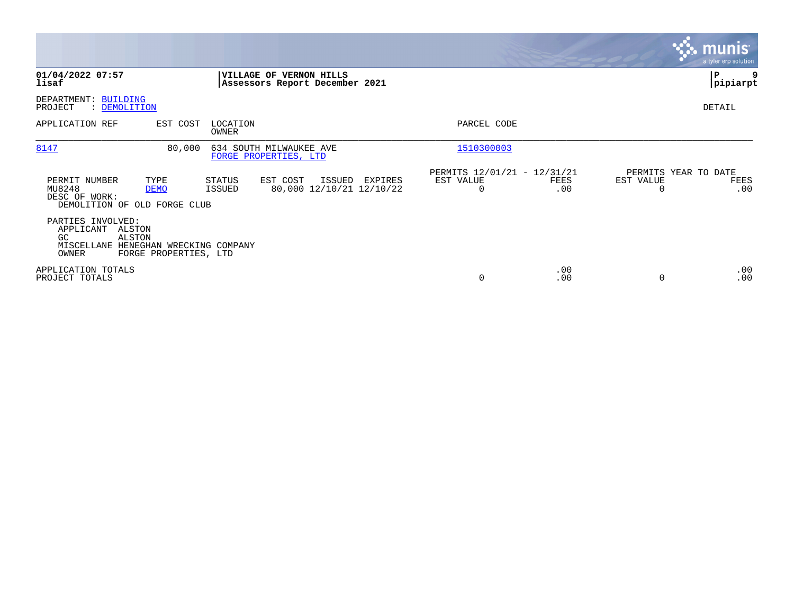|                                                                                                                                       |                                                           |                                               |             |                                        | <b>munis</b><br>a tyler erp solution |
|---------------------------------------------------------------------------------------------------------------------------------------|-----------------------------------------------------------|-----------------------------------------------|-------------|----------------------------------------|--------------------------------------|
| 01/04/2022 07:57<br>lisaf                                                                                                             | VILLAGE OF VERNON HILLS<br>Assessors Report December 2021 |                                               |             |                                        | P<br> pipiarpt                       |
| DEPARTMENT: BUILDING<br>PROJECT<br>: DEMOLITION                                                                                       |                                                           |                                               |             |                                        | DETAIL                               |
| APPLICATION REF<br>EST COST<br>LOCATION<br>OWNER                                                                                      |                                                           | PARCEL CODE                                   |             |                                        |                                      |
| 8147<br>80,000                                                                                                                        | 634 SOUTH MILWAUKEE AVE<br>FORGE PROPERTIES, LTD          | 1510300003                                    |             |                                        |                                      |
| PERMIT NUMBER<br>TYPE<br>STATUS<br>MU8248<br>ISSUED<br><b>DEMO</b><br>DESC OF WORK:<br>DEMOLITION OF OLD FORGE CLUB                   | EST COST<br>ISSUED<br>EXPIRES<br>80,000 12/10/21 12/10/22 | PERMITS 12/01/21 - 12/31/21<br>EST VALUE<br>0 | FEES<br>.00 | PERMITS YEAR TO DATE<br>EST VALUE<br>0 | FEES<br>.00                          |
| PARTIES INVOLVED:<br>APPLICANT<br>ALSTON<br>ALSTON<br>GC<br>MISCELLANE<br>HENEGHAN WRECKING COMPANY<br>OWNER<br>FORGE PROPERTIES, LTD |                                                           |                                               |             |                                        |                                      |
| APPLICATION TOTALS<br>PROJECT TOTALS                                                                                                  |                                                           | 0                                             | .00<br>.00  | $\Omega$                               | .00<br>.00                           |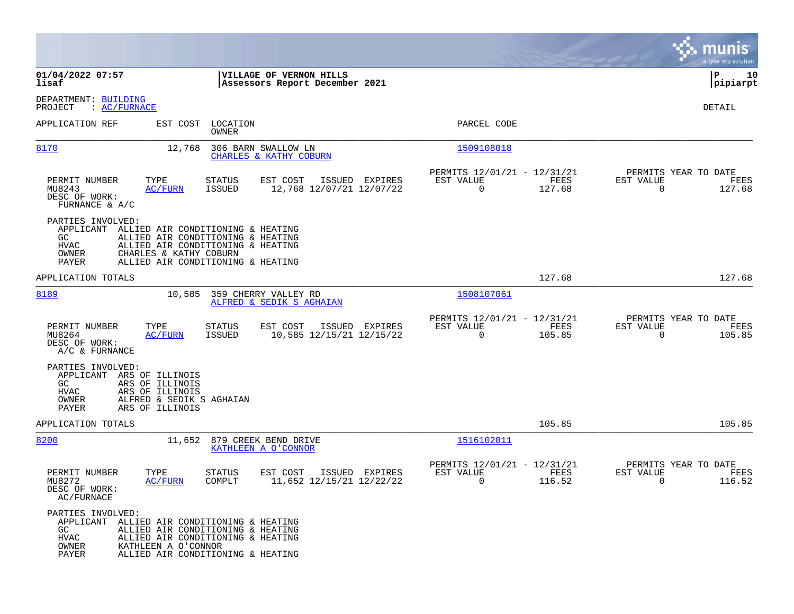|                                                                                                                                                                               |                                                                                                                                                  |                                                                              | munis<br>a tyler erp solution                                   |
|-------------------------------------------------------------------------------------------------------------------------------------------------------------------------------|--------------------------------------------------------------------------------------------------------------------------------------------------|------------------------------------------------------------------------------|-----------------------------------------------------------------|
| 01/04/2022 07:57<br>lisaf                                                                                                                                                     | VILLAGE OF VERNON HILLS<br>Assessors Report December 2021                                                                                        |                                                                              | P<br>10<br> pipiarpt                                            |
| DEPARTMENT: BUILDING<br>: <u>AC/FURNACE</u><br>PROJECT                                                                                                                        |                                                                                                                                                  |                                                                              | DETAIL                                                          |
| APPLICATION REF                                                                                                                                                               | EST COST LOCATION<br>OWNER                                                                                                                       | PARCEL CODE                                                                  |                                                                 |
| 8170<br>12,768                                                                                                                                                                | 306 BARN SWALLOW LN<br>CHARLES & KATHY COBURN                                                                                                    | 1509108018                                                                   |                                                                 |
| TYPE<br>PERMIT NUMBER<br>MU8243<br><b>AC/FURN</b><br>DESC OF WORK:<br>FURNANCE & A/C                                                                                          | EST COST<br>ISSUED EXPIRES<br>STATUS<br>12,768 12/07/21 12/07/22<br>ISSUED                                                                       | PERMITS 12/01/21 - 12/31/21<br>EST VALUE<br>FEES<br>$\overline{0}$<br>127.68 | PERMITS YEAR TO DATE<br>EST VALUE<br>FEES<br>$\Omega$<br>127.68 |
| PARTIES INVOLVED:<br>APPLICANT<br>GC.<br>HVAC<br>OWNER<br>CHARLES & KATHY COBURN<br>PAYER                                                                                     | ALLIED AIR CONDITIONING & HEATING<br>ALLIED AIR CONDITIONING & HEATING<br>ALLIED AIR CONDITIONING & HEATING<br>ALLIED AIR CONDITIONING & HEATING |                                                                              |                                                                 |
| APPLICATION TOTALS                                                                                                                                                            |                                                                                                                                                  | 127.68                                                                       | 127.68                                                          |
| 8189                                                                                                                                                                          | 10,585 359 CHERRY VALLEY RD<br>ALFRED & SEDIK S AGHAIAN                                                                                          | 1508107061                                                                   |                                                                 |
| PERMIT NUMBER<br>TYPE<br>MU8264<br><u>AC/FURN</u><br>DESC OF WORK:<br>A/C & FURNANCE                                                                                          | <b>STATUS</b><br>EST COST<br>ISSUED EXPIRES<br>10,585 12/15/21 12/15/22<br>ISSUED                                                                | PERMITS 12/01/21 - 12/31/21<br>EST VALUE<br>FEES<br>105.85<br>$\Omega$       | PERMITS YEAR TO DATE<br>EST VALUE<br>FEES<br>$\Omega$<br>105.85 |
| PARTIES INVOLVED:<br>ARS OF ILLINOIS<br>APPLICANT<br>GC<br>ARS OF ILLINOIS<br><b>HVAC</b><br>ARS OF ILLINOIS<br>OWNER<br>ALFRED & SEDIK S AGHAIAN<br>PAYER<br>ARS OF ILLINOIS |                                                                                                                                                  |                                                                              |                                                                 |
| APPLICATION TOTALS                                                                                                                                                            |                                                                                                                                                  | 105.85                                                                       | 105.85                                                          |
| 8200                                                                                                                                                                          | 11,652 879 CREEK BEND DRIVE<br>KATHLEEN A O'CONNOR                                                                                               | 1516102011                                                                   |                                                                 |
| PERMIT NUMBER<br>TYPE<br>MU8272<br>AC/FURN<br>DESC OF WORK:<br>AC/FURNACE                                                                                                     | EST COST<br>ISSUED EXPIRES<br>STATUS<br>11,652 12/15/21 12/22/22<br>COMPLT                                                                       | PERMITS 12/01/21 - 12/31/21<br>EST VALUE<br>FEES<br>116.52<br>0              | PERMITS YEAR TO DATE<br>EST VALUE<br>FEES<br>116.52<br>0        |
| PARTIES INVOLVED:<br>APPLICANT ALLIED AIR CONDITIONING & HEATING<br>GC<br><b>HVAC</b><br>OWNER<br>KATHLEEN A O'CONNOR<br>PAYER                                                | ALLIED AIR CONDITIONING & HEATING<br>ALLIED AIR CONDITIONING & HEATING<br>ALLIED AIR CONDITIONING & HEATING                                      |                                                                              |                                                                 |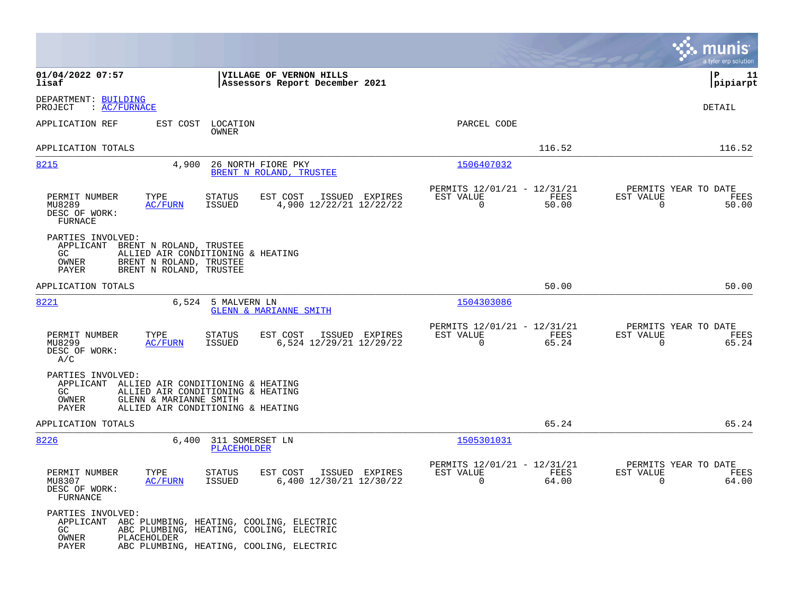|                                                                                                                                                                                                         |                                                                          | munis<br>a tyler erp solution                                     |
|---------------------------------------------------------------------------------------------------------------------------------------------------------------------------------------------------------|--------------------------------------------------------------------------|-------------------------------------------------------------------|
| 01/04/2022 07:57<br>VILLAGE OF VERNON HILLS<br>lisaf<br>Assessors Report December 2021                                                                                                                  |                                                                          | l P<br>11<br> pipiarpt                                            |
| DEPARTMENT: BUILDING<br>: AC/FURNACE<br>PROJECT                                                                                                                                                         |                                                                          | <b>DETAIL</b>                                                     |
| APPLICATION REF<br>EST COST LOCATION<br>OWNER                                                                                                                                                           | PARCEL CODE                                                              |                                                                   |
| APPLICATION TOTALS                                                                                                                                                                                      | 116.52                                                                   | 116.52                                                            |
| 8215<br>4,900<br>26 NORTH FIORE PKY<br>BRENT N ROLAND, TRUSTEE                                                                                                                                          | 1506407032                                                               |                                                                   |
| TYPE<br>PERMIT NUMBER<br><b>STATUS</b><br>EST COST<br>ISSUED EXPIRES<br>MU8289<br><b>AC/FURN</b><br>ISSUED<br>4,900 12/22/21 12/22/22<br>DESC OF WORK:<br>FURNACE                                       | PERMITS 12/01/21 - 12/31/21<br>EST VALUE<br>FEES<br>$\mathbf 0$<br>50.00 | PERMITS YEAR TO DATE<br>EST VALUE<br>FEES<br>$\mathbf 0$<br>50.00 |
| PARTIES INVOLVED:<br>APPLICANT BRENT N ROLAND, TRUSTEE<br>GC<br>ALLIED AIR CONDITIONING & HEATING<br>BRENT N ROLAND, TRUSTEE<br>OWNER<br>BRENT N ROLAND, TRUSTEE<br>PAYER                               |                                                                          |                                                                   |
| APPLICATION TOTALS                                                                                                                                                                                      | 50.00                                                                    | 50.00                                                             |
| 8221<br>6,524 5 MALVERN LN<br><b>GLENN &amp; MARIANNE SMITH</b>                                                                                                                                         | 1504303086                                                               |                                                                   |
| PERMIT NUMBER<br>TYPE<br>EST COST<br>STATUS<br>ISSUED EXPIRES<br><b>ISSUED</b><br>6,524 12/29/21 12/29/22<br>MU8299<br>AC/FURN<br>DESC OF WORK:<br>A/C                                                  | PERMITS 12/01/21 - 12/31/21<br>EST VALUE<br>FEES<br>$\mathbf 0$<br>65.24 | PERMITS YEAR TO DATE<br>EST VALUE<br>FEES<br>$\mathbf 0$<br>65.24 |
| PARTIES INVOLVED:<br>APPLICANT ALLIED AIR CONDITIONING & HEATING<br>GC.<br>ALLIED AIR CONDITIONING & HEATING<br>OWNER<br>GLENN & MARIANNE SMITH<br>ALLIED AIR CONDITIONING & HEATING<br>PAYER           |                                                                          |                                                                   |
| APPLICATION TOTALS                                                                                                                                                                                      | 65.24                                                                    | 65.24                                                             |
| 8226<br>6,400<br>311 SOMERSET LN<br>PLACEHOLDER                                                                                                                                                         | 1505301031                                                               |                                                                   |
| PERMIT NUMBER<br>TYPE<br><b>STATUS</b><br>EST COST<br>ISSUED EXPIRES<br>ISSUED<br>6,400 12/30/21 12/30/22<br>MU8307<br>AC/FURN<br>DESC OF WORK:<br>FURNANCE                                             | PERMITS 12/01/21 - 12/31/21<br>EST VALUE<br>FEES<br>$\Omega$<br>64.00    | PERMITS YEAR TO DATE<br>EST VALUE<br>FEES<br>64.00<br>$\Omega$    |
| PARTIES INVOLVED:<br>APPLICANT ABC PLUMBING, HEATING, COOLING, ELECTRIC<br>GC.<br>ABC PLUMBING, HEATING, COOLING, ELECTRIC<br>OWNER<br>PLACEHOLDER<br>ABC PLUMBING, HEATING, COOLING, ELECTRIC<br>PAYER |                                                                          |                                                                   |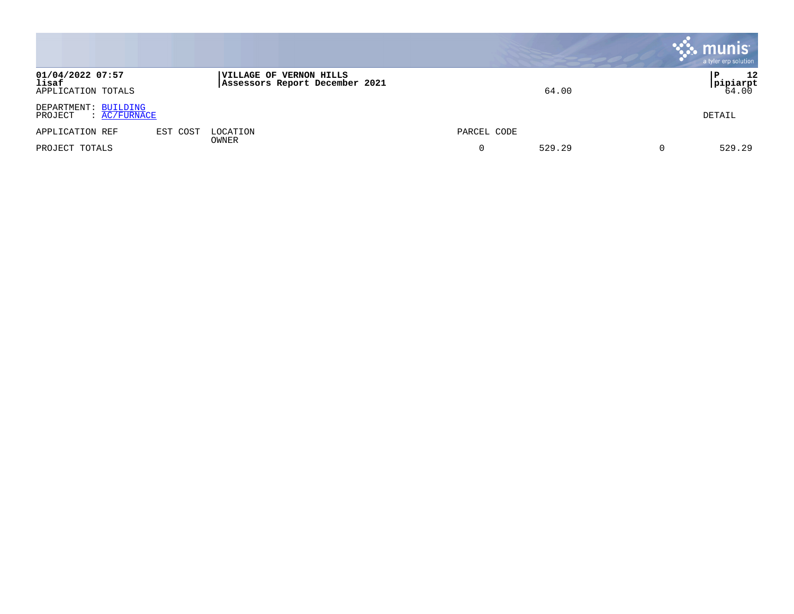|                                                        |          |                                                                  |             | munis<br>a tyler erp solution |
|--------------------------------------------------------|----------|------------------------------------------------------------------|-------------|-------------------------------|
| 01/04/2022 07:57<br>lisaf<br>APPLICATION TOTALS        |          | <b>VILLAGE OF VERNON HILLS</b><br>Assessors Report December 2021 | 64.00       | 12<br>P<br> pipiarpt<br>64.00 |
| DEPARTMENT: BUILDING<br>$\colon$ AC/FURNACE<br>PROJECT |          |                                                                  |             | DETAIL                        |
| APPLICATION REF                                        | EST COST | LOCATION<br>OWNER                                                | PARCEL CODE |                               |
| PROJECT TOTALS                                         |          |                                                                  | 529.29      | 529.29                        |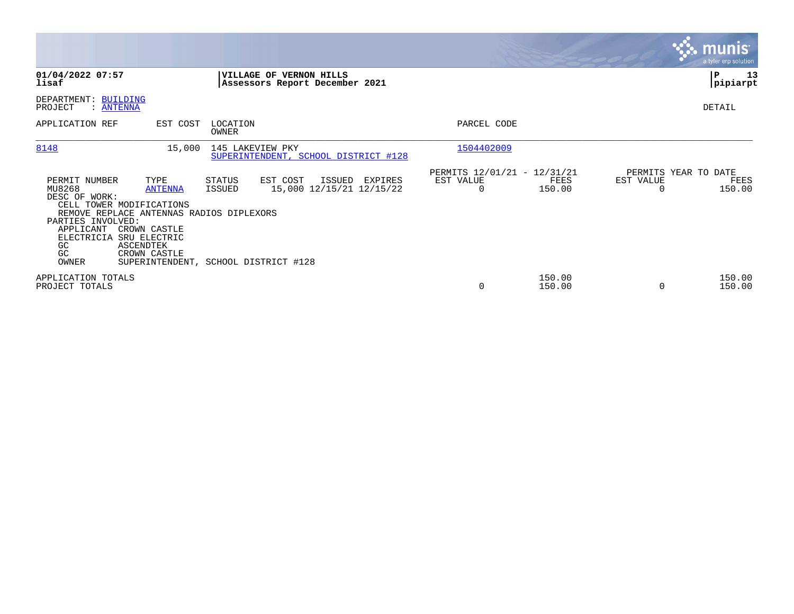|                                                                                                                                                                                                    |                                                                     |                                                          |                                                                  |         |                                                      |                  |           | munis <sup>®</sup><br>a tyler erp solution |
|----------------------------------------------------------------------------------------------------------------------------------------------------------------------------------------------------|---------------------------------------------------------------------|----------------------------------------------------------|------------------------------------------------------------------|---------|------------------------------------------------------|------------------|-----------|--------------------------------------------|
| 01/04/2022 07:57<br>lisaf                                                                                                                                                                          |                                                                     |                                                          | <b>VILLAGE OF VERNON HILLS</b><br>Assessors Report December 2021 |         |                                                      |                  |           | ∣P<br>13<br> pipiarpt                      |
| DEPARTMENT: BUILDING<br>PROJECT<br>: ANTENNA                                                                                                                                                       |                                                                     |                                                          |                                                                  |         |                                                      |                  |           | DETAIL                                     |
| APPLICATION REF                                                                                                                                                                                    | EST COST                                                            | LOCATION<br>OWNER                                        |                                                                  |         | PARCEL CODE                                          |                  |           |                                            |
| 8148                                                                                                                                                                                               | 15,000                                                              | 145 LAKEVIEW PKY                                         | SUPERINTENDENT, SCHOOL DISTRICT #128                             |         | 1504402009                                           |                  |           |                                            |
| PERMIT NUMBER<br>MU8268<br>DESC OF WORK:<br>CELL TOWER MODIFICATIONS<br>REMOVE REPLACE ANTENNAS RADIOS DIPLEXORS<br>PARTIES INVOLVED:<br>APPLICANT<br>ELECTRICIA SRU ELECTRIC<br>GC<br>GC<br>OWNER | TYPE<br><b>ANTENNA</b><br>CROWN CASTLE<br>ASCENDTEK<br>CROWN CASTLE | STATUS<br>ISSUED<br>SUPERINTENDENT, SCHOOL DISTRICT #128 | EST COST<br>ISSUED<br>15,000 12/15/21 12/15/22                   | EXPIRES | PERMITS 12/01/21 - 12/31/21<br>EST VALUE<br>$\Omega$ | FEES<br>150.00   | EST VALUE | PERMITS YEAR TO DATE<br>FEES<br>150.00     |
| APPLICATION TOTALS<br>PROJECT TOTALS                                                                                                                                                               |                                                                     |                                                          |                                                                  |         | 0                                                    | 150.00<br>150.00 |           | 150.00<br>150.00                           |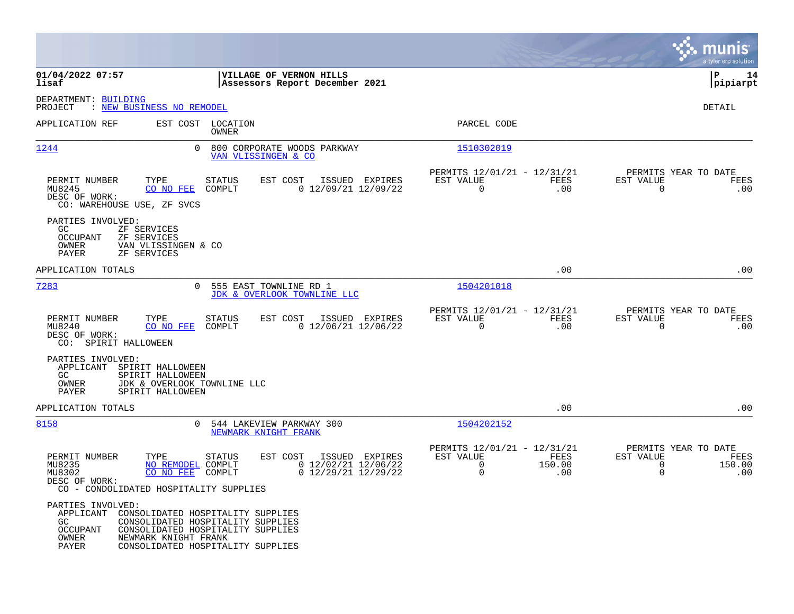|                                                                                                                            |                                                                                                                                                  |                                                                                                 | munis<br>a tyler erp solution                                                  |
|----------------------------------------------------------------------------------------------------------------------------|--------------------------------------------------------------------------------------------------------------------------------------------------|-------------------------------------------------------------------------------------------------|--------------------------------------------------------------------------------|
| 01/04/2022 07:57<br>lisaf                                                                                                  | VILLAGE OF VERNON HILLS<br>Assessors Report December 2021                                                                                        |                                                                                                 | ∣P<br>14<br> pipiarpt                                                          |
| DEPARTMENT: BUILDING<br>: NEW BUSINESS NO REMODEL<br>PROJECT                                                               |                                                                                                                                                  |                                                                                                 | <b>DETAIL</b>                                                                  |
| APPLICATION REF                                                                                                            | EST COST LOCATION<br>OWNER                                                                                                                       | PARCEL CODE                                                                                     |                                                                                |
| 1244                                                                                                                       | $\Omega$<br>800 CORPORATE WOODS PARKWAY<br>VAN VLISSINGEN & CO                                                                                   | 1510302019                                                                                      |                                                                                |
| PERMIT NUMBER<br>TYPE<br>MU8245<br>CO NO FEE<br>DESC OF WORK:<br>CO: WAREHOUSE USE, ZF SVCS                                | <b>STATUS</b><br>EST COST<br>ISSUED EXPIRES<br>$0$ 12/09/21 12/09/22<br>COMPLT                                                                   | PERMITS 12/01/21 - 12/31/21<br>EST VALUE<br>FEES<br>$\mathbf 0$<br>.00                          | PERMITS YEAR TO DATE<br>EST VALUE<br>FEES<br>$\mathbf 0$<br>.00                |
| PARTIES INVOLVED:<br>GC.<br>ZF SERVICES<br>OCCUPANT<br>ZF SERVICES<br>OWNER<br>VAN VLISSINGEN & CO<br>PAYER<br>ZF SERVICES |                                                                                                                                                  |                                                                                                 |                                                                                |
| APPLICATION TOTALS                                                                                                         |                                                                                                                                                  | .00                                                                                             | .00                                                                            |
| 7283                                                                                                                       | 555 EAST TOWNLINE RD 1<br>$\Omega$<br>JDK & OVERLOOK TOWNLINE LLC                                                                                | 1504201018                                                                                      |                                                                                |
| PERMIT NUMBER<br>TYPE<br>CO NO FEE<br>MU8240<br>DESC OF WORK:<br>CO: SPIRIT HALLOWEEN                                      | EST COST<br>ISSUED EXPIRES<br>STATUS<br>$0$ 12/06/21 12/06/22<br>COMPLT                                                                          | PERMITS 12/01/21 - 12/31/21<br>EST VALUE<br>FEES<br>$\mathbf 0$<br>.00                          | PERMITS YEAR TO DATE<br>EST VALUE<br>FEES<br>$\mathbf 0$<br>.00                |
| PARTIES INVOLVED:<br>APPLICANT<br>SPIRIT HALLOWEEN<br>GC<br>SPIRIT HALLOWEEN<br>OWNER<br>PAYER<br>SPIRIT HALLOWEEN         | JDK & OVERLOOK TOWNLINE LLC                                                                                                                      |                                                                                                 |                                                                                |
| APPLICATION TOTALS                                                                                                         |                                                                                                                                                  | .00                                                                                             | .00                                                                            |
| 8158                                                                                                                       | 544 LAKEVIEW PARKWAY 300<br>$\Omega$<br>NEWMARK KNIGHT FRANK                                                                                     | 1504202152                                                                                      |                                                                                |
| PERMIT NUMBER<br>TYPE<br>MU8235<br>MU8302<br>CO NO FEE<br>DESC OF WORK:<br>CO - CONDOLIDATED HOSPITALITY SUPPLIES          | <b>STATUS</b><br>EST COST<br>ISSUED EXPIRES<br>$0$ 12/02/21 12/06/22<br>NO REMODEL COMPLT<br>$0$ 12/29/21 12/29/22<br>COMPLT                     | PERMITS 12/01/21 - 12/31/21<br>EST VALUE<br>FEES<br>$\mathbf 0$<br>150.00<br>$\mathbf 0$<br>.00 | PERMITS YEAR TO DATE<br>EST VALUE<br>FEES<br>150.00<br>0<br>$\mathbf 0$<br>.00 |
| PARTIES INVOLVED:<br>APPLICANT<br>GC<br>OCCUPANT<br>OWNER<br>NEWMARK KNIGHT FRANK<br>PAYER                                 | CONSOLIDATED HOSPITALITY SUPPLIES<br>CONSOLIDATED HOSPITALITY SUPPLIES<br>CONSOLIDATED HOSPITALITY SUPPLIES<br>CONSOLIDATED HOSPITALITY SUPPLIES |                                                                                                 |                                                                                |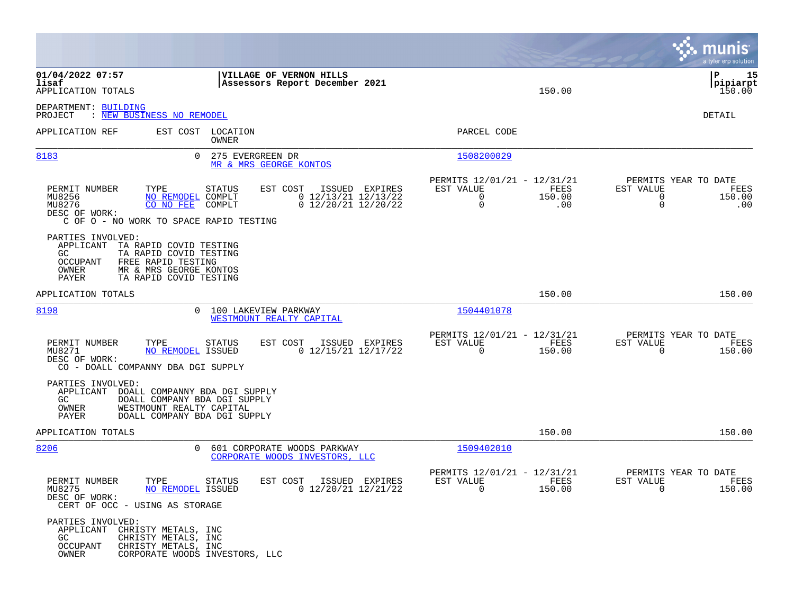|                                                                                                                                                                                                                                                       |                                                                                                 | munis<br>a tyler erp solution                                                            |
|-------------------------------------------------------------------------------------------------------------------------------------------------------------------------------------------------------------------------------------------------------|-------------------------------------------------------------------------------------------------|------------------------------------------------------------------------------------------|
| 01/04/2022 07:57<br>VILLAGE OF VERNON HILLS<br>lisaf<br>Assessors Report December 2021<br>APPLICATION TOTALS                                                                                                                                          | 150.00                                                                                          | P<br>15<br> pipiarpt<br>150.00                                                           |
| DEPARTMENT: BUILDING<br><b>NEW BUSINESS NO REMODEL</b><br>PROJECT                                                                                                                                                                                     |                                                                                                 | DETAIL                                                                                   |
| EST COST LOCATION<br>APPLICATION REF<br>OWNER                                                                                                                                                                                                         | PARCEL CODE                                                                                     |                                                                                          |
| 8183<br>0<br>275 EVERGREEN DR<br>MR & MRS GEORGE KONTOS                                                                                                                                                                                               | 1508200029                                                                                      |                                                                                          |
| PERMIT NUMBER<br>TYPE<br><b>STATUS</b><br>EST COST<br>ISSUED EXPIRES<br>$0$ 12/13/21 12/13/22<br>MU8256<br>NO REMODEL<br>COMPLT<br>MU8276<br>CO NO FEE<br>$0$ 12/20/21 12/20/22<br>COMPLT<br>DESC OF WORK:<br>C OF O - NO WORK TO SPACE RAPID TESTING | PERMITS 12/01/21 - 12/31/21<br>EST VALUE<br>FEES<br>$\mathbf 0$<br>150.00<br>$\mathbf 0$<br>.00 | PERMITS YEAR TO DATE<br>EST VALUE<br>FEES<br>$\mathbf 0$<br>150.00<br>$\mathbf 0$<br>.00 |
| PARTIES INVOLVED:<br>APPLICANT<br>TA RAPID COVID TESTING<br>GC<br>TA RAPID COVID TESTING<br>OCCUPANT<br>FREE RAPID TESTING<br>MR & MRS GEORGE KONTOS<br>OWNER<br>TA RAPID COVID TESTING<br>PAYER                                                      |                                                                                                 |                                                                                          |
| APPLICATION TOTALS                                                                                                                                                                                                                                    | 150.00                                                                                          | 150.00                                                                                   |
| 8198<br>100 LAKEVIEW PARKWAY<br>0<br>WESTMOUNT REALTY CAPITAL                                                                                                                                                                                         | 1504401078                                                                                      |                                                                                          |
| PERMIT NUMBER<br><b>STATUS</b><br>EST COST<br>ISSUED EXPIRES<br>TYPE<br>$0$ 12/15/21 12/17/22<br>MU8271<br><b>NO REMODEL ISSUED</b><br>DESC OF WORK:<br>CO - DOALL COMPANNY DBA DGI SUPPLY                                                            | PERMITS 12/01/21 - 12/31/21<br>EST VALUE<br>FEES<br>$\Omega$<br>150.00                          | PERMITS YEAR TO DATE<br>EST VALUE<br>FEES<br>$\Omega$<br>150.00                          |
| PARTIES INVOLVED:<br>APPLICANT<br>DOALL COMPANNY BDA DGI SUPPLY<br>GC.<br>DOALL COMPANY BDA DGI SUPPLY<br>OWNER<br>WESTMOUNT REALTY CAPITAL<br>PAYER<br>DOALL COMPANY BDA DGI SUPPLY                                                                  |                                                                                                 |                                                                                          |
| APPLICATION TOTALS                                                                                                                                                                                                                                    | 150.00                                                                                          | 150.00                                                                                   |
| 8206<br>$\Omega$<br>601 CORPORATE WOODS PARKWAY<br>CORPORATE WOODS INVESTORS, LLC                                                                                                                                                                     | 1509402010                                                                                      |                                                                                          |
| PERMIT NUMBER<br>TYPE<br>EST COST<br>STATUS<br>ISSUED EXPIRES<br>MU8275<br>0 12/20/21 12/21/22<br>NO REMODEL ISSUED<br>DESC OF WORK:<br>CERT OF OCC - USING AS STORAGE                                                                                | PERMITS 12/01/21 - 12/31/21<br>FEES<br>EST VALUE<br>$\mathbf 0$<br>150.00                       | PERMITS YEAR TO DATE<br>EST VALUE<br>FEES<br>0<br>150.00                                 |
| PARTIES INVOLVED:<br>APPLICANT<br>CHRISTY METALS, INC<br>GC.<br>CHRISTY METALS, INC<br>OCCUPANT<br>CHRISTY METALS, INC<br>OWNER<br>CORPORATE WOODS INVESTORS, LLC                                                                                     |                                                                                                 |                                                                                          |

 $\mathcal{L}^{\text{max}}$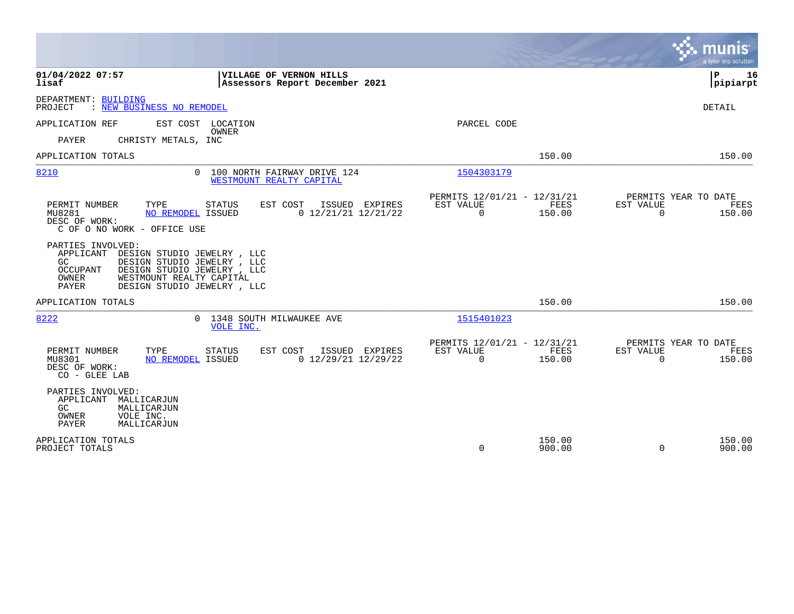|                                                                                                                                                                                                                                       |                                                                              | munis<br>a tyler erp solution                                             |
|---------------------------------------------------------------------------------------------------------------------------------------------------------------------------------------------------------------------------------------|------------------------------------------------------------------------------|---------------------------------------------------------------------------|
| 01/04/2022 07:57<br>VILLAGE OF VERNON HILLS<br>lisaf<br>Assessors Report December 2021                                                                                                                                                |                                                                              | P<br>16<br> pipiarpt                                                      |
| DEPARTMENT: BUILDING<br>: NEW BUSINESS NO REMODEL<br>PROJECT                                                                                                                                                                          |                                                                              | DETAIL                                                                    |
| EST COST LOCATION<br>APPLICATION REF                                                                                                                                                                                                  | PARCEL CODE                                                                  |                                                                           |
| OWNER<br>CHRISTY METALS, INC<br>PAYER                                                                                                                                                                                                 |                                                                              |                                                                           |
| APPLICATION TOTALS                                                                                                                                                                                                                    | 150.00                                                                       | 150.00                                                                    |
| 8210<br>0 100 NORTH FAIRWAY DRIVE 124<br>WESTMOUNT REALTY CAPITAL                                                                                                                                                                     | 1504303179                                                                   |                                                                           |
| PERMIT NUMBER<br>TYPE<br>EST COST<br>ISSUED EXPIRES<br>STATUS<br>$0$ 12/21/21 12/21/22<br>MU8281<br>NO REMODEL ISSUED<br>DESC OF WORK:<br>C OF O NO WORK - OFFICE USE                                                                 | PERMITS 12/01/21 - 12/31/21<br>EST VALUE<br>FEES<br>$\Omega$<br>150.00       | PERMITS YEAR TO DATE<br>EST VALUE<br>FEES<br>$\Omega$<br>150.00           |
| PARTIES INVOLVED:<br>DESIGN STUDIO JEWELRY, LLC<br>APPLICANT<br>GC<br>DESIGN STUDIO JEWELRY, LLC<br><b>OCCUPANT</b><br>DESIGN STUDIO JEWELRY , LLC<br>OWNER<br>WESTMOUNT REALTY CAPITAL<br><b>PAYER</b><br>DESIGN STUDIO JEWELRY, LLC |                                                                              |                                                                           |
| APPLICATION TOTALS                                                                                                                                                                                                                    | 150.00                                                                       | 150.00                                                                    |
| 8222<br>0 1348 SOUTH MILWAUKEE AVE<br>VOLE INC.                                                                                                                                                                                       | 1515401023                                                                   |                                                                           |
| PERMIT NUMBER<br>TYPE<br>EST COST<br>ISSUED EXPIRES<br><b>STATUS</b><br>$0$ 12/29/21 12/29/22<br>MU8301<br>NO REMODEL ISSUED<br>DESC OF WORK:<br>CO - GLEE LAB                                                                        | PERMITS 12/01/21 - 12/31/21<br>EST VALUE<br>FEES<br>$\overline{0}$<br>150.00 | PERMITS YEAR TO DATE<br><b>EST VALUE</b><br>FEES<br>$\mathbf 0$<br>150.00 |
| PARTIES INVOLVED:<br>APPLICANT<br>MALLICARJUN<br>GC.<br>MALLICARJUN<br>OWNER<br>VOLE INC.<br>PAYER<br>MALLICARJUN                                                                                                                     |                                                                              |                                                                           |
| APPLICATION TOTALS<br>PROJECT TOTALS                                                                                                                                                                                                  | 150.00<br>$\Omega$<br>900.00                                                 | 150.00<br>$\Omega$<br>900.00                                              |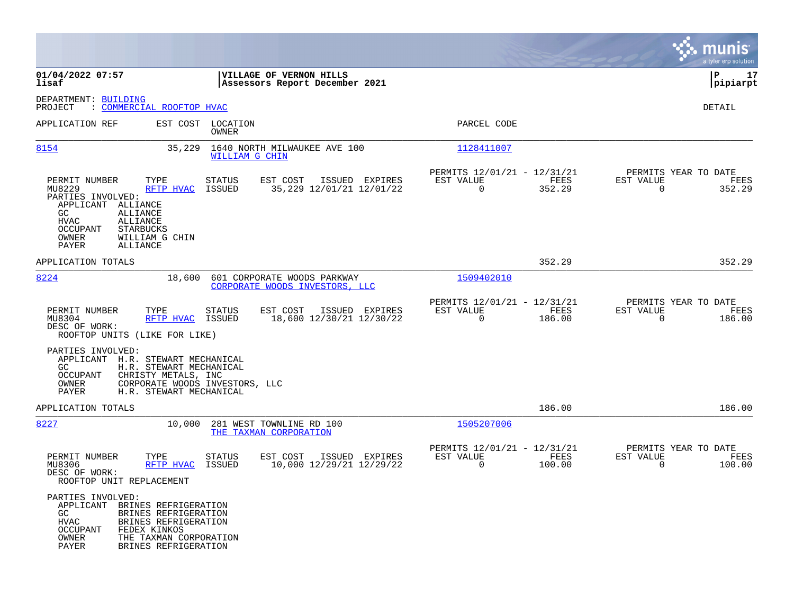|                                                                                                                                                                                                                             |                                                                                    |                                                                           | munis<br>a tyler erp solution                                      |
|-----------------------------------------------------------------------------------------------------------------------------------------------------------------------------------------------------------------------------|------------------------------------------------------------------------------------|---------------------------------------------------------------------------|--------------------------------------------------------------------|
| 01/04/2022 07:57<br>lisaf                                                                                                                                                                                                   | VILLAGE OF VERNON HILLS<br>Assessors Report December 2021                          |                                                                           | P<br>17<br> pipiarpt                                               |
| DEPARTMENT: BUILDING<br>: COMMERCIAL ROOFTOP HVAC<br>PROJECT                                                                                                                                                                |                                                                                    |                                                                           | <b>DETAIL</b>                                                      |
| APPLICATION REF<br>EST COST                                                                                                                                                                                                 | LOCATION<br>OWNER                                                                  | PARCEL CODE                                                               |                                                                    |
| 8154<br>35,229                                                                                                                                                                                                              | 1640 NORTH MILWAUKEE AVE 100<br>WILLIAM G CHIN                                     | 1128411007                                                                |                                                                    |
| PERMIT NUMBER<br>TYPE<br>MU8229<br>RFTP HVAC<br>PARTIES INVOLVED:<br>APPLICANT ALLIANCE<br>GC<br><b>ALLIANCE</b><br>HVAC<br>ALLIANCE<br>OCCUPANT<br><b>STARBUCKS</b><br>OWNER<br>WILLIAM G CHIN<br>PAYER<br>ALLIANCE        | EST COST<br>ISSUED EXPIRES<br><b>STATUS</b><br>35, 229 12/01/21 12/01/22<br>ISSUED | PERMITS 12/01/21 - 12/31/21<br>EST VALUE<br>FEES<br>$\mathbf 0$<br>352.29 | PERMITS YEAR TO DATE<br>EST VALUE<br>FEES<br>$\mathbf 0$<br>352.29 |
| APPLICATION TOTALS                                                                                                                                                                                                          |                                                                                    | 352.29                                                                    | 352.29                                                             |
| 8224<br>18,600                                                                                                                                                                                                              | 601 CORPORATE WOODS PARKWAY<br>CORPORATE WOODS INVESTORS, LLC                      | 1509402010                                                                |                                                                    |
| PERMIT NUMBER<br>TYPE<br>MU8304<br>RFTP HVAC<br>DESC OF WORK:<br>ROOFTOP UNITS (LIKE FOR LIKE)                                                                                                                              | EST COST<br>ISSUED EXPIRES<br><b>STATUS</b><br>ISSUED<br>18,600 12/30/21 12/30/22  | PERMITS 12/01/21 - 12/31/21<br>EST VALUE<br>FEES<br>$\mathbf 0$<br>186.00 | PERMITS YEAR TO DATE<br>EST VALUE<br>FEES<br>0<br>186.00           |
| PARTIES INVOLVED:<br>APPLICANT<br>H.R. STEWART MECHANICAL<br>GC<br>H.R. STEWART MECHANICAL<br>OCCUPANT<br>CHRISTY METALS, INC<br>OWNER<br>PAYER<br>H.R. STEWART MECHANICAL                                                  | CORPORATE WOODS INVESTORS, LLC                                                     |                                                                           |                                                                    |
| APPLICATION TOTALS                                                                                                                                                                                                          |                                                                                    | 186.00                                                                    | 186.00                                                             |
| 8227<br>10,000                                                                                                                                                                                                              | 281 WEST TOWNLINE RD 100<br>THE TAXMAN CORPORATION                                 | 1505207006                                                                |                                                                    |
| PERMIT NUMBER<br>TYPE<br>MU8306<br>RFTP HVAC<br>DESC OF WORK:<br>ROOFTOP UNIT REPLACEMENT                                                                                                                                   | EST COST<br>ISSUED EXPIRES<br><b>STATUS</b><br>10,000 12/29/21 12/29/22<br>ISSUED  | PERMITS 12/01/21 - 12/31/21<br>FEES<br>EST VALUE<br>$\mathbf 0$<br>100.00 | PERMITS YEAR TO DATE<br>EST VALUE<br>FEES<br>$\mathbf 0$<br>100.00 |
| PARTIES INVOLVED:<br>APPLICANT<br>BRINES REFRIGERATION<br>GC<br>BRINES REFRIGERATION<br><b>HVAC</b><br>BRINES REFRIGERATION<br>OCCUPANT<br>FEDEX KINKOS<br>OWNER<br>THE TAXMAN CORPORATION<br>PAYER<br>BRINES REFRIGERATION |                                                                                    |                                                                           |                                                                    |

 $\mathcal{L}^{\text{max}}$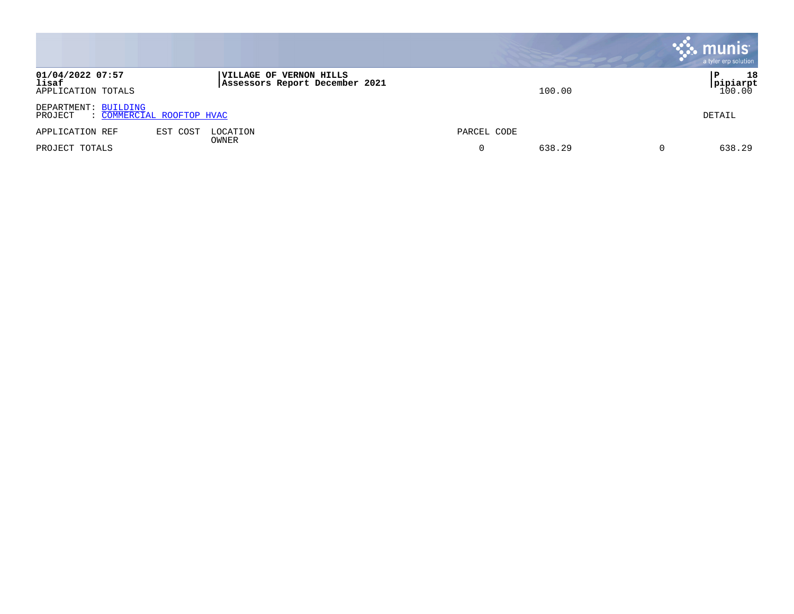|                                                              |                                                                  |             | munis<br>a tyler erp solution  |
|--------------------------------------------------------------|------------------------------------------------------------------|-------------|--------------------------------|
| 01/04/2022 07:57<br>lisaf<br>APPLICATION TOTALS              | <b>VILLAGE OF VERNON HILLS</b><br>Assessors Report December 2021 | 100.00      | 18<br>Р<br>pipiarpt <br>100.00 |
| DEPARTMENT: BUILDING<br>: COMMERCIAL ROOFTOP HVAC<br>PROJECT |                                                                  |             | DETAIL                         |
| APPLICATION REF                                              | EST COST<br>LOCATION<br>OWNER                                    | PARCEL CODE |                                |
| PROJECT TOTALS                                               |                                                                  | 638.29<br>0 | 638.29                         |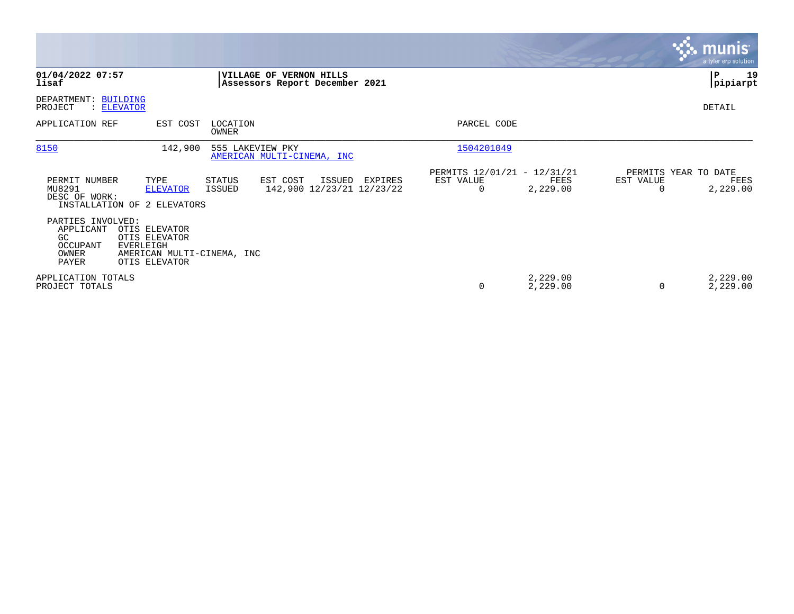|                                                                     |                                                                                            |                          |                                                           |         |                                                         |                      |                       | <b>munis</b><br>a tyler erp solution     |
|---------------------------------------------------------------------|--------------------------------------------------------------------------------------------|--------------------------|-----------------------------------------------------------|---------|---------------------------------------------------------|----------------------|-----------------------|------------------------------------------|
| 01/04/2022 07:57<br>lisaf                                           |                                                                                            |                          | VILLAGE OF VERNON HILLS<br>Assessors Report December 2021 |         |                                                         |                      |                       | 19<br>P<br> pipiarpt                     |
| DEPARTMENT:<br>PROJECT                                              | <b>BUILDING</b><br>: ELEVATOR                                                              |                          |                                                           |         |                                                         |                      |                       | DETAIL                                   |
| APPLICATION REF                                                     | EST COST                                                                                   | LOCATION<br><b>OWNER</b> |                                                           |         | PARCEL CODE                                             |                      |                       |                                          |
| 8150                                                                | 142,900                                                                                    | 555 LAKEVIEW PKY         | AMERICAN MULTI-CINEMA, INC                                |         | 1504201049                                              |                      |                       |                                          |
| PERMIT NUMBER<br>MU8291<br>DESC OF WORK:                            | TYPE<br><b>ELEVATOR</b><br>INSTALLATION OF 2 ELEVATORS                                     | STATUS<br>ISSUED         | EST COST<br>ISSUED<br>142,900 12/23/21 12/23/22           | EXPIRES | PERMITS 12/01/21 - 12/31/21<br>EST VALUE<br>$\mathbf 0$ | FEES<br>2,229.00     | EST VALUE<br>$\Omega$ | PERMITS YEAR TO DATE<br>FEES<br>2,229.00 |
| PARTIES INVOLVED:<br>APPLICANT<br>GC.<br>OCCUPANT<br>OWNER<br>PAYER | OTIS ELEVATOR<br>OTIS ELEVATOR<br>EVERLEIGH<br>AMERICAN MULTI-CINEMA, INC<br>OTIS ELEVATOR |                          |                                                           |         |                                                         |                      |                       |                                          |
| APPLICATION TOTALS<br>PROJECT TOTALS                                |                                                                                            |                          |                                                           |         | 0                                                       | 2,229.00<br>2,229.00 | $\Omega$              | 2,229.00<br>2,229.00                     |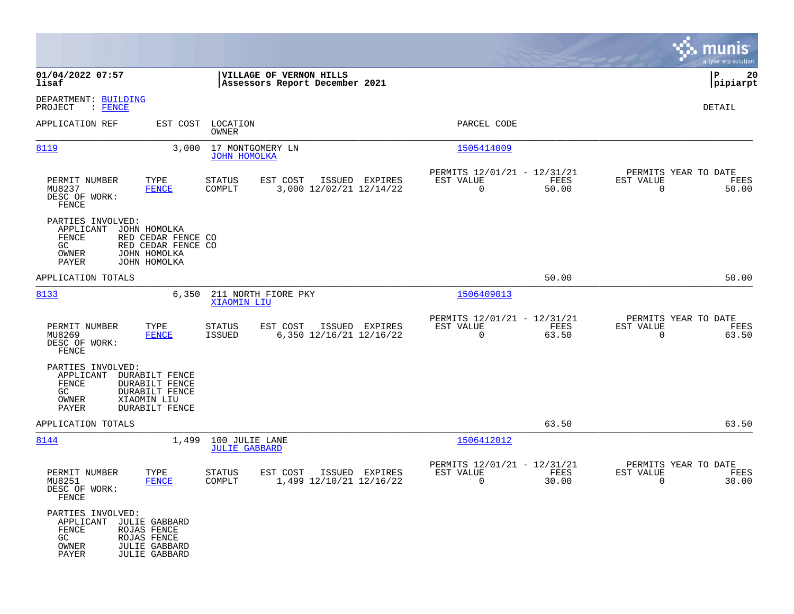|                                                                               |                                                                                            |                                                           |                                           |                                                         |               |                                                  | munis<br>a tyler erp solution |
|-------------------------------------------------------------------------------|--------------------------------------------------------------------------------------------|-----------------------------------------------------------|-------------------------------------------|---------------------------------------------------------|---------------|--------------------------------------------------|-------------------------------|
| 01/04/2022 07:57<br>lisaf                                                     |                                                                                            | VILLAGE OF VERNON HILLS<br>Assessors Report December 2021 |                                           |                                                         |               |                                                  | 20<br>P<br> pipiarpt          |
| DEPARTMENT: BUILDING<br>PROJECT<br>: <u>FENCE</u>                             |                                                                                            |                                                           |                                           |                                                         |               |                                                  | DETAIL                        |
| APPLICATION REF                                                               |                                                                                            | EST COST LOCATION<br>OWNER                                |                                           | PARCEL CODE                                             |               |                                                  |                               |
| 8119                                                                          | 3.000                                                                                      | 17 MONTGOMERY LN<br><b>JOHN HOMOLKA</b>                   |                                           | 1505414009                                              |               |                                                  |                               |
| PERMIT NUMBER<br>MU8237<br>DESC OF WORK:<br>FENCE                             | TYPE<br><b>FENCE</b>                                                                       | <b>STATUS</b><br>EST COST<br>COMPLT                       | ISSUED EXPIRES<br>3,000 12/02/21 12/14/22 | PERMITS 12/01/21 - 12/31/21<br>EST VALUE<br>$\mathbf 0$ | FEES<br>50.00 | PERMITS YEAR TO DATE<br>EST VALUE<br>$\mathbf 0$ | FEES<br>50.00                 |
| PARTIES INVOLVED:<br>APPLICANT<br>FENCE<br>GC.<br>OWNER<br>PAYER              | JOHN HOMOLKA<br>RED CEDAR FENCE CO<br>RED CEDAR FENCE CO<br>JOHN HOMOLKA<br>JOHN HOMOLKA   |                                                           |                                           |                                                         |               |                                                  |                               |
| APPLICATION TOTALS                                                            |                                                                                            |                                                           |                                           |                                                         | 50.00         |                                                  | 50.00                         |
| 8133                                                                          | 6,350                                                                                      | 211 NORTH FIORE PKY<br>XIAOMIN LIU                        |                                           | 1506409013                                              |               |                                                  |                               |
| PERMIT NUMBER<br>MU8269<br>DESC OF WORK:<br>FENCE                             | TYPE<br><b>FENCE</b>                                                                       | <b>STATUS</b><br>EST COST<br>ISSUED                       | ISSUED EXPIRES<br>6,350 12/16/21 12/16/22 | PERMITS 12/01/21 - 12/31/21<br>EST VALUE<br>$\mathbf 0$ | FEES<br>63.50 | PERMITS YEAR TO DATE<br>EST VALUE<br>$\mathbf 0$ | FEES<br>63.50                 |
| PARTIES INVOLVED:<br>APPLICANT<br>FENCE<br>GC<br>OWNER<br>PAYER               | DURABILT FENCE<br>DURABILT FENCE<br><b>DURABILT FENCE</b><br>XIAOMIN LIU<br>DURABILT FENCE |                                                           |                                           |                                                         |               |                                                  |                               |
| APPLICATION TOTALS                                                            |                                                                                            |                                                           |                                           |                                                         | 63.50         |                                                  | 63.50                         |
| 8144                                                                          | 1,499                                                                                      | 100 JULIE LANE<br><b>JULIE GABBARD</b>                    |                                           | 1506412012                                              |               |                                                  |                               |
| PERMIT NUMBER<br>MU8251<br>DESC OF WORK:<br>FENCE                             | TYPE<br><b>FENCE</b>                                                                       | EST COST<br>STATUS<br>COMPLT                              | ISSUED EXPIRES<br>1,499 12/10/21 12/16/22 | PERMITS 12/01/21 - 12/31/21<br>EST VALUE<br>0           | FEES<br>30.00 | PERMITS YEAR TO DATE<br>EST VALUE<br>0           | FEES<br>30.00                 |
| PARTIES INVOLVED:<br>APPLICANT JULIE GABBARD<br>FENCE<br>GC<br>OWNER<br>PAYER | ROJAS FENCE<br>ROJAS FENCE<br><b>JULIE GABBARD</b><br><b>JULIE GABBARD</b>                 |                                                           |                                           |                                                         |               |                                                  |                               |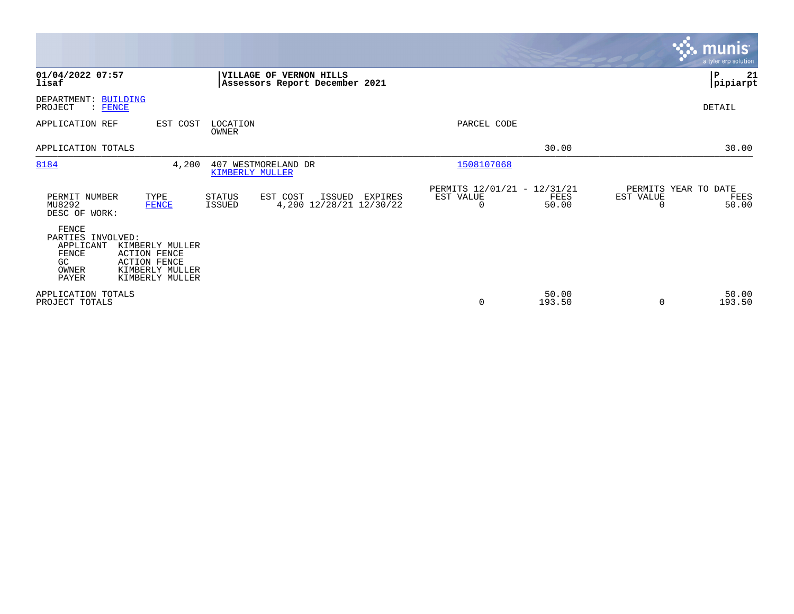|                                                                                                                                                                                         |                                                                                                   |                                                                          | <b>munis</b><br>a tyler erp solution                    |
|-----------------------------------------------------------------------------------------------------------------------------------------------------------------------------------------|---------------------------------------------------------------------------------------------------|--------------------------------------------------------------------------|---------------------------------------------------------|
| 01/04/2022 07:57<br>lisaf                                                                                                                                                               | VILLAGE OF VERNON HILLS<br>Assessors Report December 2021                                         |                                                                          | ΙP<br>21<br> pipiarpt                                   |
| DEPARTMENT: BUILDING<br>PROJECT<br>$:$ FENCE                                                                                                                                            |                                                                                                   |                                                                          | DETAIL                                                  |
| APPLICATION REF                                                                                                                                                                         | EST COST<br>LOCATION<br>OWNER                                                                     | PARCEL CODE                                                              |                                                         |
| APPLICATION TOTALS                                                                                                                                                                      |                                                                                                   | 30.00                                                                    | 30.00                                                   |
| 8184                                                                                                                                                                                    | 4,200<br>407 WESTMORELAND DR<br><b>KIMBERLY MULLER</b>                                            | 1508107068                                                               |                                                         |
| PERMIT NUMBER<br>TYPE<br>MU8292<br><b>FENCE</b><br>DESC OF WORK:                                                                                                                        | <b>STATUS</b><br>EST COST<br>ISSUED<br><b>EXPIRES</b><br>4,200 12/28/21 12/30/22<br><b>ISSUED</b> | PERMITS 12/01/21 - 12/31/21<br>EST VALUE<br>FEES<br>$\mathbf 0$<br>50.00 | PERMITS YEAR TO DATE<br>EST VALUE<br>FEES<br>50.00<br>0 |
| FENCE<br>PARTIES INVOLVED:<br>APPLICANT<br>KIMBERLY MULLER<br><b>FENCE</b><br><b>ACTION FENCE</b><br>GC.<br><b>ACTION FENCE</b><br>KIMBERLY MULLER<br>OWNER<br>PAYER<br>KIMBERLY MULLER |                                                                                                   |                                                                          |                                                         |
| APPLICATION TOTALS<br>PROJECT TOTALS                                                                                                                                                    |                                                                                                   | 50.00<br>$\mathbf 0$<br>193.50                                           | 50.00<br>193.50<br>$\Omega$                             |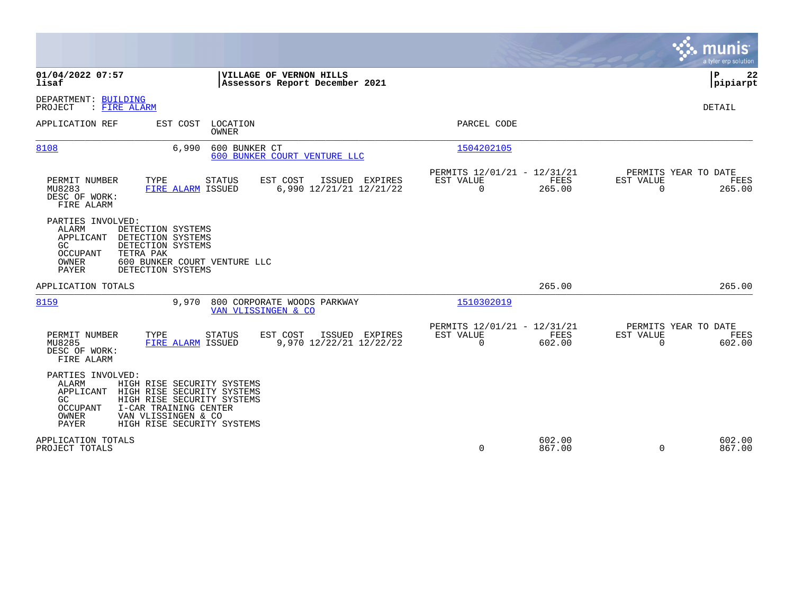|                                                                                                                                                                                                                                                      |                                                                           | munis<br>a tyler erp solution                                   |
|------------------------------------------------------------------------------------------------------------------------------------------------------------------------------------------------------------------------------------------------------|---------------------------------------------------------------------------|-----------------------------------------------------------------|
| 01/04/2022 07:57<br>VILLAGE OF VERNON HILLS<br>lisaf<br>Assessors Report December 2021                                                                                                                                                               |                                                                           | ΙP<br>22<br> pipiarpt                                           |
| DEPARTMENT: BUILDING<br>PROJECT<br>: FIRE ALARM                                                                                                                                                                                                      |                                                                           | <b>DETAIL</b>                                                   |
| LOCATION<br>APPLICATION REF<br>EST COST<br>OWNER                                                                                                                                                                                                     | PARCEL CODE                                                               |                                                                 |
| 8108<br>6,990<br>600 BUNKER CT<br>600 BUNKER COURT VENTURE LLC                                                                                                                                                                                       | 1504202105                                                                |                                                                 |
| PERMIT NUMBER<br>EST COST<br>TYPE<br><b>STATUS</b><br>ISSUED EXPIRES<br>6,990 12/21/21 12/21/22<br>MU8283<br>FIRE ALARM ISSUED<br>DESC OF WORK:<br>FIRE ALARM                                                                                        | PERMITS 12/01/21 - 12/31/21<br>EST VALUE<br>FEES<br>$\Omega$<br>265.00    | PERMITS YEAR TO DATE<br>EST VALUE<br>FEES<br>$\Omega$<br>265.00 |
| PARTIES INVOLVED:<br>ALARM<br>DETECTION SYSTEMS<br>APPLICANT<br>DETECTION SYSTEMS<br>GC<br>DETECTION SYSTEMS<br>OCCUPANT<br>TETRA PAK<br>OWNER<br>600 BUNKER COURT VENTURE LLC<br>PAYER<br>DETECTION SYSTEMS                                         |                                                                           |                                                                 |
| APPLICATION TOTALS                                                                                                                                                                                                                                   | 265.00                                                                    | 265.00                                                          |
| 8159<br>9,970<br>800 CORPORATE WOODS PARKWAY<br>VAN VLISSINGEN & CO                                                                                                                                                                                  | 1510302019                                                                |                                                                 |
| PERMIT NUMBER<br>TYPE<br>EST COST<br>ISSUED EXPIRES<br><b>STATUS</b><br>FIRE ALARM ISSUED<br>9,970 12/22/21 12/22/22<br>MU8285<br>DESC OF WORK:<br>FIRE ALARM                                                                                        | PERMITS 12/01/21 - 12/31/21<br>EST VALUE<br>FEES<br>$\mathbf 0$<br>602.00 | PERMITS YEAR TO DATE<br>EST VALUE<br>FEES<br>$\Omega$<br>602.00 |
| PARTIES INVOLVED:<br>ALARM<br>HIGH RISE SECURITY SYSTEMS<br>APPLICANT<br>HIGH RISE SECURITY SYSTEMS<br>HIGH RISE SECURITY SYSTEMS<br>GC.<br>I-CAR TRAINING CENTER<br>OCCUPANT<br>OWNER<br>VAN VLISSINGEN & CO<br>PAYER<br>HIGH RISE SECURITY SYSTEMS |                                                                           |                                                                 |
| APPLICATION TOTALS<br>PROJECT TOTALS                                                                                                                                                                                                                 | 602.00<br>$\Omega$<br>867.00                                              | 602.00<br>$\Omega$<br>867.00                                    |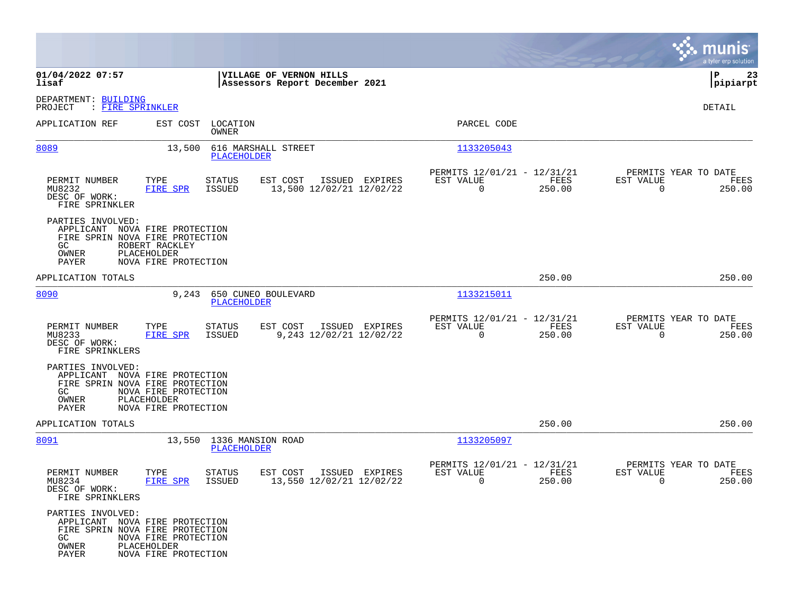|                                                             |                                                                                                                                  |                                            |                                                            |                |                                                  | munis<br>a tyler erp solution |
|-------------------------------------------------------------|----------------------------------------------------------------------------------------------------------------------------------|--------------------------------------------|------------------------------------------------------------|----------------|--------------------------------------------------|-------------------------------|
| 01/04/2022 07:57<br>lisaf                                   | VILLAGE OF VERNON HILLS<br>Assessors Report December 2021                                                                        |                                            |                                                            |                |                                                  | ΙP<br>23<br> pipiarpt         |
| DEPARTMENT: BUILDING<br>PROJECT<br>: FIRE SPRINKLER         |                                                                                                                                  |                                            |                                                            |                |                                                  | DETAIL                        |
| APPLICATION REF                                             | LOCATION<br>EST COST<br>OWNER                                                                                                    |                                            | PARCEL CODE                                                |                |                                                  |                               |
| 8089                                                        | 616 MARSHALL STREET<br>13,500<br>PLACEHOLDER                                                                                     |                                            | 1133205043                                                 |                |                                                  |                               |
| PERMIT NUMBER<br>MU8232<br>DESC OF WORK:<br>FIRE SPRINKLER  | TYPE<br>EST COST<br>STATUS<br>FIRE SPR<br>ISSUED                                                                                 | ISSUED EXPIRES<br>13,500 12/02/21 12/02/22 | PERMITS 12/01/21 - 12/31/21<br>EST VALUE<br>$\overline{0}$ | FEES<br>250.00 | PERMITS YEAR TO DATE<br>EST VALUE<br>$\Omega$    | FEES<br>250.00                |
| PARTIES INVOLVED:<br>GC<br>OWNER<br><b>PAYER</b>            | APPLICANT NOVA FIRE PROTECTION<br>FIRE SPRIN NOVA FIRE PROTECTION<br>ROBERT RACKLEY<br>PLACEHOLDER<br>NOVA FIRE PROTECTION       |                                            |                                                            |                |                                                  |                               |
| APPLICATION TOTALS                                          |                                                                                                                                  |                                            |                                                            | 250.00         |                                                  | 250.00                        |
| 8090                                                        | 9,243<br>650 CUNEO BOULEVARD<br><b>PLACEHOLDER</b>                                                                               |                                            | 1133215011                                                 |                |                                                  |                               |
| PERMIT NUMBER<br>MU8233<br>DESC OF WORK:<br>FIRE SPRINKLERS | TYPE<br>EST COST<br>STATUS<br><b>FIRE SPR</b><br>ISSUED                                                                          | ISSUED EXPIRES<br>9,243 12/02/21 12/02/22  | PERMITS 12/01/21 - 12/31/21<br>EST VALUE<br>$\overline{0}$ | FEES<br>250.00 | PERMITS YEAR TO DATE<br>EST VALUE<br>$\mathbf 0$ | FEES<br>250.00                |
| PARTIES INVOLVED:<br>GC<br>OWNER<br>PAYER                   | APPLICANT NOVA FIRE PROTECTION<br>FIRE SPRIN NOVA FIRE PROTECTION<br>NOVA FIRE PROTECTION<br>PLACEHOLDER<br>NOVA FIRE PROTECTION |                                            |                                                            |                |                                                  |                               |
| APPLICATION TOTALS                                          |                                                                                                                                  |                                            |                                                            | 250.00         |                                                  | 250.00                        |
| 8091                                                        | 13,550 1336 MANSION ROAD<br><b>PLACEHOLDER</b>                                                                                   |                                            | 1133205097                                                 |                |                                                  |                               |
| PERMIT NUMBER<br>MU8234<br>DESC OF WORK:<br>FIRE SPRINKLERS | TYPE<br>STATUS<br>EST COST<br>FIRE SPR<br><b>ISSUED</b>                                                                          | ISSUED EXPIRES<br>13,550 12/02/21 12/02/22 | PERMITS 12/01/21 - 12/31/21<br>EST VALUE<br>0              | FEES<br>250.00 | PERMITS YEAR TO DATE<br>EST VALUE<br>0           | FEES<br>250.00                |
| PARTIES INVOLVED:<br>GC<br>OWNER<br>PAYER                   | APPLICANT NOVA FIRE PROTECTION<br>FIRE SPRIN NOVA FIRE PROTECTION<br>NOVA FIRE PROTECTION<br>PLACEHOLDER<br>NOVA FIRE PROTECTION |                                            |                                                            |                |                                                  |                               |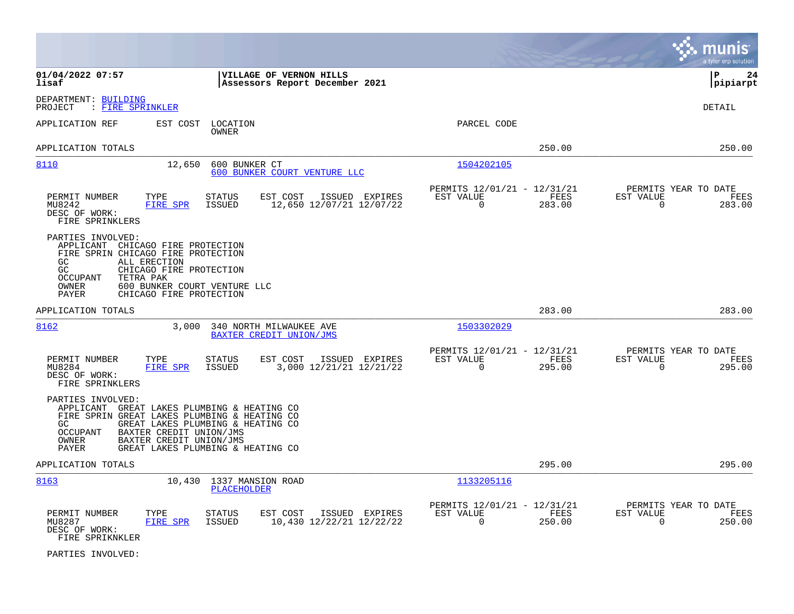|                                                                                                                                                                                                                                                                                       |                                                                              | munis<br>a tyler erp solution                                   |
|---------------------------------------------------------------------------------------------------------------------------------------------------------------------------------------------------------------------------------------------------------------------------------------|------------------------------------------------------------------------------|-----------------------------------------------------------------|
| 01/04/2022 07:57<br>VILLAGE OF VERNON HILLS<br>lisaf<br>Assessors Report December 2021                                                                                                                                                                                                |                                                                              | l P<br>24<br> pipiarpt                                          |
| DEPARTMENT: BUILDING<br>: FIRE SPRINKLER<br>PROJECT                                                                                                                                                                                                                                   |                                                                              | <b>DETAIL</b>                                                   |
| APPLICATION REF<br>EST COST<br>LOCATION<br>OWNER                                                                                                                                                                                                                                      | PARCEL CODE                                                                  |                                                                 |
| APPLICATION TOTALS                                                                                                                                                                                                                                                                    | 250.00                                                                       | 250.00                                                          |
| 8110<br>12,650<br>600 BUNKER CT<br>600 BUNKER COURT VENTURE LLC                                                                                                                                                                                                                       | 1504202105                                                                   |                                                                 |
| PERMIT NUMBER<br>TYPE<br><b>STATUS</b><br>EST COST<br>ISSUED EXPIRES<br>MU8242<br>FIRE SPR<br><b>ISSUED</b><br>12,650 12/07/21 12/07/22<br>DESC OF WORK:<br>FIRE SPRINKLERS                                                                                                           | PERMITS 12/01/21 - 12/31/21<br>EST VALUE<br>FEES<br>$\overline{0}$<br>283.00 | PERMITS YEAR TO DATE<br>EST VALUE<br>FEES<br>0<br>283.00        |
| PARTIES INVOLVED:<br>APPLICANT CHICAGO FIRE PROTECTION<br>FIRE SPRIN CHICAGO FIRE PROTECTION<br>GC<br>ALL ERECTION<br>GC<br>CHICAGO FIRE PROTECTION<br><b>OCCUPANT</b><br>TETRA PAK<br>600 BUNKER COURT VENTURE LLC<br>OWNER<br>CHICAGO FIRE PROTECTION<br>PAYER                      |                                                                              |                                                                 |
| APPLICATION TOTALS                                                                                                                                                                                                                                                                    | 283.00                                                                       | 283.00                                                          |
| 8162<br>3,000<br>340 NORTH MILWAUKEE AVE<br>BAXTER CREDIT UNION/JMS                                                                                                                                                                                                                   | 1503302029                                                                   |                                                                 |
| PERMIT NUMBER<br>TYPE<br><b>STATUS</b><br>EST COST<br>ISSUED EXPIRES<br>3,000 12/21/21 12/21/22<br>MU8284<br><b>FIRE SPR</b><br><b>ISSUED</b><br>DESC OF WORK:<br>FIRE SPRINKLERS                                                                                                     | PERMITS 12/01/21 - 12/31/21<br>EST VALUE<br>FEES<br>$\Omega$<br>295.00       | PERMITS YEAR TO DATE<br>EST VALUE<br>FEES<br>$\Omega$<br>295.00 |
| PARTIES INVOLVED:<br>APPLICANT GREAT LAKES PLUMBING & HEATING CO<br>FIRE SPRIN GREAT LAKES PLUMBING & HEATING CO<br>GREAT LAKES PLUMBING & HEATING CO<br>GC.<br>BAXTER CREDIT UNION/JMS<br>OCCUPANT<br>BAXTER CREDIT UNION/JMS<br>OWNER<br>GREAT LAKES PLUMBING & HEATING CO<br>PAYER |                                                                              |                                                                 |
| APPLICATION TOTALS                                                                                                                                                                                                                                                                    | 295.00                                                                       | 295.00                                                          |
| 8163<br>10,430 1337 MANSION ROAD<br><b>PLACEHOLDER</b>                                                                                                                                                                                                                                | 1133205116                                                                   |                                                                 |
| PERMIT NUMBER<br>TYPE<br><b>STATUS</b><br>EST COST<br>ISSUED EXPIRES<br>10,430 12/22/21 12/22/22<br>MU8287<br>FIRE SPR<br><b>ISSUED</b><br>DESC OF WORK:<br>FIRE SPRIKNKLER                                                                                                           | PERMITS 12/01/21 - 12/31/21<br>EST VALUE<br>FEES<br>$\Omega$<br>250.00       | PERMITS YEAR TO DATE<br>EST VALUE<br>FEES<br>$\Omega$<br>250.00 |

PARTIES INVOLVED: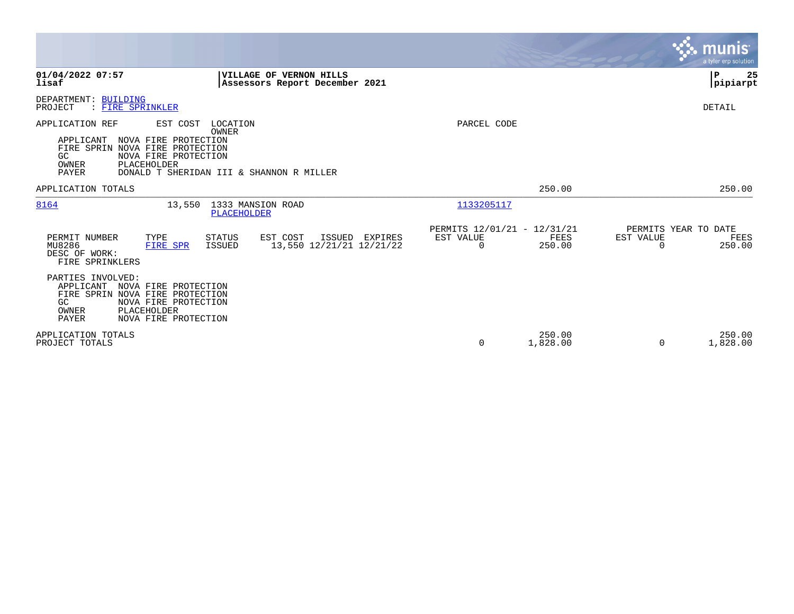|                                                                                                                                                                               |                                                                            |                                                      |                    |                                               | <b>munis</b><br>a tyler erp solution |
|-------------------------------------------------------------------------------------------------------------------------------------------------------------------------------|----------------------------------------------------------------------------|------------------------------------------------------|--------------------|-----------------------------------------------|--------------------------------------|
| 01/04/2022 07:57<br>lisaf                                                                                                                                                     | VILLAGE OF VERNON HILLS<br>Assessors Report December 2021                  |                                                      |                    |                                               | $\mathbf P$<br>25<br> pipiarpt       |
| DEPARTMENT: BUILDING<br>PROJECT<br>: FIRE SPRINKLER                                                                                                                           |                                                                            |                                                      |                    |                                               | DETAIL                               |
| APPLICATION REF<br>EST COST<br>NOVA FIRE PROTECTION<br>APPLICANT<br>FIRE SPRIN NOVA FIRE PROTECTION<br>NOVA FIRE PROTECTION<br>GC<br>PLACEHOLDER<br>OWNER<br>PAYER            | LOCATION<br><b>OWNER</b><br>DONALD T SHERIDAN III & SHANNON R MILLER       | PARCEL CODE                                          |                    |                                               |                                      |
| APPLICATION TOTALS                                                                                                                                                            |                                                                            |                                                      | 250.00             |                                               | 250.00                               |
| 8164<br>13,550                                                                                                                                                                | 1333 MANSION ROAD<br>PLACEHOLDER                                           | 1133205117                                           |                    |                                               |                                      |
| PERMIT NUMBER<br>TYPE<br>MU8286<br><b>FIRE SPR</b><br>DESC OF WORK:<br>FIRE SPRINKLERS                                                                                        | STATUS<br>EST COST<br>ISSUED EXPIRES<br>13,550 12/21/21 12/21/22<br>ISSUED | PERMITS 12/01/21 - 12/31/21<br>EST VALUE<br>$\Omega$ | FEES<br>250.00     | PERMITS YEAR TO DATE<br>EST VALUE<br>$\Omega$ | FEES<br>250.00                       |
| PARTIES INVOLVED:<br>APPLICANT NOVA FIRE PROTECTION<br>FIRE SPRIN NOVA FIRE PROTECTION<br>GC<br>NOVA FIRE PROTECTION<br>PLACEHOLDER<br>OWNER<br>PAYER<br>NOVA FIRE PROTECTION |                                                                            |                                                      |                    |                                               |                                      |
| APPLICATION TOTALS<br>PROJECT TOTALS                                                                                                                                          |                                                                            | $\Omega$                                             | 250.00<br>1,828.00 | $\Omega$                                      | 250.00<br>1,828.00                   |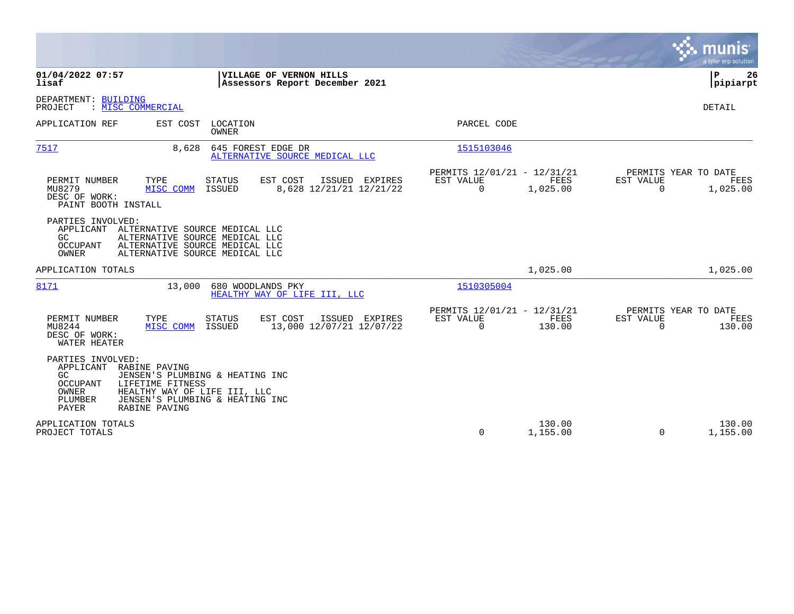|                                                                                                                                                                                                                                                |                                                                        | munis<br>a tyler erp solution                                   |
|------------------------------------------------------------------------------------------------------------------------------------------------------------------------------------------------------------------------------------------------|------------------------------------------------------------------------|-----------------------------------------------------------------|
| 01/04/2022 07:57<br>VILLAGE OF VERNON HILLS<br>lisaf<br>Assessors Report December 2021                                                                                                                                                         |                                                                        | ΙP<br>26<br> pipiarpt                                           |
| DEPARTMENT: BUILDING<br>: MISC COMMERCIAL<br>PROJECT                                                                                                                                                                                           |                                                                        | DETAIL                                                          |
| APPLICATION REF<br>EST COST LOCATION<br><b>OWNER</b>                                                                                                                                                                                           | PARCEL CODE                                                            |                                                                 |
| 7517<br>8,628<br>645 FOREST EDGE DR<br>ALTERNATIVE SOURCE MEDICAL LLC                                                                                                                                                                          | 1515103046                                                             |                                                                 |
| PERMIT NUMBER<br>TYPE<br>EST COST<br>ISSUED EXPIRES<br><b>STATUS</b><br>MU8279<br>8,628 12/21/21 12/21/22<br>MISC COMM<br>ISSUED<br>DESC OF WORK:<br>PAINT BOOTH INSTALL                                                                       | PERMITS 12/01/21 - 12/31/21<br>EST VALUE<br>FEES<br>0<br>1,025.00      | PERMITS YEAR TO DATE<br>EST VALUE<br>FEES<br>1,025.00<br>0      |
| PARTIES INVOLVED:<br>APPLICANT ALTERNATIVE SOURCE MEDICAL LLC<br>ALTERNATIVE SOURCE MEDICAL LLC<br>GC.<br>ALTERNATIVE SOURCE MEDICAL LLC<br>OCCUPANT<br>ALTERNATIVE SOURCE MEDICAL LLC<br>OWNER                                                |                                                                        |                                                                 |
| APPLICATION TOTALS                                                                                                                                                                                                                             | 1,025.00                                                               | 1,025.00                                                        |
| 8171<br>13,000 680 WOODLANDS PKY<br>HEALTHY WAY OF LIFE III, LLC                                                                                                                                                                               | 1510305004                                                             |                                                                 |
| PERMIT NUMBER<br>TYPE<br>EST COST<br>ISSUED EXPIRES<br><b>STATUS</b><br>MU8244<br>13,000 12/07/21 12/07/22<br>MISC COMM<br>ISSUED<br>DESC OF WORK:<br>WATER HEATER                                                                             | PERMITS 12/01/21 - 12/31/21<br>EST VALUE<br>FEES<br>$\Omega$<br>130.00 | PERMITS YEAR TO DATE<br>EST VALUE<br>FEES<br>$\Omega$<br>130.00 |
| PARTIES INVOLVED:<br>APPLICANT RABINE PAVING<br>GC.<br>JENSEN'S PLUMBING & HEATING INC<br>OCCUPANT<br>LIFETIME FITNESS<br>OWNER<br>HEALTHY WAY OF LIFE III, LLC<br>PLUMBER<br>JENSEN'S PLUMBING & HEATING INC<br><b>PAYER</b><br>RABINE PAVING |                                                                        |                                                                 |
| APPLICATION TOTALS<br>PROJECT TOTALS                                                                                                                                                                                                           | 130.00<br>0<br>1,155.00                                                | 130.00<br>1,155.00<br>$\mathbf 0$                               |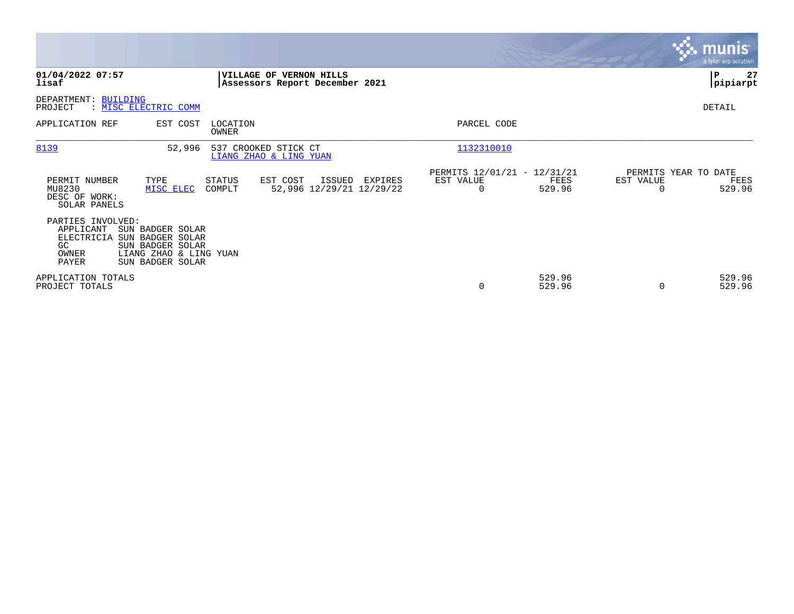|                                                                      |                                                                                                        |                   |                                                           |         |                                               |                  |                                        | <b>munis</b><br>a tyler erp solution |
|----------------------------------------------------------------------|--------------------------------------------------------------------------------------------------------|-------------------|-----------------------------------------------------------|---------|-----------------------------------------------|------------------|----------------------------------------|--------------------------------------|
| 01/04/2022 07:57<br>lisaf                                            |                                                                                                        |                   | VILLAGE OF VERNON HILLS<br>Assessors Report December 2021 |         |                                               |                  |                                        | 27<br>P<br> pipiarpt                 |
| DEPARTMENT: BUILDING<br>PROJECT                                      | : MISC ELECTRIC COMM                                                                                   |                   |                                                           |         |                                               |                  |                                        | DETAIL                               |
| APPLICATION REF                                                      | EST COST                                                                                               | LOCATION<br>OWNER |                                                           |         | PARCEL CODE                                   |                  |                                        |                                      |
| 8139                                                                 | 52,996                                                                                                 |                   | 537 CROOKED STICK CT<br>LIANG ZHAO & LING YUAN            |         | 1132310010                                    |                  |                                        |                                      |
| PERMIT NUMBER<br>MU8230<br>DESC OF WORK:<br>SOLAR PANELS             | TYPE<br>MISC ELEC                                                                                      | STATUS<br>COMPLT  | EST COST<br>ISSUED<br>52,996 12/29/21 12/29/22            | EXPIRES | PERMITS 12/01/21 - 12/31/21<br>EST VALUE<br>0 | FEES<br>529.96   | PERMITS YEAR TO DATE<br>EST VALUE<br>0 | FEES<br>529.96                       |
| PARTIES INVOLVED:<br>APPLICANT<br>ELECTRICIA<br>GC<br>OWNER<br>PAYER | SUN BADGER SOLAR<br>SUN BADGER SOLAR<br>SUN BADGER SOLAR<br>LIANG ZHAO & LING YUAN<br>SUN BADGER SOLAR |                   |                                                           |         |                                               |                  |                                        |                                      |
| APPLICATION TOTALS<br>PROJECT TOTALS                                 |                                                                                                        |                   |                                                           |         | 0                                             | 529.96<br>529.96 | $\Omega$                               | 529.96<br>529.96                     |

 $\mathcal{L}^{\text{max}}$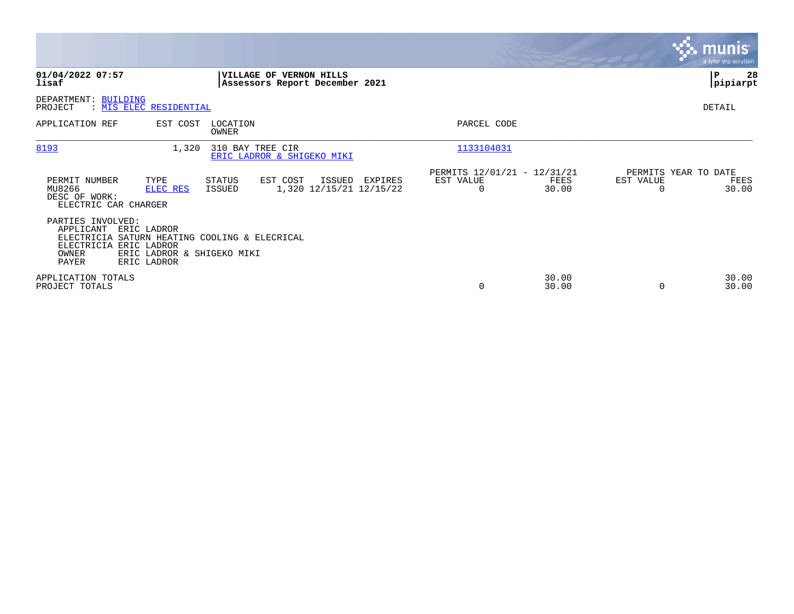|                                                                                                                                                                                                |                                                                  |                                                      |                            | <b>munis</b><br>a tyler erp solution  |
|------------------------------------------------------------------------------------------------------------------------------------------------------------------------------------------------|------------------------------------------------------------------|------------------------------------------------------|----------------------------|---------------------------------------|
| 01/04/2022 07:57<br>lisaf                                                                                                                                                                      | <b>VILLAGE OF VERNON HILLS</b><br>Assessors Report December 2021 |                                                      |                            | ∣P<br>28<br> pipiarpt                 |
| DEPARTMENT: BUILDING<br>PROJECT<br>: MIS ELEC RESIDENTIAL                                                                                                                                      |                                                                  |                                                      |                            | DETAIL                                |
| LOCATION<br>APPLICATION REF<br>EST COST<br><b>OWNER</b>                                                                                                                                        |                                                                  | PARCEL CODE                                          |                            |                                       |
| 8193<br>310 BAY TREE CIR<br>1,320                                                                                                                                                              | ERIC LADROR & SHIGEKO MIKI                                       | 1133104031                                           |                            |                                       |
| PERMIT NUMBER<br>TYPE<br>STATUS<br>MU8266<br>ELEC RES<br>ISSUED<br>DESC OF WORK:<br>ELECTRIC CAR CHARGER                                                                                       | EST COST<br>ISSUED<br>EXPIRES<br>1,320 12/15/21 12/15/22         | PERMITS 12/01/21 - 12/31/21<br>EST VALUE<br>$\Omega$ | EST VALUE<br>FEES<br>30.00 | PERMITS YEAR TO DATE<br>FEES<br>30.00 |
| PARTIES INVOLVED:<br>APPLICANT<br><b>ERIC LADROR</b><br>ELECTRICIA SATURN HEATING COOLING & ELECRICAL<br>ELECTRICIA ERIC LADROR<br>OWNER<br>ERIC LADROR & SHIGEKO MIKI<br>PAYER<br>ERIC LADROR |                                                                  |                                                      |                            |                                       |
| APPLICATION TOTALS<br>PROJECT TOTALS                                                                                                                                                           |                                                                  | 0                                                    | 30.00<br>30.00             | 30.00<br>30.00<br>$\Omega$            |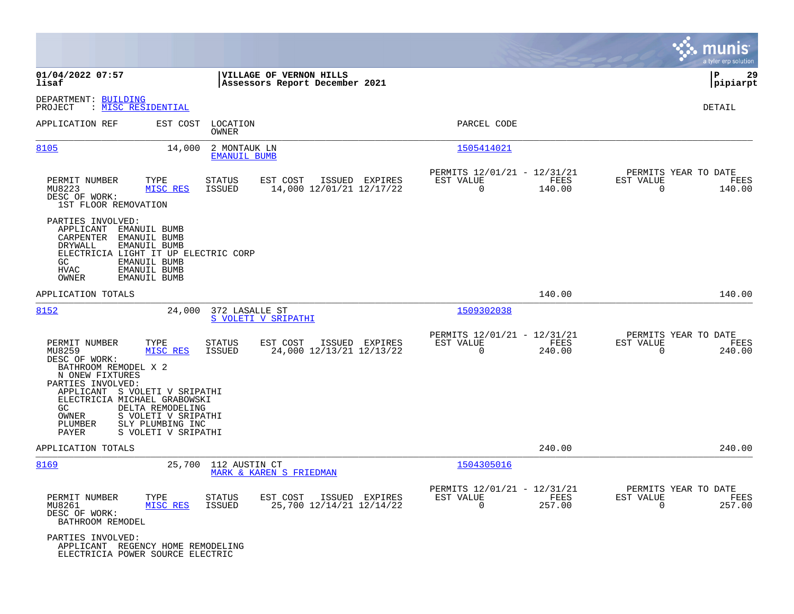|                                                                                                                                                                                                                                                                                                                        |                                                                                          |                                                                           | munis<br>a tyler erp solution                                      |
|------------------------------------------------------------------------------------------------------------------------------------------------------------------------------------------------------------------------------------------------------------------------------------------------------------------------|------------------------------------------------------------------------------------------|---------------------------------------------------------------------------|--------------------------------------------------------------------|
| 01/04/2022 07:57<br>lisaf                                                                                                                                                                                                                                                                                              | VILLAGE OF VERNON HILLS<br>Assessors Report December 2021                                |                                                                           | 29<br>∣P<br>pipiarpt                                               |
| DEPARTMENT: BUILDING<br>PROJECT<br>: MISC RESIDENTIAL                                                                                                                                                                                                                                                                  |                                                                                          |                                                                           | DETAIL                                                             |
| APPLICATION REF<br>EST COST                                                                                                                                                                                                                                                                                            | LOCATION<br>OWNER                                                                        | PARCEL CODE                                                               |                                                                    |
| 8105<br>14,000                                                                                                                                                                                                                                                                                                         | 2 MONTAUK LN<br><b>EMANUIL BUMB</b>                                                      | 1505414021                                                                |                                                                    |
| PERMIT NUMBER<br>TYPE<br>MU8223<br>MISC RES<br>DESC OF WORK:<br>1ST FLOOR REMOVATION                                                                                                                                                                                                                                   | ISSUED EXPIRES<br><b>STATUS</b><br>EST COST<br>14,000 12/01/21 12/17/22<br>ISSUED        | PERMITS 12/01/21 - 12/31/21<br>EST VALUE<br>FEES<br>$\Omega$<br>140.00    | PERMITS YEAR TO DATE<br>EST VALUE<br>FEES<br>$\Omega$<br>140.00    |
| PARTIES INVOLVED:<br>APPLICANT<br><b>EMANUIL BUMB</b><br>EMANUIL BUMB<br>CARPENTER<br>DRYWALL<br>EMANUIL BUMB<br>ELECTRICIA LIGHT IT UP ELECTRIC CORP<br>EMANUIL BUMB<br>GC<br><b>HVAC</b><br>EMANUIL BUMB<br>OWNER<br>EMANUIL BUMB                                                                                    |                                                                                          |                                                                           |                                                                    |
| APPLICATION TOTALS                                                                                                                                                                                                                                                                                                     |                                                                                          | 140.00                                                                    | 140.00                                                             |
| 8152<br>24,000                                                                                                                                                                                                                                                                                                         | 372 LASALLE ST<br>S VOLETI V SRIPATHI                                                    | 1509302038                                                                |                                                                    |
| PERMIT NUMBER<br>TYPE<br>MU8259<br>MISC RES<br>DESC OF WORK:<br>BATHROOM REMODEL X 2<br>N ONEW FIXTURES<br>PARTIES INVOLVED:<br>APPLICANT S VOLETI V SRIPATHI<br>ELECTRICIA MICHAEL GRABOWSKI<br>GC<br>DELTA REMODELING<br>S VOLETI V SRIPATHI<br>OWNER<br>SLY PLUMBING INC<br>PLUMBER<br>S VOLETI V SRIPATHI<br>PAYER | <b>STATUS</b><br>EST COST<br>ISSUED EXPIRES<br><b>ISSUED</b><br>24,000 12/13/21 12/13/22 | PERMITS 12/01/21 - 12/31/21<br>EST VALUE<br>FEES<br>$\mathbf 0$<br>240.00 | PERMITS YEAR TO DATE<br>EST VALUE<br>FEES<br>$\mathbf 0$<br>240.00 |
| APPLICATION TOTALS                                                                                                                                                                                                                                                                                                     |                                                                                          | 240.00                                                                    | 240.00                                                             |
| 8169<br>25,700                                                                                                                                                                                                                                                                                                         | 112 AUSTIN CT<br>MARK & KAREN S FRIEDMAN                                                 | 1504305016                                                                |                                                                    |
| PERMIT NUMBER<br>TYPE<br>MISC RES<br>MU8261<br>DESC OF WORK:<br>BATHROOM REMODEL                                                                                                                                                                                                                                       | <b>STATUS</b><br>EST COST<br>ISSUED EXPIRES<br><b>ISSUED</b><br>25,700 12/14/21 12/14/22 | PERMITS 12/01/21 - 12/31/21<br>EST VALUE<br>FEES<br>0<br>257.00           | PERMITS YEAR TO DATE<br>EST VALUE<br>FEES<br>$\mathbf 0$<br>257.00 |
| PARTIES INVOLVED:<br>APPLICANT REGENCY HOME REMODELING<br>ELECTRICIA POWER SOURCE ELECTRIC                                                                                                                                                                                                                             |                                                                                          |                                                                           |                                                                    |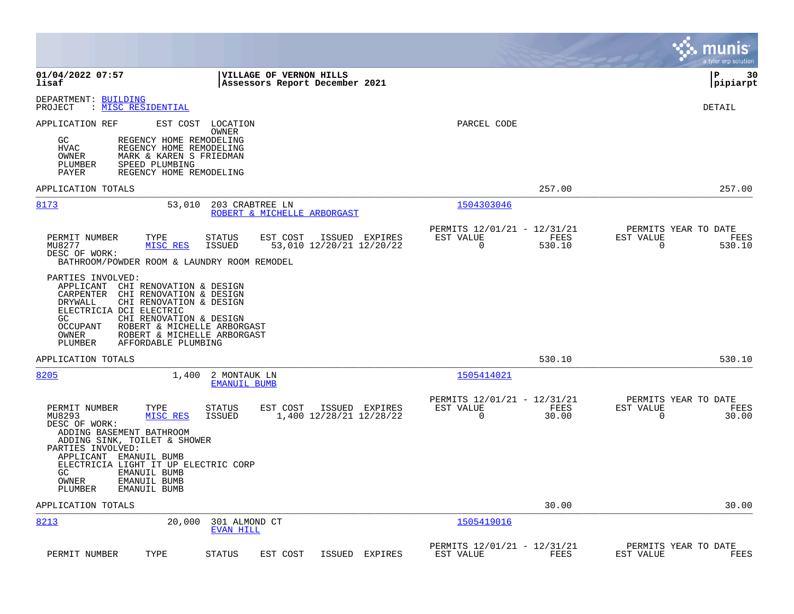|                                                                                                                                                                                                                                                                                                                        |                                                                           | munis<br>a tyler erp solution                                      |
|------------------------------------------------------------------------------------------------------------------------------------------------------------------------------------------------------------------------------------------------------------------------------------------------------------------------|---------------------------------------------------------------------------|--------------------------------------------------------------------|
| 01/04/2022 07:57<br><b>VILLAGE OF VERNON HILLS</b><br>lisaf<br>Assessors Report December 2021                                                                                                                                                                                                                          |                                                                           | l P<br>30<br> pipiarpt                                             |
| DEPARTMENT: BUILDING<br>: MISC RESIDENTIAL<br>PROJECT                                                                                                                                                                                                                                                                  |                                                                           | DETAIL                                                             |
| EST COST<br>APPLICATION REF<br>LOCATION<br>OWNER<br>GC<br>REGENCY HOME REMODELING<br><b>HVAC</b><br>REGENCY HOME REMODELING<br>MARK & KAREN S FRIEDMAN<br>OWNER<br>PLUMBER<br>SPEED PLUMBING                                                                                                                           | PARCEL CODE                                                               |                                                                    |
| PAYER<br>REGENCY HOME REMODELING<br>APPLICATION TOTALS                                                                                                                                                                                                                                                                 | 257.00                                                                    | 257.00                                                             |
| 8173<br>53,010<br>203 CRABTREE LN<br>ROBERT & MICHELLE ARBORGAST                                                                                                                                                                                                                                                       | 1504303046                                                                |                                                                    |
| PERMIT NUMBER<br>TYPE<br><b>STATUS</b><br>EST COST<br>ISSUED EXPIRES<br>MISC RES<br><b>ISSUED</b><br>53,010 12/20/21 12/20/22<br>MU8277<br>DESC OF WORK:<br>BATHROOM/POWDER ROOM & LAUNDRY ROOM REMODEL                                                                                                                | PERMITS 12/01/21 - 12/31/21<br>FEES<br>EST VALUE<br>$\mathbf 0$<br>530.10 | PERMITS YEAR TO DATE<br>EST VALUE<br>FEES<br>$\mathbf 0$<br>530.10 |
| PARTIES INVOLVED:<br>APPLICANT CHI RENOVATION & DESIGN<br>CARPENTER<br>CHI RENOVATION & DESIGN<br>DRYWALL<br>CHI RENOVATION & DESIGN<br>ELECTRICIA DCI ELECTRIC<br>GC.<br>CHI RENOVATION & DESIGN<br>OCCUPANT<br>ROBERT & MICHELLE ARBORGAST<br>OWNER<br>ROBERT & MICHELLE ARBORGAST<br>PLUMBER<br>AFFORDABLE PLUMBING |                                                                           |                                                                    |
| APPLICATION TOTALS                                                                                                                                                                                                                                                                                                     | 530.10                                                                    | 530.10                                                             |
| 8205<br>1,400<br>2 MONTAUK LN<br><b>EMANUIL BUMB</b>                                                                                                                                                                                                                                                                   | 1505414021                                                                |                                                                    |
| PERMIT NUMBER<br>TYPE<br>STATUS<br>EST COST<br>ISSUED EXPIRES<br>1,400 12/28/21 12/28/22<br>MU8293<br>MISC RES<br>ISSUED<br>DESC OF WORK:<br>ADDING BASEMENT BATHROOM<br>ADDING SINK, TOILET & SHOWER<br>PARTIES INVOLVED:<br>APPLICANT EMANUIL BUMB                                                                   | PERMITS 12/01/21 - 12/31/21<br>EST VALUE<br>FEES<br>$\mathbf 0$<br>30.00  | PERMITS YEAR TO DATE<br>EST VALUE<br>FEES<br>$\Omega$<br>30.00     |
| ELECTRICIA LIGHT IT UP ELECTRIC CORP<br>GC.<br>EMANUIL BUMB<br>OWNER<br>EMANUIL BUMB<br>PLUMBER<br>EMANUIL BUMB                                                                                                                                                                                                        |                                                                           |                                                                    |
| APPLICATION TOTALS                                                                                                                                                                                                                                                                                                     | 30.00                                                                     | 30.00                                                              |
| 8213<br>20,000<br>301 ALMOND CT<br><b>EVAN HILL</b>                                                                                                                                                                                                                                                                    | 1505419016                                                                |                                                                    |
| TYPE<br><b>STATUS</b><br>EST COST<br>ISSUED<br>EXPIRES<br>PERMIT NUMBER                                                                                                                                                                                                                                                | PERMITS 12/01/21 - 12/31/21<br>EST VALUE<br>FEES                          | PERMITS YEAR TO DATE<br>EST VALUE<br>FEES                          |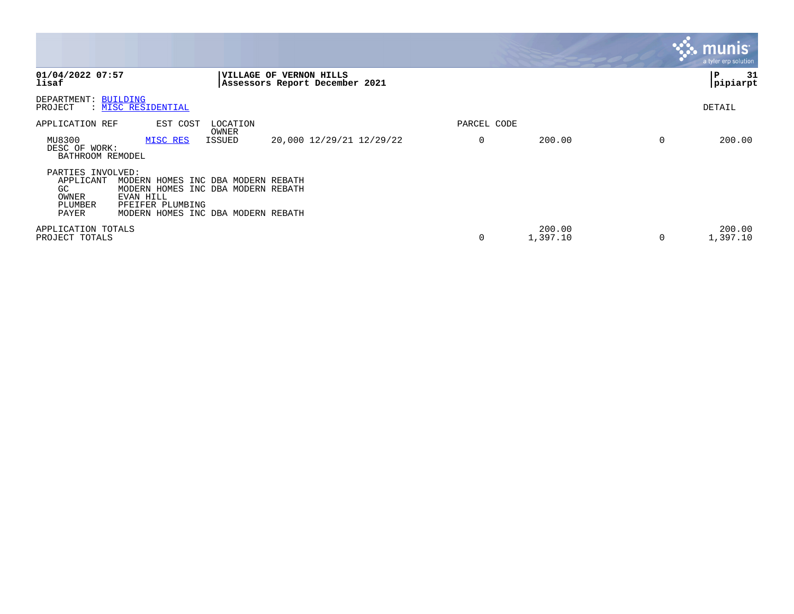|                                                                    |                                                                                                                                                 |                 |                                                                  |             |                    |          | munis <sup>®</sup><br>a tyler erp solution |
|--------------------------------------------------------------------|-------------------------------------------------------------------------------------------------------------------------------------------------|-----------------|------------------------------------------------------------------|-------------|--------------------|----------|--------------------------------------------|
| 01/04/2022 07:57<br>lisaf                                          |                                                                                                                                                 |                 | <b>VILLAGE OF VERNON HILLS</b><br>Assessors Report December 2021 |             |                    |          | 31<br>∣P<br> pipiarpt                      |
| DEPARTMENT: BUILDING<br>PROJECT                                    | : MISC RESIDENTIAL                                                                                                                              |                 |                                                                  |             |                    |          | DETAIL                                     |
| APPLICATION REF                                                    | EST COST                                                                                                                                        | LOCATION        |                                                                  | PARCEL CODE |                    |          |                                            |
| MU8300<br>DESC OF WORK:<br>BATHROOM REMODEL                        | MISC RES                                                                                                                                        | OWNER<br>ISSUED | 20,000 12/29/21 12/29/22                                         | 0           | 200.00             | $\Omega$ | 200.00                                     |
| PARTIES INVOLVED:<br>APPLICANT<br>GC.<br>OWNER<br>PLUMBER<br>PAYER | MODERN HOMES INC DBA MODERN REBATH<br>MODERN HOMES INC DBA MODERN REBATH<br>EVAN HILL<br>PFEIFER PLUMBING<br>MODERN HOMES INC DBA MODERN REBATH |                 |                                                                  |             |                    |          |                                            |
| APPLICATION TOTALS<br>PROJECT TOTALS                               |                                                                                                                                                 |                 |                                                                  | 0           | 200.00<br>1,397.10 | 0        | 200.00<br>1,397.10                         |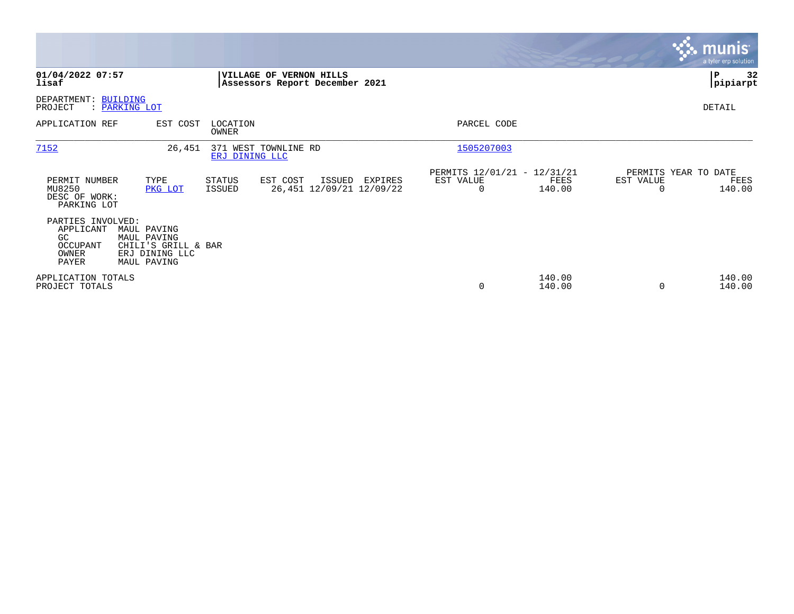|                                                                    |                                                                                    |                         |                                                           |         |                                                      |                  |                                               | munis <sup>®</sup><br>a tyler erp solution |
|--------------------------------------------------------------------|------------------------------------------------------------------------------------|-------------------------|-----------------------------------------------------------|---------|------------------------------------------------------|------------------|-----------------------------------------------|--------------------------------------------|
| 01/04/2022 07:57<br>lisaf                                          |                                                                                    |                         | VILLAGE OF VERNON HILLS<br>Assessors Report December 2021 |         |                                                      |                  |                                               | 32<br>P<br> pipiarpt                       |
| DEPARTMENT: BUILDING<br>PROJECT                                    | : PARKING LOT                                                                      |                         |                                                           |         |                                                      |                  |                                               | DETAIL                                     |
| APPLICATION REF                                                    | EST COST                                                                           | LOCATION<br>OWNER       |                                                           |         | PARCEL CODE                                          |                  |                                               |                                            |
| 7152                                                               | 26,451                                                                             | ERJ DINING LLC          | 371 WEST TOWNLINE RD                                      |         | 1505207003                                           |                  |                                               |                                            |
| PERMIT NUMBER<br>MU8250<br>DESC OF WORK:<br>PARKING LOT            | TYPE<br>PKG LOT                                                                    | <b>STATUS</b><br>ISSUED | EST COST<br>ISSUED<br>26,451 12/09/21 12/09/22            | EXPIRES | PERMITS 12/01/21 - 12/31/21<br>EST VALUE<br>$\Omega$ | FEES<br>140.00   | PERMITS YEAR TO DATE<br>EST VALUE<br>$\Omega$ | FEES<br>140.00                             |
| PARTIES INVOLVED:<br>APPLICANT<br>GC<br>OCCUPANT<br>OWNER<br>PAYER | MAUL PAVING<br>MAUL PAVING<br>CHILI'S GRILL & BAR<br>ERJ DINING LLC<br>MAUL PAVING |                         |                                                           |         |                                                      |                  |                                               |                                            |
| APPLICATION TOTALS<br>PROJECT TOTALS                               |                                                                                    |                         |                                                           |         | 0                                                    | 140.00<br>140.00 | 0                                             | 140.00<br>140.00                           |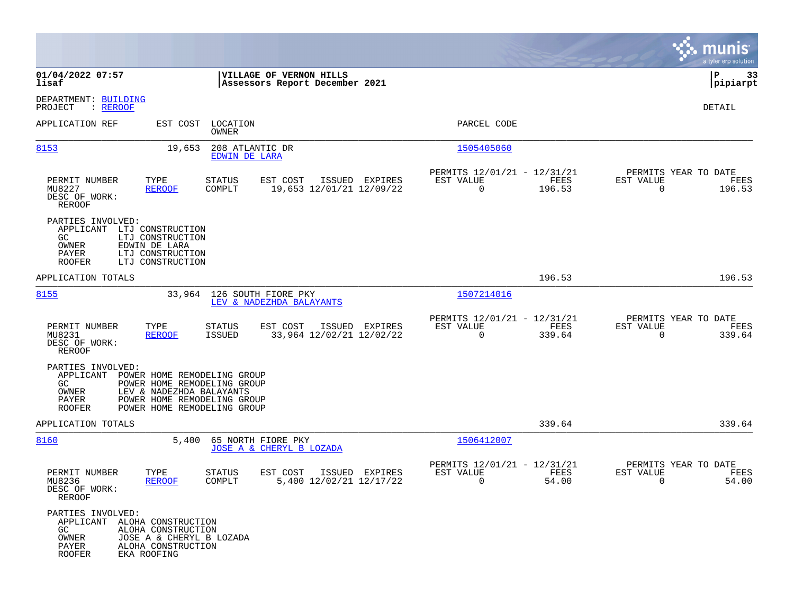|                                                                                            |                                                                                                                                                      |                                  |                                                           |                |                                                      |                |                                               | munis<br>a tyler erp solution |
|--------------------------------------------------------------------------------------------|------------------------------------------------------------------------------------------------------------------------------------------------------|----------------------------------|-----------------------------------------------------------|----------------|------------------------------------------------------|----------------|-----------------------------------------------|-------------------------------|
| 01/04/2022 07:57<br>lisaf                                                                  |                                                                                                                                                      |                                  | VILLAGE OF VERNON HILLS<br>Assessors Report December 2021 |                |                                                      |                |                                               | P<br>33<br> pipiarpt          |
| DEPARTMENT: BUILDING<br>PROJECT<br>: <u>REROOF</u>                                         |                                                                                                                                                      |                                  |                                                           |                |                                                      |                |                                               | DETAIL                        |
| APPLICATION REF                                                                            |                                                                                                                                                      | EST COST LOCATION<br>OWNER       |                                                           |                | PARCEL CODE                                          |                |                                               |                               |
| 8153                                                                                       | 19,653                                                                                                                                               | 208 ATLANTIC DR<br>EDWIN DE LARA |                                                           |                | 1505405060                                           |                |                                               |                               |
| PERMIT NUMBER<br>MU8227<br>DESC OF WORK:<br>REROOF                                         | TYPE<br><b>REROOF</b>                                                                                                                                | STATUS<br>COMPLT                 | EST COST<br>19,653 12/01/21 12/09/22                      | ISSUED EXPIRES | PERMITS 12/01/21 - 12/31/21<br>EST VALUE<br>$\Omega$ | FEES<br>196.53 | PERMITS YEAR TO DATE<br>EST VALUE<br>$\Omega$ | FEES<br>196.53                |
| PARTIES INVOLVED:<br>APPLICANT LTJ CONSTRUCTION<br>GC.<br>OWNER<br>PAYER<br><b>ROOFER</b>  | LTJ CONSTRUCTION<br>EDWIN DE LARA<br>LTJ CONSTRUCTION<br>LTJ CONSTRUCTION                                                                            |                                  |                                                           |                |                                                      |                |                                               |                               |
| APPLICATION TOTALS                                                                         |                                                                                                                                                      |                                  |                                                           |                |                                                      | 196.53         |                                               | 196.53                        |
| 8155                                                                                       |                                                                                                                                                      |                                  | 33,964 126 SOUTH FIORE PKY<br>LEV & NADEZHDA BALAYANTS    |                | 1507214016                                           |                |                                               |                               |
| PERMIT NUMBER<br>MU8231<br>DESC OF WORK:<br><b>REROOF</b>                                  | TYPE<br><b>REROOF</b>                                                                                                                                | STATUS<br>ISSUED                 | EST COST<br>33,964 12/02/21 12/02/22                      | ISSUED EXPIRES | PERMITS 12/01/21 - 12/31/21<br>EST VALUE<br>$\Omega$ | FEES<br>339.64 | PERMITS YEAR TO DATE<br>EST VALUE<br>$\Omega$ | FEES<br>339.64                |
| PARTIES INVOLVED:<br>APPLICANT<br>GC.<br>OWNER<br>PAYER<br><b>ROOFER</b>                   | POWER HOME REMODELING GROUP<br>POWER HOME REMODELING GROUP<br>LEV & NADEZHDA BALAYANTS<br>POWER HOME REMODELING GROUP<br>POWER HOME REMODELING GROUP |                                  |                                                           |                |                                                      |                |                                               |                               |
| APPLICATION TOTALS                                                                         |                                                                                                                                                      |                                  |                                                           |                |                                                      | 339.64         |                                               | 339.64                        |
| 8160                                                                                       | 5,400                                                                                                                                                |                                  | 65 NORTH FIORE PKY<br>JOSE A & CHERYL B LOZADA            |                | 1506412007                                           |                |                                               |                               |
| PERMIT NUMBER<br>MU8236<br>DESC OF WORK:<br>REROOF                                         | TYPE<br><b>REROOF</b>                                                                                                                                | STATUS<br>COMPLT                 | EST COST<br>5,400 12/02/21 12/17/22                       | ISSUED EXPIRES | PERMITS 12/01/21 - 12/31/21<br>EST VALUE<br>0        | FEES<br>54.00  | PERMITS YEAR TO DATE<br>EST VALUE<br>0        | FEES<br>54.00                 |
| PARTIES INVOLVED:<br>APPLICANT ALOHA CONSTRUCTION<br>GC<br>OWNER<br>PAYER<br><b>ROOFER</b> | ALOHA CONSTRUCTION<br>JOSE A & CHERYL B LOZADA<br>ALOHA CONSTRUCTION<br>EKA ROOFING                                                                  |                                  |                                                           |                |                                                      |                |                                               |                               |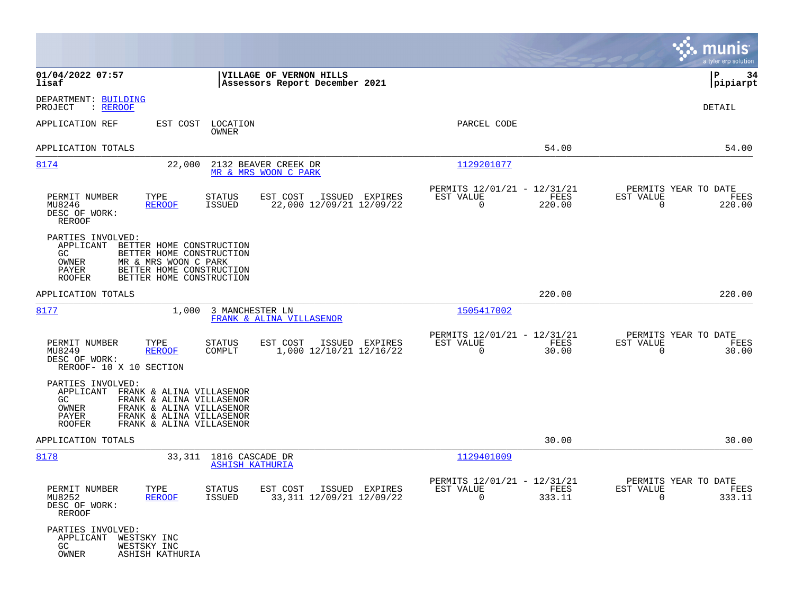|                                                                                                                                                                                                                      |                                                                           | munis<br>a tyler erp solution                                      |
|----------------------------------------------------------------------------------------------------------------------------------------------------------------------------------------------------------------------|---------------------------------------------------------------------------|--------------------------------------------------------------------|
| 01/04/2022 07:57<br>VILLAGE OF VERNON HILLS<br>lisaf<br>Assessors Report December 2021                                                                                                                               |                                                                           | P<br>34<br> pipiarpt                                               |
| DEPARTMENT: BUILDING<br>PROJECT<br>: REROOF                                                                                                                                                                          |                                                                           | DETAIL                                                             |
| APPLICATION REF<br>EST COST<br>LOCATION<br>OWNER                                                                                                                                                                     | PARCEL CODE                                                               |                                                                    |
| APPLICATION TOTALS                                                                                                                                                                                                   | 54.00                                                                     | 54.00                                                              |
| 8174<br>22,000<br>2132 BEAVER CREEK DR<br>MR & MRS WOON C PARK                                                                                                                                                       | 1129201077                                                                |                                                                    |
| PERMIT NUMBER<br>TYPE<br><b>STATUS</b><br>EST COST<br>ISSUED EXPIRES<br>22,000 12/09/21 12/09/22<br>MU8246<br><b>REROOF</b><br><b>ISSUED</b><br>DESC OF WORK:<br><b>REROOF</b>                                       | PERMITS 12/01/21 - 12/31/21<br>FEES<br>EST VALUE<br>$\mathbf 0$<br>220.00 | PERMITS YEAR TO DATE<br>EST VALUE<br>FEES<br>$\mathbf 0$<br>220.00 |
| PARTIES INVOLVED:<br>APPLICANT<br>BETTER HOME CONSTRUCTION<br>GC.<br>BETTER HOME CONSTRUCTION<br>OWNER<br>MR & MRS WOON C PARK<br>PAYER<br>BETTER HOME CONSTRUCTION<br>BETTER HOME CONSTRUCTION<br><b>ROOFER</b>     |                                                                           |                                                                    |
| APPLICATION TOTALS                                                                                                                                                                                                   | 220.00                                                                    | 220.00                                                             |
| 1,000<br>8177<br>3 MANCHESTER LN<br>FRANK & ALINA VILLASENOR                                                                                                                                                         | 1505417002                                                                |                                                                    |
| PERMIT NUMBER<br>TYPE<br>EST COST<br>ISSUED EXPIRES<br>STATUS<br>1,000 12/10/21 12/16/22<br>MU8249<br>COMPLT<br><b>REROOF</b><br>DESC OF WORK:<br>REROOF- 10 X 10 SECTION                                            | PERMITS 12/01/21 - 12/31/21<br>EST VALUE<br>FEES<br>$\Omega$<br>30.00     | PERMITS YEAR TO DATE<br>EST VALUE<br>FEES<br>$\mathbf 0$<br>30.00  |
| PARTIES INVOLVED:<br>APPLICANT<br>FRANK & ALINA VILLASENOR<br>FRANK & ALINA VILLASENOR<br>GC.<br>OWNER<br>FRANK & ALINA VILLASENOR<br>PAYER<br>FRANK & ALINA VILLASENOR<br><b>ROOFER</b><br>FRANK & ALINA VILLASENOR |                                                                           |                                                                    |
| APPLICATION TOTALS                                                                                                                                                                                                   | 30.00                                                                     | 30.00                                                              |
| 8178<br>1816 CASCADE DR<br>33,311<br><b>ASHISH KATHURIA</b>                                                                                                                                                          | 1129401009                                                                |                                                                    |
| PERMIT NUMBER<br>TYPE<br><b>STATUS</b><br>EST COST<br>ISSUED EXPIRES<br>MU8252<br>33,311 12/09/21 12/09/22<br><b>REROOF</b><br>ISSUED<br>DESC OF WORK:<br>REROOF                                                     | PERMITS 12/01/21 - 12/31/21<br>EST VALUE<br>FEES<br>$\mathbf 0$<br>333.11 | PERMITS YEAR TO DATE<br>EST VALUE<br>FEES<br>0<br>333.11           |
| PARTIES INVOLVED:<br>APPLICANT<br>WESTSKY INC<br>GC<br>WESTSKY INC<br>OWNER<br>ASHISH KATHURIA                                                                                                                       |                                                                           |                                                                    |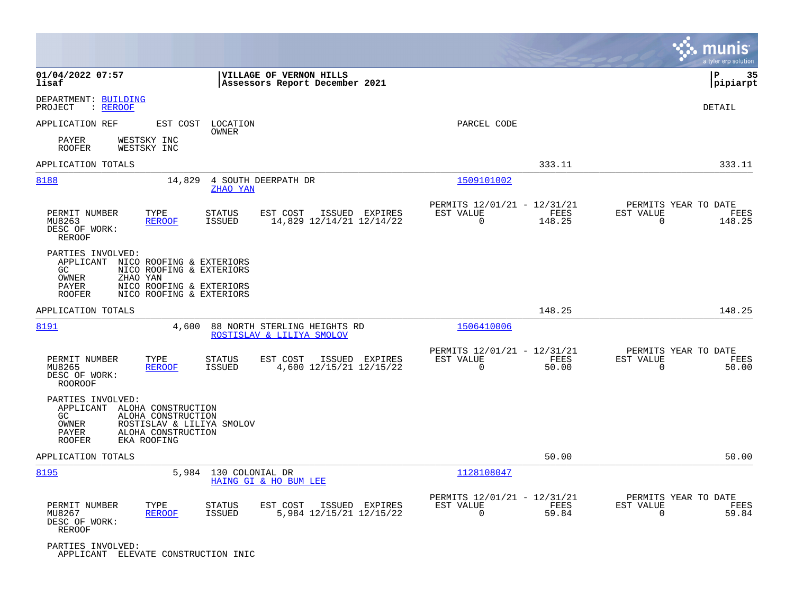|                                                                                                                                                                                                  |                                                                                                                              | munis<br>a tyler erp solution |
|--------------------------------------------------------------------------------------------------------------------------------------------------------------------------------------------------|------------------------------------------------------------------------------------------------------------------------------|-------------------------------|
| 01/04/2022 07:57<br>VILLAGE OF VERNON HILLS<br>Assessors Report December 2021<br>lisaf                                                                                                           |                                                                                                                              | 35<br> P<br> pipiarpt         |
| DEPARTMENT: BUILDING<br>: REROOF<br>PROJECT                                                                                                                                                      |                                                                                                                              | <b>DETAIL</b>                 |
| APPLICATION REF<br>EST COST LOCATION<br>OWNER                                                                                                                                                    | PARCEL CODE                                                                                                                  |                               |
| PAYER<br>WESTSKY INC<br><b>ROOFER</b><br>WESTSKY INC                                                                                                                                             |                                                                                                                              |                               |
| APPLICATION TOTALS                                                                                                                                                                               | 333.11                                                                                                                       | 333.11                        |
| 8188<br>14,829<br>4 SOUTH DEERPATH DR<br>ZHAO YAN                                                                                                                                                | 1509101002                                                                                                                   |                               |
| PERMIT NUMBER<br>TYPE<br><b>STATUS</b><br>EST COST<br>ISSUED EXPIRES<br>14,829 12/14/21 12/14/22<br>MU8263<br><b>REROOF</b><br>ISSUED<br>DESC OF WORK:<br>REROOF                                 | PERMITS 12/01/21 - 12/31/21<br>PERMITS YEAR TO DATE<br>EST VALUE<br>FEES<br>EST VALUE<br>$\Omega$<br>148.25<br>$\mathbf 0$   | FEES<br>148.25                |
| PARTIES INVOLVED:<br>APPLICANT NICO ROOFING & EXTERIORS<br>GC<br>NICO ROOFING & EXTERIORS<br>OWNER<br>ZHAO YAN<br>NICO ROOFING & EXTERIORS<br>PAYER<br>NICO ROOFING & EXTERIORS<br><b>ROOFER</b> |                                                                                                                              |                               |
| APPLICATION TOTALS                                                                                                                                                                               | 148.25                                                                                                                       | 148.25                        |
| 8191<br>4,600<br>88 NORTH STERLING HEIGHTS RD<br>ROSTISLAV & LILIYA SMOLOV                                                                                                                       | 1506410006                                                                                                                   |                               |
| PERMIT NUMBER<br>TYPE<br>EST COST<br><b>STATUS</b><br>ISSUED EXPIRES<br>4,600 12/15/21 12/15/22<br>MU8265<br><b>REROOF</b><br>ISSUED<br>DESC OF WORK:<br><b>ROOROOF</b>                          | PERMITS 12/01/21 - 12/31/21<br>PERMITS YEAR TO DATE<br>EST VALUE<br>FEES<br>EST VALUE<br>$\mathbf 0$<br>50.00<br>$\mathbf 0$ | FEES<br>50.00                 |
| PARTIES INVOLVED:<br>APPLICANT ALOHA CONSTRUCTION<br>GC<br>ALOHA CONSTRUCTION<br>OWNER<br>ROSTISLAV & LILIYA SMOLOV<br>PAYER<br>ALOHA CONSTRUCTION<br>EKA ROOFING<br><b>ROOFER</b>               |                                                                                                                              |                               |
| APPLICATION TOTALS                                                                                                                                                                               | 50.00                                                                                                                        | 50.00                         |
| 8195<br>5,984<br>130 COLONIAL DR<br>HAING GI & HO BUM LEE                                                                                                                                        | 1128108047                                                                                                                   |                               |
| PERMIT NUMBER<br>TYPE<br><b>STATUS</b><br>EST COST<br>ISSUED EXPIRES<br>5,984 12/15/21 12/15/22<br>MU8267<br><b>REROOF</b><br>ISSUED<br>DESC OF WORK:<br>REROOF                                  | PERMITS 12/01/21 - 12/31/21<br>PERMITS YEAR TO DATE<br>EST VALUE<br>FEES<br>EST VALUE<br>0<br>59.84<br>$\Omega$              | FEES<br>59.84                 |
| PARTIES INVOLVED:<br>APPLICANT ELEVATE CONSTRUCTION INIC                                                                                                                                         |                                                                                                                              |                               |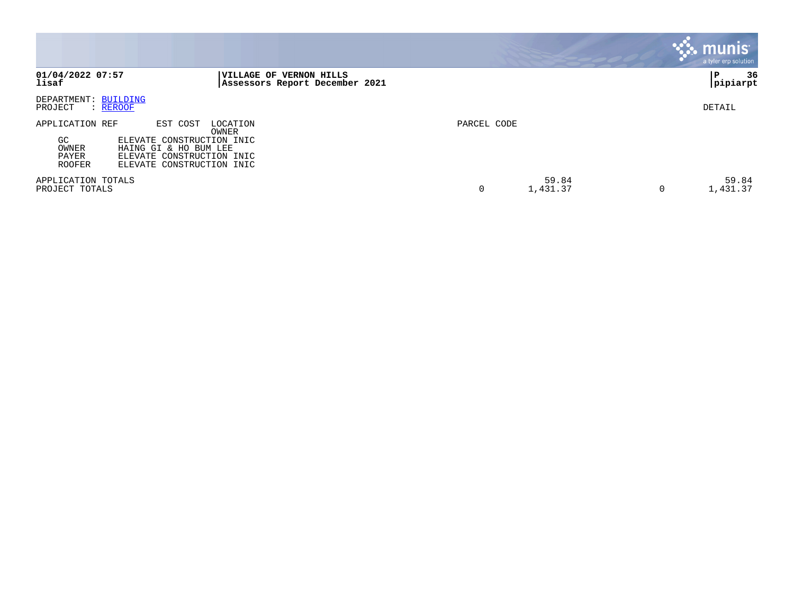|                                                                                                                                                                                                    |                                                                   |             |                   | munis<br>a tyler erp solution |
|----------------------------------------------------------------------------------------------------------------------------------------------------------------------------------------------------|-------------------------------------------------------------------|-------------|-------------------|-------------------------------|
| 01/04/2022 07:57<br>lisaf                                                                                                                                                                          | <b> VILLAGE OF VERNON HILLS</b><br>Assessors Report December 2021 |             |                   | 36<br>l P<br>pipiarpt         |
| DEPARTMENT: BUILDING<br>PROJECT<br>: REROOF                                                                                                                                                        |                                                                   |             |                   | DETAIL                        |
| APPLICATION REF<br>EST COST<br>LOCATION<br>OWNER<br>GC<br>ELEVATE CONSTRUCTION INIC<br>OWNER<br>HAING GI & HO BUM LEE<br>PAYER<br>ELEVATE CONSTRUCTION INIC<br>ELEVATE CONSTRUCTION INIC<br>ROOFER |                                                                   | PARCEL CODE |                   |                               |
| APPLICATION TOTALS<br>PROJECT TOTALS                                                                                                                                                               |                                                                   | 0           | 59.84<br>1,431.37 | 59.84<br>1,431.37             |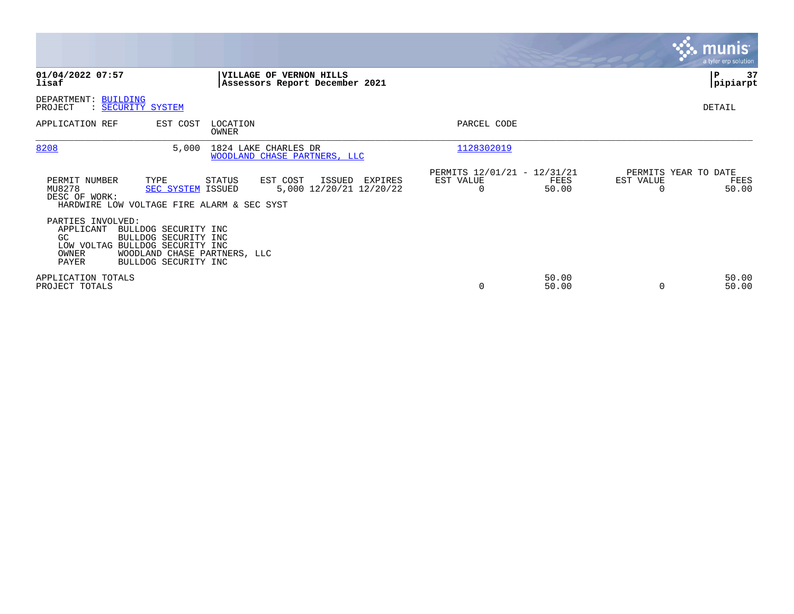|                                                                                                                                                                   |                                                                                                |                                                                       | <b>munis</b><br>a tyler erp solution.              |
|-------------------------------------------------------------------------------------------------------------------------------------------------------------------|------------------------------------------------------------------------------------------------|-----------------------------------------------------------------------|----------------------------------------------------|
| 01/04/2022 07:57<br>lisaf                                                                                                                                         | VILLAGE OF VERNON HILLS<br>Assessors Report December 2021                                      |                                                                       | 37<br>P<br> pipiarpt                               |
| DEPARTMENT: BUILDING<br>PROJECT<br>: SECURITY SYSTEM                                                                                                              |                                                                                                |                                                                       | DETAIL                                             |
| APPLICATION REF<br>EST COST                                                                                                                                       | LOCATION<br><b>OWNER</b>                                                                       | PARCEL CODE                                                           |                                                    |
| 8208<br>5,000                                                                                                                                                     | 1824 LAKE CHARLES DR<br>WOODLAND CHASE PARTNERS, LLC                                           | 1128302019                                                            |                                                    |
| PERMIT NUMBER<br>TYPE<br>MU8278<br>DESC OF WORK:<br>HARDWIRE LOW VOLTAGE FIRE ALARM & SEC SYST                                                                    | STATUS<br>EST COST<br>ISSUED<br>EXPIRES<br>5,000 12/20/21 12/20/22<br><b>SEC SYSTEM ISSUED</b> | PERMITS 12/01/21 - 12/31/21<br>EST VALUE<br>FEES<br>$\Omega$<br>50.00 | PERMITS YEAR TO DATE<br>EST VALUE<br>FEES<br>50.00 |
| PARTIES INVOLVED:<br>APPLICANT<br>BULLDOG SECURITY INC<br>GC<br>BULLDOG SECURITY INC<br>LOW VOLTAG BULLDOG SECURITY INC<br>OWNER<br>PAYER<br>BULLDOG SECURITY INC | WOODLAND CHASE PARTNERS, LLC                                                                   |                                                                       |                                                    |
| APPLICATION TOTALS<br>PROJECT TOTALS                                                                                                                              |                                                                                                | 50.00<br>0<br>50.00                                                   | 50.00<br>50.00<br>$\Omega$                         |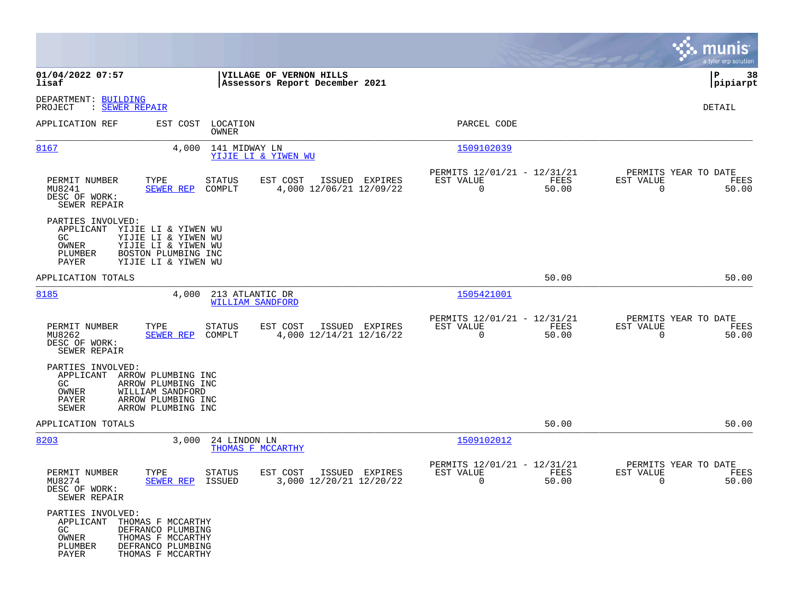|                                                                                        |                                                                                                              |                                                                          | munis<br>a tyler erp solution                                     |
|----------------------------------------------------------------------------------------|--------------------------------------------------------------------------------------------------------------|--------------------------------------------------------------------------|-------------------------------------------------------------------|
| 01/04/2022 07:57<br>lisaf                                                              | VILLAGE OF VERNON HILLS<br>Assessors Report December 2021                                                    |                                                                          | P<br>38<br> pipiarpt                                              |
| DEPARTMENT: BUILDING<br>PROJECT<br>: SEWER REPAIR                                      |                                                                                                              |                                                                          | DETAIL                                                            |
| APPLICATION REF                                                                        | EST COST LOCATION<br>OWNER                                                                                   | PARCEL CODE                                                              |                                                                   |
| 8167                                                                                   | 4,000<br>141 MIDWAY LN<br>YIJIE LI & YIWEN WU                                                                | 1509102039                                                               |                                                                   |
| PERMIT NUMBER<br>MU8241<br>DESC OF WORK:<br>SEWER REPAIR                               | TYPE<br>EST COST<br>ISSUED EXPIRES<br><b>STATUS</b><br>4,000 12/06/21 12/09/22<br><b>SEWER REP</b><br>COMPLT | PERMITS 12/01/21 - 12/31/21<br>EST VALUE<br>FEES<br>$\mathbf 0$<br>50.00 | PERMITS YEAR TO DATE<br>EST VALUE<br>FEES<br>$\mathbf 0$<br>50.00 |
| PARTIES INVOLVED:<br>APPLICANT YIJIE LI & YIWEN WU<br>GC.<br>OWNER<br>PLUMBER<br>PAYER | YIJIE LI & YIWEN WU<br>YIJIE LI & YIWEN WU<br>BOSTON PLUMBING INC<br>YIJIE LI & YIWEN WU                     |                                                                          |                                                                   |
| APPLICATION TOTALS                                                                     |                                                                                                              | 50.00                                                                    | 50.00                                                             |
| 8185                                                                                   | 4,000<br>213 ATLANTIC DR<br><b>WILLIAM SANDFORD</b>                                                          | 1505421001                                                               |                                                                   |
| PERMIT NUMBER<br>MU8262<br>DESC OF WORK:<br>SEWER REPAIR                               | TYPE<br>EST COST<br>ISSUED EXPIRES<br>STATUS<br>4,000 12/14/21 12/16/22<br><b>SEWER REP</b><br>COMPLT        | PERMITS 12/01/21 - 12/31/21<br>EST VALUE<br>FEES<br>$\mathbf 0$<br>50.00 | PERMITS YEAR TO DATE<br>EST VALUE<br>FEES<br>$\Omega$<br>50.00    |
| PARTIES INVOLVED:<br>APPLICANT ARROW PLUMBING INC<br>GC<br>OWNER<br>PAYER<br>SEWER     | ARROW PLUMBING INC<br>WILLIAM SANDFORD<br>ARROW PLUMBING INC<br>ARROW PLUMBING INC                           |                                                                          |                                                                   |
| APPLICATION TOTALS                                                                     |                                                                                                              | 50.00                                                                    | 50.00                                                             |
| 8203                                                                                   | 3,000<br>24 LINDON LN<br>THOMAS F MCCARTHY                                                                   | 1509102012                                                               |                                                                   |
| PERMIT NUMBER<br>MU8274<br>DESC OF WORK:<br>SEWER REPAIR                               | EST COST<br>ISSUED EXPIRES<br>TYPE<br>STATUS<br>3,000 12/20/21 12/20/22<br>SEWER REP<br>ISSUED               | PERMITS 12/01/21 - 12/31/21<br>EST VALUE<br>FEES<br>0<br>50.00           | PERMITS YEAR TO DATE<br>EST VALUE<br>FEES<br>50.00<br>0           |
| PARTIES INVOLVED:<br>APPLICANT THOMAS F MCCARTHY<br>GC<br>OWNER<br>PLUMBER<br>PAYER    | DEFRANCO PLUMBING<br>THOMAS F MCCARTHY<br>DEFRANCO PLUMBING<br>THOMAS F MCCARTHY                             |                                                                          |                                                                   |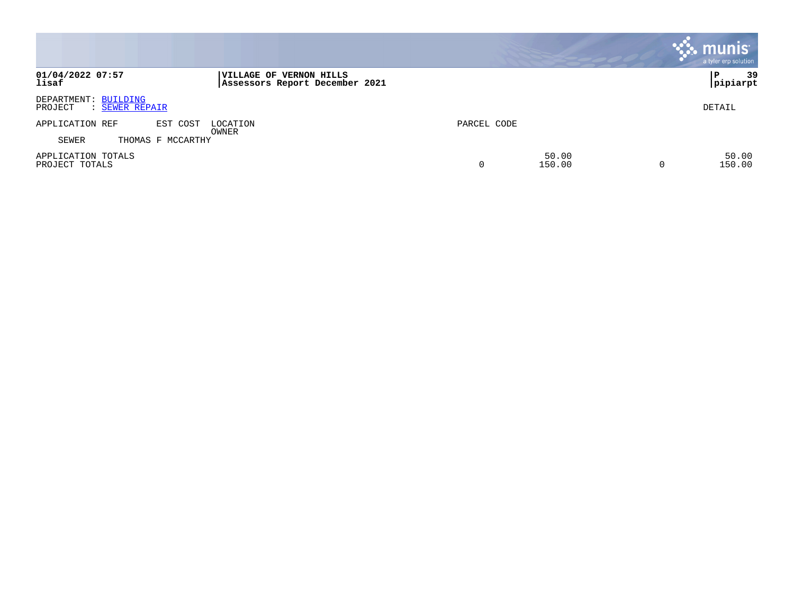|                                                   |                                                           |             |                 | munis <sup>®</sup><br>a tyler erp solution |
|---------------------------------------------------|-----------------------------------------------------------|-------------|-----------------|--------------------------------------------|
| 01/04/2022 07:57<br>lisaf                         | VILLAGE OF VERNON HILLS<br>Assessors Report December 2021 |             |                 | 39<br>Р<br>pipiarpt                        |
| DEPARTMENT: BUILDING<br>PROJECT<br>: SEWER REPAIR |                                                           |             |                 | DETAIL                                     |
| APPLICATION REF<br>EST COST                       | LOCATION                                                  | PARCEL CODE |                 |                                            |
| THOMAS F MCCARTHY<br>SEWER                        | OWNER                                                     |             |                 |                                            |
| APPLICATION TOTALS<br>PROJECT TOTALS              |                                                           | ⌒<br>U      | 50.00<br>150.00 | 50.00<br>150.00                            |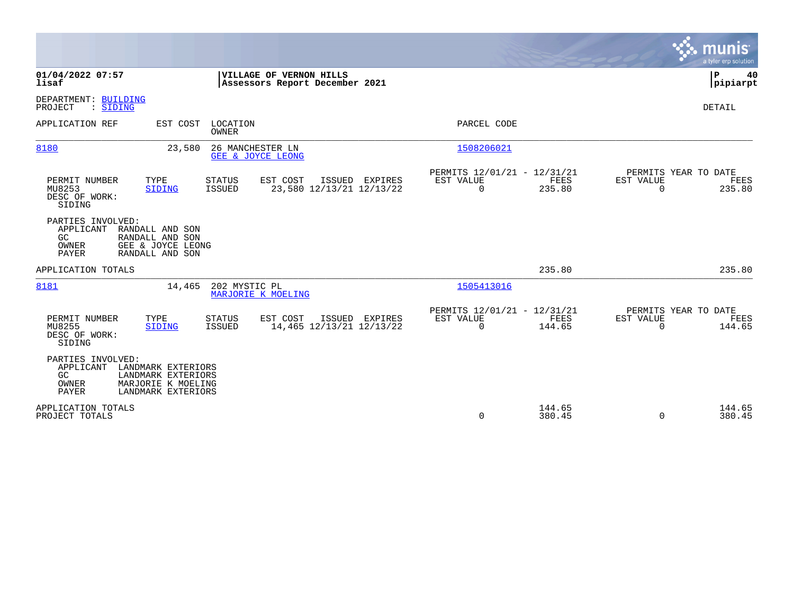|                                                                                                                                                                         | munis<br>a tyler erp solution                                                                                                                    |
|-------------------------------------------------------------------------------------------------------------------------------------------------------------------------|--------------------------------------------------------------------------------------------------------------------------------------------------|
| 01/04/2022 07:57<br>VILLAGE OF VERNON HILLS<br>lisaf<br>Assessors Report December 2021                                                                                  | P<br>40<br> pipiarpt                                                                                                                             |
| DEPARTMENT: BUILDING<br>PROJECT<br>: SIDING                                                                                                                             | DETAIL                                                                                                                                           |
| APPLICATION REF<br>EST COST LOCATION<br>OWNER                                                                                                                           | PARCEL CODE                                                                                                                                      |
| 8180<br>23,580<br>26 MANCHESTER LN<br>GEE & JOYCE LEONG                                                                                                                 | 1508206021                                                                                                                                       |
| TYPE<br>EST COST<br>ISSUED EXPIRES<br>PERMIT NUMBER<br><b>STATUS</b><br>23,580 12/13/21 12/13/22<br>MU8253<br><b>ISSUED</b><br><b>SIDING</b><br>DESC OF WORK:<br>SIDING | PERMITS 12/01/21 - 12/31/21<br>PERMITS YEAR TO DATE<br>EST VALUE<br><b>FEES</b><br>EST VALUE<br>FEES<br>$\Omega$<br>235.80<br>$\Omega$<br>235.80 |
| PARTIES INVOLVED:<br>APPLICANT<br>RANDALL AND SON<br>GC<br>RANDALL AND SON<br>OWNER<br>GEE & JOYCE LEONG<br>PAYER<br>RANDALL AND SON                                    |                                                                                                                                                  |
| APPLICATION TOTALS                                                                                                                                                      | 235.80<br>235.80                                                                                                                                 |
| 8181<br>202 MYSTIC PL<br>14,465<br>MARJORIE K MOELING                                                                                                                   | 1505413016                                                                                                                                       |
| PERMIT NUMBER<br>TYPE<br><b>STATUS</b><br>EST COST<br>ISSUED EXPIRES<br>MU8255<br><b>ISSUED</b><br>14,465 12/13/21 12/13/22<br>SIDING<br>DESC OF WORK:<br>SIDING        | PERMITS 12/01/21 - 12/31/21<br>PERMITS YEAR TO DATE<br><b>FEES</b><br>EST VALUE<br>EST VALUE<br>FEES<br>$\Omega$<br>144.65<br>$\Omega$<br>144.65 |
| PARTIES INVOLVED:<br>APPLICANT<br>LANDMARK EXTERIORS<br>GC<br>LANDMARK EXTERIORS<br>OWNER<br>MARJORIE K MOELING<br>PAYER<br>LANDMARK EXTERIORS                          |                                                                                                                                                  |
| APPLICATION TOTALS<br>PROJECT TOTALS                                                                                                                                    | 144.65<br>144.65<br>$\mathbf 0$<br>380.45<br>380.45<br>$\Omega$                                                                                  |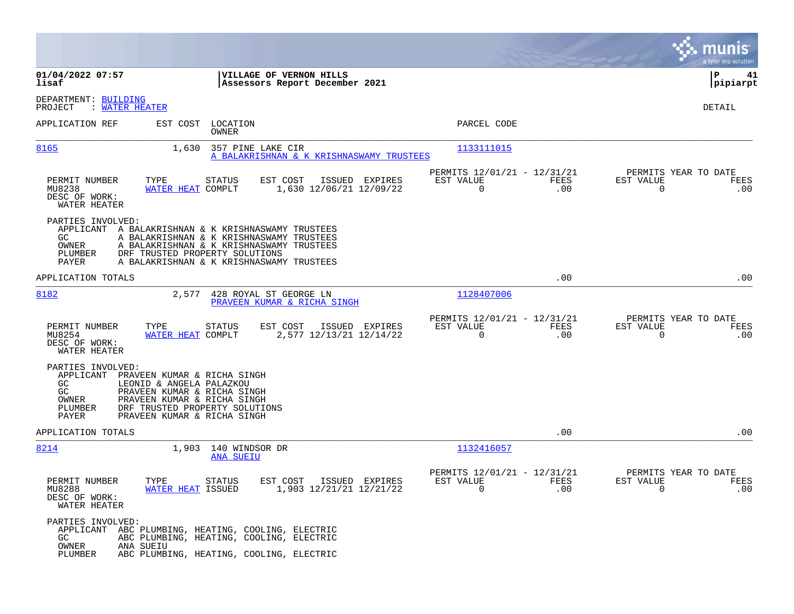|                                                                                                                 |                                                                                                                                                                                        |                                                               |                                                         |             |                                                  | a tyler erp solution  |
|-----------------------------------------------------------------------------------------------------------------|----------------------------------------------------------------------------------------------------------------------------------------------------------------------------------------|---------------------------------------------------------------|---------------------------------------------------------|-------------|--------------------------------------------------|-----------------------|
| 01/04/2022 07:57<br>lisaf                                                                                       |                                                                                                                                                                                        | VILLAGE OF VERNON HILLS<br>Assessors Report December 2021     |                                                         |             |                                                  | ∣P<br>41<br> pipiarpt |
| DEPARTMENT: BUILDING<br>: WATER HEATER<br>PROJECT                                                               |                                                                                                                                                                                        |                                                               |                                                         |             |                                                  | DETAIL                |
| APPLICATION REF                                                                                                 | EST COST LOCATION<br>OWNER                                                                                                                                                             |                                                               | PARCEL CODE                                             |             |                                                  |                       |
| 8165                                                                                                            | 1,630                                                                                                                                                                                  | 357 PINE LAKE CIR<br>A BALAKRISHNAN & K KRISHNASWAMY TRUSTEES | 1133111015                                              |             |                                                  |                       |
| PERMIT NUMBER<br>TYPE<br>MU8238<br>DESC OF WORK:<br>WATER HEATER                                                | <b>STATUS</b><br>WATER HEAT COMPLT                                                                                                                                                     | EST COST<br>ISSUED EXPIRES<br>1,630 12/06/21 12/09/22         | PERMITS 12/01/21 - 12/31/21<br>EST VALUE<br>$\mathbf 0$ | FEES<br>.00 | PERMITS YEAR TO DATE<br>EST VALUE<br>$\mathbf 0$ | FEES<br>.00           |
| PARTIES INVOLVED:<br>APPLICANT A BALAKRISHNAN & K KRISHNASWAMY TRUSTEES<br>GC<br>OWNER<br>PLUMBER<br>PAYER      | A BALAKRISHNAN & K KRISHNASWAMY TRUSTEES<br>A BALAKRISHNAN & K KRISHNASWAMY TRUSTEES<br>DRF TRUSTED PROPERTY SOLUTIONS<br>A BALAKRISHNAN & K KRISHNASWAMY TRUSTEES                     |                                                               |                                                         |             |                                                  |                       |
| APPLICATION TOTALS                                                                                              |                                                                                                                                                                                        |                                                               |                                                         | .00         |                                                  | .00                   |
| 8182                                                                                                            | 2,577                                                                                                                                                                                  | 428 ROYAL ST GEORGE LN<br>PRAVEEN KUMAR & RICHA SINGH         | 1128407006                                              |             |                                                  |                       |
| PERMIT NUMBER<br>TYPE<br>MU8254<br>DESC OF WORK:<br>WATER HEATER                                                | <b>STATUS</b><br>WATER HEAT COMPLT                                                                                                                                                     | EST COST<br>ISSUED EXPIRES<br>2,577 12/13/21 12/14/22         | PERMITS 12/01/21 - 12/31/21<br>EST VALUE<br>$\Omega$    | FEES<br>.00 | PERMITS YEAR TO DATE<br>EST VALUE<br>$\Omega$    | FEES<br>.00           |
| PARTIES INVOLVED:<br>APPLICANT<br>GC<br>GC<br>OWNER<br>PLUMBER<br>PAYER                                         | PRAVEEN KUMAR & RICHA SINGH<br>LEONID & ANGELA PALAZKOU<br>PRAVEEN KUMAR & RICHA SINGH<br>PRAVEEN KUMAR & RICHA SINGH<br>DRF TRUSTED PROPERTY SOLUTIONS<br>PRAVEEN KUMAR & RICHA SINGH |                                                               |                                                         |             |                                                  |                       |
| APPLICATION TOTALS                                                                                              |                                                                                                                                                                                        |                                                               |                                                         | .00         |                                                  | .00                   |
| 8214                                                                                                            | 1,903 140 WINDSOR DR<br><b>ANA SUEIU</b>                                                                                                                                               |                                                               | 1132416057                                              |             |                                                  |                       |
| PERMIT NUMBER<br>TYPE<br>MU8288<br>DESC OF WORK:<br>WATER HEATER                                                | STATUS<br>WATER HEAT ISSUED                                                                                                                                                            | EST COST<br>ISSUED EXPIRES<br>1,903 12/21/21 12/21/22         | PERMITS 12/01/21 - 12/31/21<br>EST VALUE<br>$\mathbf 0$ | FEES<br>.00 | PERMITS YEAR TO DATE<br>EST VALUE<br>0           | FEES<br>.00           |
| PARTIES INVOLVED:<br>APPLICANT ABC PLUMBING, HEATING, COOLING, ELECTRIC<br>GC.<br>OWNER<br>ANA SUEIU<br>PLUMBER | ABC PLUMBING, HEATING, COOLING, ELECTRIC<br>ABC PLUMBING, HEATING, COOLING, ELECTRIC                                                                                                   |                                                               |                                                         |             |                                                  |                       |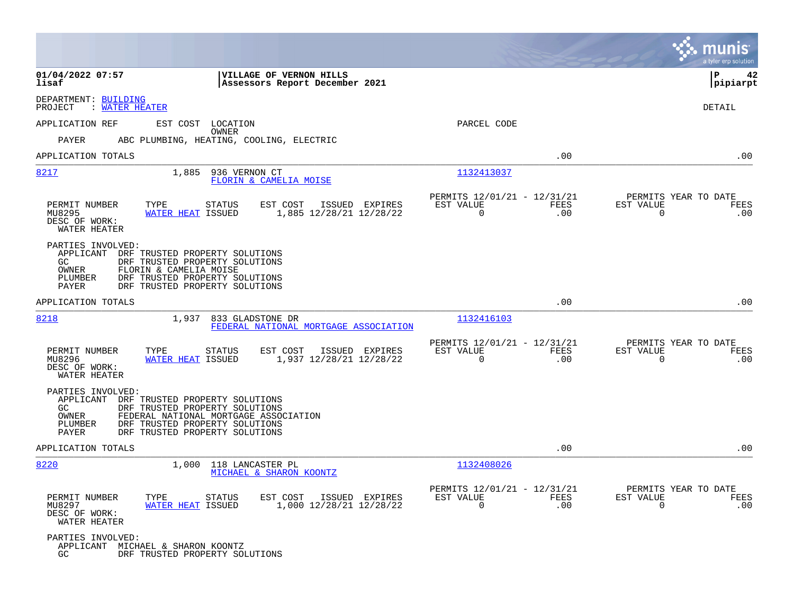|                                                                                                                                                                                                                                             |                                                                        |                                                         |                    |                                                  | a tyler erp solution   |
|---------------------------------------------------------------------------------------------------------------------------------------------------------------------------------------------------------------------------------------------|------------------------------------------------------------------------|---------------------------------------------------------|--------------------|--------------------------------------------------|------------------------|
| 01/04/2022 07:57<br>lisaf                                                                                                                                                                                                                   | VILLAGE OF VERNON HILLS<br>Assessors Report December 2021              |                                                         |                    |                                                  | l P<br>42<br> pipiarpt |
| DEPARTMENT: BUILDING<br>: WATER HEATER<br>PROJECT                                                                                                                                                                                           |                                                                        |                                                         |                    |                                                  | DETAIL                 |
| APPLICATION REF<br>EST COST LOCATION                                                                                                                                                                                                        | OWNER                                                                  | PARCEL CODE                                             |                    |                                                  |                        |
| PAYER                                                                                                                                                                                                                                       | ABC PLUMBING, HEATING, COOLING, ELECTRIC                               |                                                         |                    |                                                  |                        |
| APPLICATION TOTALS                                                                                                                                                                                                                          |                                                                        |                                                         | .00                |                                                  | .00                    |
| 8217<br>1,885                                                                                                                                                                                                                               | 936 VERNON CT<br>FLORIN & CAMELIA MOISE                                | 1132413037                                              |                    |                                                  |                        |
| PERMIT NUMBER<br>TYPE<br>MU8295<br>WATER HEAT ISSUED<br>DESC OF WORK:<br>WATER HEATER                                                                                                                                                       | <b>STATUS</b><br>EST COST<br>ISSUED EXPIRES<br>1,885 12/28/21 12/28/22 | PERMITS 12/01/21 - 12/31/21<br>EST VALUE<br>$\mathbf 0$ | <b>FEES</b><br>.00 | PERMITS YEAR TO DATE<br>EST VALUE<br>$\mathbf 0$ | FEES<br>.00            |
| PARTIES INVOLVED:<br>APPLICANT<br>DRF TRUSTED PROPERTY SOLUTIONS<br>GC.<br>DRF TRUSTED PROPERTY SOLUTIONS<br><b>OWNER</b><br>FLORIN & CAMELIA MOISE<br>DRF TRUSTED PROPERTY SOLUTIONS<br>PLUMBER<br>PAYER<br>DRF TRUSTED PROPERTY SOLUTIONS |                                                                        |                                                         |                    |                                                  |                        |
| APPLICATION TOTALS                                                                                                                                                                                                                          |                                                                        |                                                         | .00                |                                                  | .00                    |
| 8218<br>1,937                                                                                                                                                                                                                               | 833 GLADSTONE DR<br>FEDERAL NATIONAL MORTGAGE ASSOCIATION              | 1132416103                                              |                    |                                                  |                        |
| PERMIT NUMBER<br>TYPE<br>MU8296<br>WATER HEAT ISSUED<br>DESC OF WORK:<br>WATER HEATER                                                                                                                                                       | <b>STATUS</b><br>EST COST<br>ISSUED EXPIRES<br>1,937 12/28/21 12/28/22 | PERMITS 12/01/21 - 12/31/21<br>EST VALUE<br>$\mathbf 0$ | FEES<br>.00        | PERMITS YEAR TO DATE<br>EST VALUE<br>$\mathbf 0$ | FEES<br>.00            |
| PARTIES INVOLVED:<br>APPLICANT<br>DRF TRUSTED PROPERTY SOLUTIONS<br>GC.<br>DRF TRUSTED PROPERTY SOLUTIONS<br>OWNER<br>PLUMBER<br>DRF TRUSTED PROPERTY SOLUTIONS<br>PAYER<br>DRF TRUSTED PROPERTY SOLUTIONS                                  | FEDERAL NATIONAL MORTGAGE ASSOCIATION                                  |                                                         |                    |                                                  |                        |
| APPLICATION TOTALS                                                                                                                                                                                                                          |                                                                        |                                                         | .00                |                                                  | .00                    |
| 8220<br>1,000                                                                                                                                                                                                                               | 118 LANCASTER PL<br>MICHAEL & SHARON KOONTZ                            | 1132408026                                              |                    |                                                  |                        |
| PERMIT NUMBER<br>TYPE<br>WATER HEAT ISSUED<br>MU8297<br>DESC OF WORK:<br>WATER HEATER                                                                                                                                                       | <b>STATUS</b><br>EST COST<br>ISSUED EXPIRES<br>1,000 12/28/21 12/28/22 | PERMITS 12/01/21 - 12/31/21<br>EST VALUE<br>$\Omega$    | FEES<br>.00        | PERMITS YEAR TO DATE<br>EST VALUE<br>$\Omega$    | FEES<br>.00            |
| PARTIES INVOLVED:<br>APPLICANT MICHAEL & SHARON KOONTZ<br>DRF TRUSTED PROPERTY SOLUTIONS<br>GC                                                                                                                                              |                                                                        |                                                         |                    |                                                  |                        |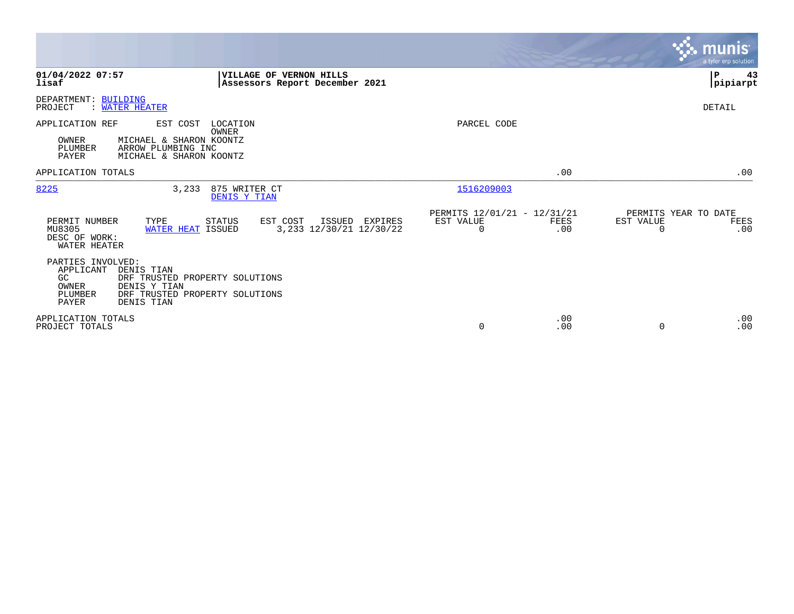|                                                                                                                                                                                          |                                                         |                                                        |                       | <b>munis</b><br>a tyler erp solution |
|------------------------------------------------------------------------------------------------------------------------------------------------------------------------------------------|---------------------------------------------------------|--------------------------------------------------------|-----------------------|--------------------------------------|
| 01/04/2022 07:57<br>VILLAGE OF VERNON HILLS<br>lisaf<br>Assessors Report December 2021                                                                                                   |                                                         |                                                        |                       | ΙP<br>43<br> pipiarpt                |
| DEPARTMENT: BUILDING<br>: WATER HEATER<br>PROJECT                                                                                                                                        |                                                         |                                                        |                       | DETAIL                               |
| LOCATION<br>APPLICATION REF<br>EST COST<br>OWNER<br>OWNER<br>MICHAEL & SHARON KOONTZ<br>PLUMBER<br>ARROW PLUMBING INC<br><b>PAYER</b><br>MICHAEL & SHARON KOONTZ                         |                                                         | PARCEL CODE                                            |                       |                                      |
| APPLICATION TOTALS                                                                                                                                                                       |                                                         | .00                                                    |                       | .00                                  |
| 8225<br>3,233<br>875 WRITER CT<br>DENIS Y TIAN                                                                                                                                           |                                                         | 1516209003                                             |                       |                                      |
| PERMIT NUMBER<br>TYPE<br>STATUS<br>EST COST<br>MU8305<br>WATER HEAT ISSUED<br>DESC OF WORK:<br>WATER HEATER                                                                              | ISSUED EXPIRES<br>EST VALUE<br>3, 233 12/30/21 12/30/22 | PERMITS 12/01/21 - 12/31/21<br>FEES<br>$\Omega$<br>.00 | EST VALUE<br>$\Omega$ | PERMITS YEAR TO DATE<br>FEES<br>.00  |
| PARTIES INVOLVED:<br>APPLICANT<br>DENIS TIAN<br>GC<br>DRF TRUSTED PROPERTY SOLUTIONS<br>OWNER<br>DENIS Y TIAN<br>PLUMBER<br>DRF TRUSTED PROPERTY SOLUTIONS<br>DENIS TIAN<br><b>PAYER</b> |                                                         |                                                        |                       |                                      |
| APPLICATION TOTALS<br>PROJECT TOTALS                                                                                                                                                     |                                                         | .00<br>0<br>.00                                        | $\Omega$              | .00<br>.00                           |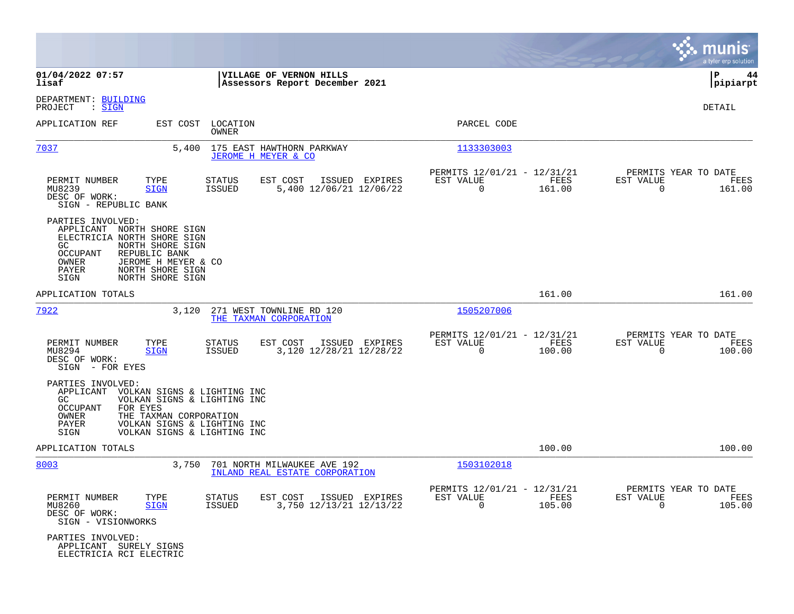|                                                                                                                                                                                                                                                      |                                                                                         |                                                                           | munis<br>a tyler erp solution                                      |
|------------------------------------------------------------------------------------------------------------------------------------------------------------------------------------------------------------------------------------------------------|-----------------------------------------------------------------------------------------|---------------------------------------------------------------------------|--------------------------------------------------------------------|
| 01/04/2022 07:57<br>lisaf                                                                                                                                                                                                                            | VILLAGE OF VERNON HILLS<br>Assessors Report December 2021                               |                                                                           | l P<br>44<br> pipiarpt                                             |
| DEPARTMENT: BUILDING<br>: SIGN<br>PROJECT                                                                                                                                                                                                            |                                                                                         |                                                                           | DETAIL                                                             |
| APPLICATION REF<br>EST COST                                                                                                                                                                                                                          | LOCATION<br>OWNER                                                                       | PARCEL CODE                                                               |                                                                    |
| 7037<br>5,400                                                                                                                                                                                                                                        | 175 EAST HAWTHORN PARKWAY<br>JEROME H MEYER & CO                                        | 1133303003                                                                |                                                                    |
| PERMIT NUMBER<br>TYPE<br>MU8239<br><b>SIGN</b><br>DESC OF WORK:<br>SIGN - REPUBLIC BANK                                                                                                                                                              | STATUS<br>EST COST<br>ISSUED EXPIRES<br>5,400 12/06/21 12/06/22<br>ISSUED               | PERMITS 12/01/21 - 12/31/21<br>EST VALUE<br>FEES<br>$\mathbf 0$<br>161.00 | PERMITS YEAR TO DATE<br>EST VALUE<br>FEES<br>$\mathbf 0$<br>161.00 |
| PARTIES INVOLVED:<br>APPLICANT NORTH SHORE SIGN<br>ELECTRICIA NORTH SHORE SIGN<br>NORTH SHORE SIGN<br>GC<br>REPUBLIC BANK<br><b>OCCUPANT</b><br>OWNER<br>JEROME H MEYER & CO<br>NORTH SHORE SIGN<br>PAYER<br>NORTH SHORE SIGN<br>SIGN                |                                                                                         |                                                                           |                                                                    |
| APPLICATION TOTALS                                                                                                                                                                                                                                   |                                                                                         | 161.00                                                                    | 161.00                                                             |
| 7922<br>3,120                                                                                                                                                                                                                                        | 271 WEST TOWNLINE RD 120<br>THE TAXMAN CORPORATION                                      | 1505207006                                                                |                                                                    |
| PERMIT NUMBER<br>TYPE<br>MU8294<br><b>SIGN</b><br>DESC OF WORK:<br>SIGN - FOR EYES                                                                                                                                                                   | ISSUED EXPIRES<br><b>STATUS</b><br>EST COST<br><b>ISSUED</b><br>3,120 12/28/21 12/28/22 | PERMITS 12/01/21 - 12/31/21<br>EST VALUE<br>FEES<br>$\mathbf 0$<br>100.00 | PERMITS YEAR TO DATE<br>EST VALUE<br>FEES<br>$\mathbf 0$<br>100.00 |
| PARTIES INVOLVED:<br>APPLICANT<br>VOLKAN SIGNS & LIGHTING INC<br>VOLKAN SIGNS & LIGHTING INC<br>GC.<br><b>OCCUPANT</b><br>FOR EYES<br>OWNER<br>THE TAXMAN CORPORATION<br>VOLKAN SIGNS & LIGHTING INC<br>PAYER<br>VOLKAN SIGNS & LIGHTING INC<br>SIGN |                                                                                         |                                                                           |                                                                    |
| APPLICATION TOTALS                                                                                                                                                                                                                                   |                                                                                         | 100.00                                                                    | 100.00                                                             |
| 8003<br>3,750                                                                                                                                                                                                                                        | 701 NORTH MILWAUKEE AVE 192<br>INLAND REAL ESTATE CORPORATION                           | 1503102018                                                                |                                                                    |
| PERMIT NUMBER<br>TYPE<br>MU8260<br><b>SIGN</b><br>DESC OF WORK:<br>SIGN - VISIONWORKS                                                                                                                                                                | STATUS<br>EST COST<br>ISSUED EXPIRES<br>3,750 12/13/21 12/13/22<br><b>ISSUED</b>        | PERMITS 12/01/21 - 12/31/21<br>EST VALUE<br>FEES<br>$\mathbf 0$<br>105.00 | PERMITS YEAR TO DATE<br>EST VALUE<br>FEES<br>$\mathbf 0$<br>105.00 |
| PARTIES INVOLVED:<br>APPLICANT SURELY SIGNS<br>ELECTRICIA RCI ELECTRIC                                                                                                                                                                               |                                                                                         |                                                                           |                                                                    |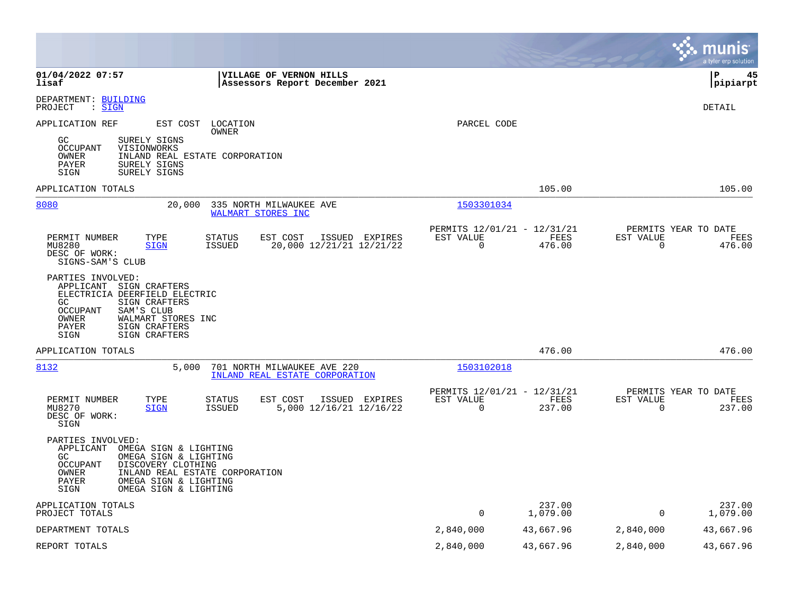|                                                                                                                                                                                                                                               |                                                         |                    |                          | munis<br>a tyler erp solution          |
|-----------------------------------------------------------------------------------------------------------------------------------------------------------------------------------------------------------------------------------------------|---------------------------------------------------------|--------------------|--------------------------|----------------------------------------|
| 01/04/2022 07:57<br><b>VILLAGE OF VERNON HILLS</b><br>Assessors Report December 2021<br>lisaf                                                                                                                                                 |                                                         |                    |                          | l P<br>45<br> pipiarpt                 |
| DEPARTMENT: BUILDING<br>: SIGN<br>PROJECT                                                                                                                                                                                                     |                                                         |                    |                          | <b>DETAIL</b>                          |
| APPLICATION REF<br>EST COST<br>LOCATION<br>OWNER<br>SURELY SIGNS<br>GC<br>OCCUPANT<br>VISIONWORKS<br>INLAND REAL ESTATE CORPORATION<br>OWNER<br>SURELY SIGNS<br>PAYER<br>SIGN<br>SURELY SIGNS                                                 | PARCEL CODE                                             |                    |                          |                                        |
| APPLICATION TOTALS                                                                                                                                                                                                                            |                                                         | 105.00             |                          | 105.00                                 |
| 8080<br>20,000<br>335 NORTH MILWAUKEE AVE<br>WALMART STORES INC                                                                                                                                                                               | 1503301034                                              |                    |                          |                                        |
| <b>STATUS</b><br>EST COST<br>ISSUED EXPIRES<br>PERMIT NUMBER<br>TYPE<br><b>ISSUED</b><br>20,000 12/21/21 12/21/22<br>MU8280<br><b>SIGN</b><br>DESC OF WORK:<br>SIGNS-SAM'S CLUB                                                               | PERMITS 12/01/21 - 12/31/21<br>EST VALUE<br>$\mathbf 0$ | FEES<br>476.00     | EST VALUE<br>$\mathbf 0$ | PERMITS YEAR TO DATE<br>FEES<br>476.00 |
| PARTIES INVOLVED:<br>APPLICANT SIGN CRAFTERS<br>ELECTRICIA DEERFIELD ELECTRIC<br>GC.<br>SIGN CRAFTERS<br>OCCUPANT<br>SAM'S CLUB<br>WALMART STORES INC<br>OWNER<br>SIGN CRAFTERS<br>PAYER<br>SIGN<br>SIGN CRAFTERS                             |                                                         |                    |                          |                                        |
| APPLICATION TOTALS                                                                                                                                                                                                                            |                                                         | 476.00             |                          | 476.00                                 |
| 8132<br>5,000<br>701 NORTH MILWAUKEE AVE 220<br>INLAND REAL ESTATE CORPORATION                                                                                                                                                                | 1503102018                                              |                    |                          |                                        |
| PERMIT NUMBER<br>TYPE<br><b>STATUS</b><br>EST COST<br>ISSUED EXPIRES<br>MU8270<br><b>ISSUED</b><br>5,000 12/16/21 12/16/22<br><b>SIGN</b><br>DESC OF WORK:<br>SIGN                                                                            | PERMITS 12/01/21 - 12/31/21<br>EST VALUE<br>0           | FEES<br>237.00     | EST VALUE<br>$\mathbf 0$ | PERMITS YEAR TO DATE<br>FEES<br>237.00 |
| PARTIES INVOLVED:<br>APPLICANT<br>OMEGA SIGN & LIGHTING<br>GC<br>OMEGA SIGN & LIGHTING<br><b>OCCUPANT</b><br>DISCOVERY CLOTHING<br>INLAND REAL ESTATE CORPORATION<br>OWNER<br>PAYER<br>OMEGA SIGN & LIGHTING<br>SIGN<br>OMEGA SIGN & LIGHTING |                                                         |                    |                          |                                        |
| APPLICATION TOTALS<br>PROJECT TOTALS                                                                                                                                                                                                          | $\Omega$                                                | 237.00<br>1,079.00 | $\Omega$                 | 237.00<br>1,079.00                     |
| DEPARTMENT TOTALS                                                                                                                                                                                                                             | 2,840,000                                               | 43,667.96          | 2,840,000                | 43,667.96                              |
| REPORT TOTALS                                                                                                                                                                                                                                 | 2,840,000                                               | 43,667.96          | 2,840,000                | 43,667.96                              |